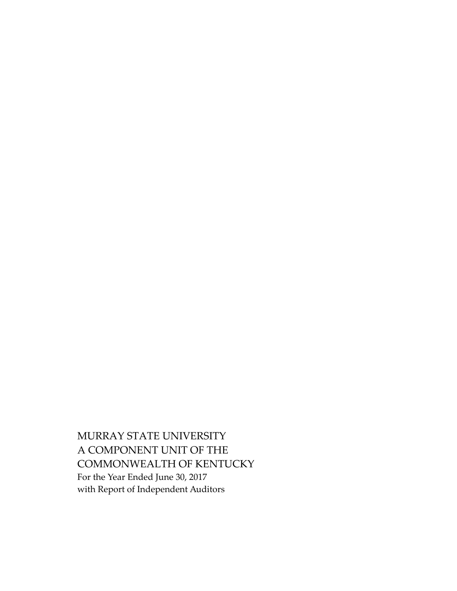MURRAY STATE UNIVERSITY A COMPONENT UNIT OF THE COMMONWEALTH OF KENTUCKY For the Year Ended June 30, 2017 with Report of Independent Auditors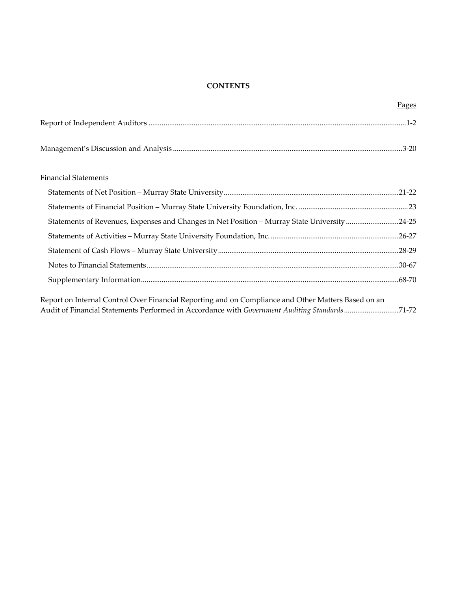### **CONTENTS**

|                                                                                                     | Pages |
|-----------------------------------------------------------------------------------------------------|-------|
|                                                                                                     |       |
|                                                                                                     |       |
| <b>Financial Statements</b>                                                                         |       |
|                                                                                                     |       |
|                                                                                                     |       |
| Statements of Revenues, Expenses and Changes in Net Position - Murray State University 24-25        |       |
|                                                                                                     |       |
|                                                                                                     |       |
|                                                                                                     |       |
|                                                                                                     |       |
| Report on Internal Control Over Financial Reporting and on Compliance and Other Matters Based on an |       |
| Audit of Financial Statements Performed in Accordance with Government Auditing Standards71-72       |       |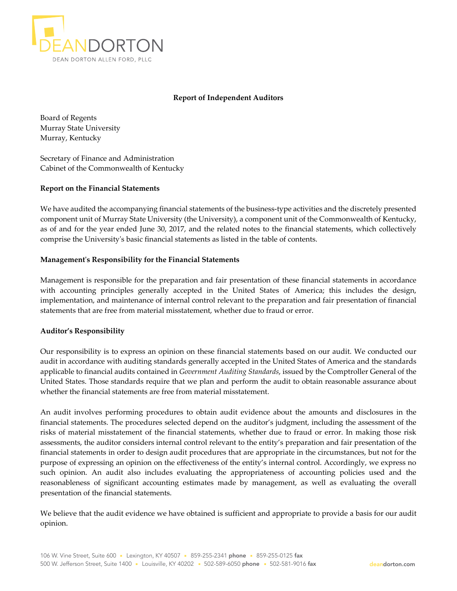

#### **Report of Independent Auditors**

Board of Regents Murray State University Murray, Kentucky

Secretary of Finance and Administration Cabinet of the Commonwealth of Kentucky

#### **Report on the Financial Statements**

We have audited the accompanying financial statements of the business-type activities and the discretely presented component unit of Murray State University (the University), a component unit of the Commonwealth of Kentucky, as of and for the year ended June 30, 2017, and the related notes to the financial statements, which collectively comprise the Universityʹs basic financial statements as listed in the table of contents.

#### **Managementʹs Responsibility for the Financial Statements**

Management is responsible for the preparation and fair presentation of these financial statements in accordance with accounting principles generally accepted in the United States of America; this includes the design, implementation, and maintenance of internal control relevant to the preparation and fair presentation of financial statements that are free from material misstatement, whether due to fraud or error.

#### **Auditor's Responsibility**

Our responsibility is to express an opinion on these financial statements based on our audit. We conducted our audit in accordance with auditing standards generally accepted in the United States of America and the standards applicable to financial audits contained in *Government Auditing Standards*, issued by the Comptroller General of the United States. Those standards require that we plan and perform the audit to obtain reasonable assurance about whether the financial statements are free from material misstatement.

An audit involves performing procedures to obtain audit evidence about the amounts and disclosures in the financial statements. The procedures selected depend on the auditor's judgment, including the assessment of the risks of material misstatement of the financial statements, whether due to fraud or error. In making those risk assessments, the auditor considers internal control relevant to the entity's preparation and fair presentation of the financial statements in order to design audit procedures that are appropriate in the circumstances, but not for the purpose of expressing an opinion on the effectiveness of the entity's internal control. Accordingly, we express no such opinion. An audit also includes evaluating the appropriateness of accounting policies used and the reasonableness of significant accounting estimates made by management, as well as evaluating the overall presentation of the financial statements.

We believe that the audit evidence we have obtained is sufficient and appropriate to provide a basis for our audit opinion.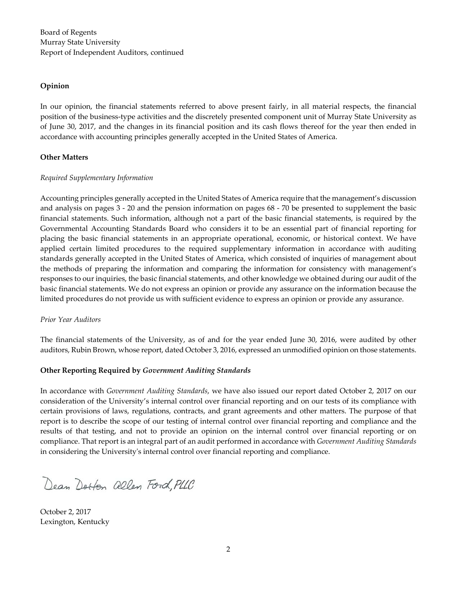#### **Opinion**

In our opinion, the financial statements referred to above present fairly, in all material respects, the financial position of the business‐type activities and the discretely presented component unit of Murray State University as of June 30, 2017, and the changes in its financial position and its cash flows thereof for the year then ended in accordance with accounting principles generally accepted in the United States of America.

#### **Other Matters**

#### *Required Supplementary Information*

Accounting principles generally accepted in the United States of America require that the management's discussion and analysis on pages 3 ‐ 20 and the pension information on pages 68 ‐ 70 be presented to supplement the basic financial statements. Such information, although not a part of the basic financial statements, is required by the Governmental Accounting Standards Board who considers it to be an essential part of financial reporting for placing the basic financial statements in an appropriate operational, economic, or historical context. We have applied certain limited procedures to the required supplementary information in accordance with auditing standards generally accepted in the United States of America, which consisted of inquiries of management about the methods of preparing the information and comparing the information for consistency with management's responses to our inquiries, the basic financial statements, and other knowledge we obtained during our audit of the basic financial statements. We do not express an opinion or provide any assurance on the information because the limited procedures do not provide us with sufficient evidence to express an opinion or provide any assurance.

#### *Prior Year Auditors*

The financial statements of the University, as of and for the year ended June 30, 2016, were audited by other auditors, Rubin Brown, whose report, dated October 3, 2016, expressed an unmodified opinion on those statements.

#### **Other Reporting Required by** *Government Auditing Standards*

In accordance with *Government Auditing Standards*, we have also issued our report dated October 2, 2017 on our consideration of the University's internal control over financial reporting and on our tests of its compliance with certain provisions of laws, regulations, contracts, and grant agreements and other matters. The purpose of that report is to describe the scope of our testing of internal control over financial reporting and compliance and the results of that testing, and not to provide an opinion on the internal control over financial reporting or on compliance. That report is an integral part of an audit performed in accordance with *Government Auditing Standards* in considering the Universityʹs internal control over financial reporting and compliance.

Dean Dorfon allen Ford, PLLC

October 2, 2017 Lexington, Kentucky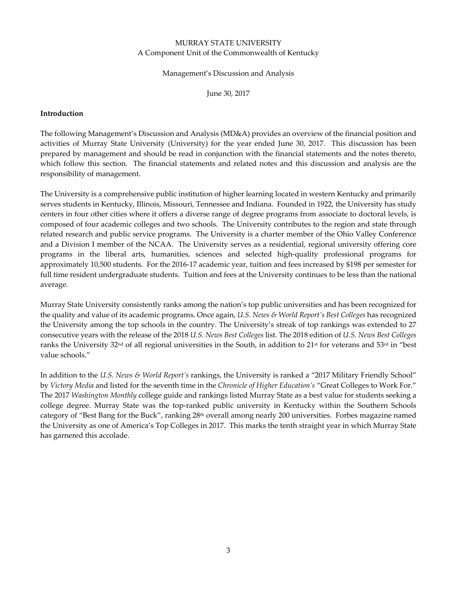#### Management's Discussion and Analysis

June 30, 2017

#### **Introduction**

The following Management's Discussion and Analysis (MD&A) provides an overview of the financial position and activities of Murray State University (University) for the year ended June 30, 2017. This discussion has been prepared by management and should be read in conjunction with the financial statements and the notes thereto, which follow this section. The financial statements and related notes and this discussion and analysis are the responsibility of management.

The University is a comprehensive public institution of higher learning located in western Kentucky and primarily serves students in Kentucky, Illinois, Missouri, Tennessee and Indiana. Founded in 1922, the University has study centers in four other cities where it offers a diverse range of degree programs from associate to doctoral levels, is composed of four academic colleges and two schools. The University contributes to the region and state through related research and public service programs. The University is a charter member of the Ohio Valley Conference and a Division I member of the NCAA. The University serves as a residential, regional university offering core programs in the liberal arts, humanities, sciences and selected high‐quality professional programs for approximately 10,500 students. For the 2016‐17 academic year, tuition and fees increased by \$198 per semester for full time resident undergraduate students. Tuition and fees at the University continues to be less than the national average.

Murray State University consistently ranks among the nation's top public universities and has been recognized for the quality and value of its academic programs. Once again, *U.S. News & World Report's Best Colleges* has recognized the University among the top schools in the country. The University's streak of top rankings was extended to 27 consecutive years with the release of the 2018 *U.S. News Best Colleges* list. The 2018 edition of *U.S. News Best Colleges* ranks the University 32<sup>nd</sup> of all regional universities in the South, in addition to 21<sup>st</sup> for veterans and 53<sup>rd</sup> in "best value schools."

In addition to the *U.S. News & World Report's* rankings, the University is ranked a "2017 Military Friendly School" by *Victory Media* and listed for the seventh time in the *Chronicle of Higher Education's* "Great Colleges to Work For." The 2017 *Washington Monthly* college guide and rankings listed Murray State as a best value for students seeking a college degree. Murray State was the top-ranked public university in Kentucky within the Southern Schools category of "Best Bang for the Buck", ranking 28<sup>th</sup> overall among nearly 200 universities. Forbes magazine named the University as one of America's Top Colleges in 2017. This marks the tenth straight year in which Murray State has garnered this accolade.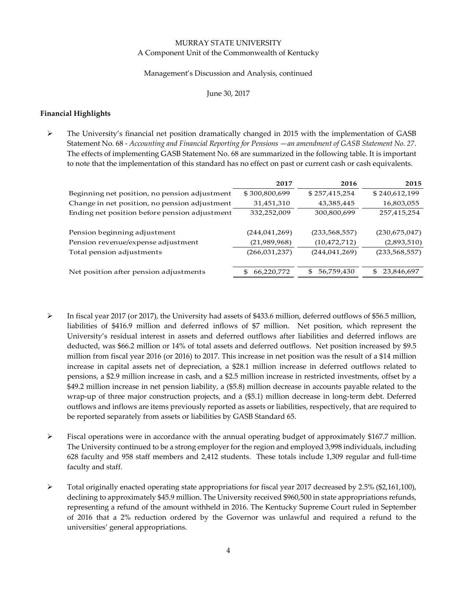#### Management's Discussion and Analysis, continued

#### June 30, 2017

### **Financial Highlights**

 The University's financial net position dramatically changed in 2015 with the implementation of GASB Statement No. 68 ‐ *Accounting and Financial Reporting for Pensions* —*an amendment of GASB Statement No. 27*. The effects of implementing GASB Statement No. 68 are summarized in the following table. It is important to note that the implementation of this standard has no effect on past or current cash or cash equivalents.

|                                               | 2017              | 2016                         | 2015             |
|-----------------------------------------------|-------------------|------------------------------|------------------|
| Beginning net position, no pension adjustment | \$300,800,699     | \$257,415,254                | \$240,612,199    |
| Change in net position, no pension adjustment | 31,451,310        | 43,385,445                   | 16,803,055       |
| Ending net position before pension adjustment | 332,252,009       | 300,800,699                  | 257,415,254      |
|                                               |                   |                              |                  |
| Pension beginning adjustment                  | (244, 041, 269)   | (233, 568, 557)              | (230,675,047)    |
| Pension revenue/expense adjustment            | (21,989,968)      | (10, 472, 712)               | (2,893,510)      |
| Total pension adjustments                     | (266, 031, 237)   | (244, 041, 269)              | (233, 568, 557)  |
|                                               |                   |                              |                  |
| Net position after pension adjustments        | 66,220,772<br>\$. | 56,759,430<br>$\mathfrak{F}$ | 23,846,697<br>\$ |
|                                               |                   |                              |                  |

- In fiscal year 2017 (or 2017), the University had assets of \$433.6 million, deferred outflows of \$56.5 million, liabilities of \$416.9 million and deferred inflows of \$7 million. Net position, which represent the University's residual interest in assets and deferred outflows after liabilities and deferred inflows are deducted, was \$66.2 million or 14% of total assets and deferred outflows. Net position increased by \$9.5 million from fiscal year 2016 (or 2016) to 2017. This increase in net position was the result of a \$14 million increase in capital assets net of depreciation, a \$28.1 million increase in deferred outflows related to pensions, a \$2.9 million increase in cash, and a \$2.5 million increase in restricted investments, offset by a \$49.2 million increase in net pension liability, a (\$5.8) million decrease in accounts payable related to the wrap-up of three major construction projects, and a (\$5.1) million decrease in long-term debt. Deferred outflows and inflows are items previously reported as assets or liabilities, respectively, that are required to be reported separately from assets or liabilities by GASB Standard 65.
- $\triangleright$  Fiscal operations were in accordance with the annual operating budget of approximately \$167.7 million. The University continued to be a strong employer for the region and employed 3,998 individuals, including 628 faculty and 958 staff members and 2,412 students. These totals include 1,309 regular and full‐time faculty and staff.
- Total originally enacted operating state appropriations for fiscal year 2017 decreased by 2.5% (\$2,161,100), declining to approximately \$45.9 million. The University received \$960,500 in state appropriations refunds, representing a refund of the amount withheld in 2016. The Kentucky Supreme Court ruled in September of 2016 that a 2% reduction ordered by the Governor was unlawful and required a refund to the universities' general appropriations.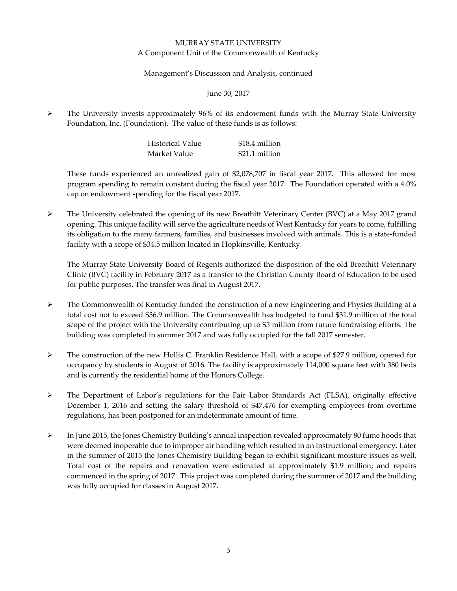#### Management's Discussion and Analysis, continued

June 30, 2017

 $\triangleright$  The University invests approximately 96% of its endowment funds with the Murray State University Foundation, Inc. (Foundation). The value of these funds is as follows:

| Historical Value | \$18.4 million |
|------------------|----------------|
| Market Value     | \$21.1 million |

These funds experienced an unrealized gain of \$2,078,707 in fiscal year 2017. This allowed for most program spending to remain constant during the fiscal year 2017. The Foundation operated with a 4.0% cap on endowment spending for the fiscal year 2017.

 $\triangleright$  The University celebrated the opening of its new Breathitt Veterinary Center (BVC) at a May 2017 grand opening. This unique facility will serve the agriculture needs of West Kentucky for years to come, fulfilling its obligation to the many farmers, families, and businesses involved with animals. This is a state‐funded facility with a scope of \$34.5 million located in Hopkinsville, Kentucky.

The Murray State University Board of Regents authorized the disposition of the old Breathitt Veterinary Clinic (BVC) facility in February 2017 as a transfer to the Christian County Board of Education to be used for public purposes. The transfer was final in August 2017.

- $\triangleright$  The Commonwealth of Kentucky funded the construction of a new Engineering and Physics Building at a total cost not to exceed \$36.9 million. The Commonwealth has budgeted to fund \$31.9 million of the total scope of the project with the University contributing up to \$5 million from future fundraising efforts. The building was completed in summer 2017 and was fully occupied for the fall 2017 semester.
- The construction of the new Hollis C. Franklin Residence Hall, with a scope of \$27.9 million, opened for occupancy by students in August of 2016. The facility is approximately 114,000 square feet with 380 beds and is currently the residential home of the Honors College.
- $\triangleright$  The Department of Labor's regulations for the Fair Labor Standards Act (FLSA), originally effective December 1, 2016 and setting the salary threshold of \$47,476 for exempting employees from overtime regulations, has been postponed for an indeterminate amount of time.
- $\triangleright$  In June 2015, the Jones Chemistry Building's annual inspection revealed approximately 80 fume hoods that were deemed inoperable due to improper air handling which resulted in an instructional emergency. Later in the summer of 2015 the Jones Chemistry Building began to exhibit significant moisture issues as well. Total cost of the repairs and renovation were estimated at approximately \$1.9 million; and repairs commenced in the spring of 2017. This project was completed during the summer of 2017 and the building was fully occupied for classes in August 2017.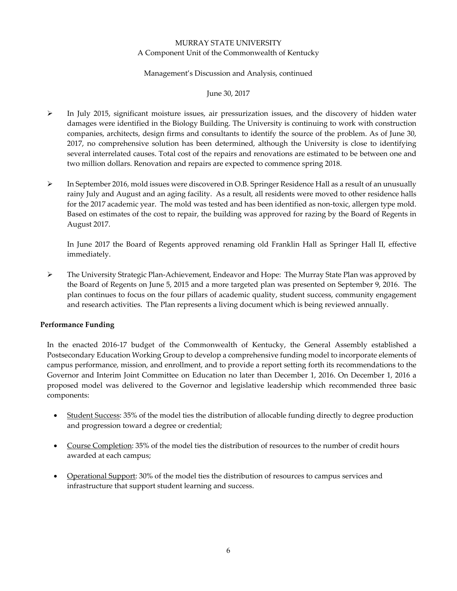#### Management's Discussion and Analysis, continued

#### June 30, 2017

- $\triangleright$  In July 2015, significant moisture issues, air pressurization issues, and the discovery of hidden water damages were identified in the Biology Building. The University is continuing to work with construction companies, architects, design firms and consultants to identify the source of the problem. As of June 30, 2017, no comprehensive solution has been determined, although the University is close to identifying several interrelated causes. Total cost of the repairs and renovations are estimated to be between one and two million dollars. Renovation and repairs are expected to commence spring 2018.
- In September 2016, mold issues were discovered in O.B. Springer Residence Hall as a result of an unusually rainy July and August and an aging facility. As a result, all residents were moved to other residence halls for the 2017 academic year. The mold was tested and has been identified as non-toxic, allergen type mold. Based on estimates of the cost to repair, the building was approved for razing by the Board of Regents in August 2017.

In June 2017 the Board of Regents approved renaming old Franklin Hall as Springer Hall II, effective immediately.

 The University Strategic Plan‐Achievement, Endeavor and Hope: The Murray State Plan was approved by the Board of Regents on June 5, 2015 and a more targeted plan was presented on September 9, 2016. The plan continues to focus on the four pillars of academic quality, student success, community engagement and research activities. The Plan represents a living document which is being reviewed annually.

#### **Performance Funding**

In the enacted 2016‐17 budget of the Commonwealth of Kentucky, the General Assembly established a Postsecondary Education Working Group to develop a comprehensive funding model to incorporate elements of campus performance, mission, and enrollment, and to provide a report setting forth its recommendations to the Governor and Interim Joint Committee on Education no later than December 1, 2016. On December 1, 2016 a proposed model was delivered to the Governor and legislative leadership which recommended three basic components:

- Student Success: 35% of the model ties the distribution of allocable funding directly to degree production and progression toward a degree or credential;
- Course Completion: 35% of the model ties the distribution of resources to the number of credit hours awarded at each campus;
- Operational Support: 30% of the model ties the distribution of resources to campus services and infrastructure that support student learning and success.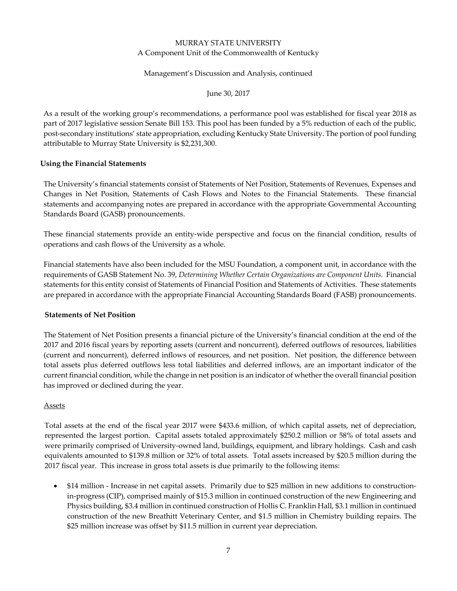#### Management's Discussion and Analysis, continued

June 30, 2017

As a result of the working group's recommendations, a performance pool was established for fiscal year 2018 as part of 2017 legislative session Senate Bill 153. This pool has been funded by a 5% reduction of each of the public, post‐secondary institutions' state appropriation, excluding Kentucky State University. The portion of pool funding attributable to Murray State University is \$2,231,300.

#### **Using the Financial Statements**

The University's financial statements consist of Statements of Net Position, Statements of Revenues, Expenses and Changes in Net Position, Statements of Cash Flows and Notes to the Financial Statements. These financial statements and accompanying notes are prepared in accordance with the appropriate Governmental Accounting Standards Board (GASB) pronouncements.

These financial statements provide an entity‐wide perspective and focus on the financial condition, results of operations and cash flows of the University as a whole.

Financial statements have also been included for the MSU Foundation, a component unit, in accordance with the requirements of GASB Statement No. 39, *Determining Whether Certain Organizations are Component Units.* Financial statements for this entity consist of Statements of Financial Position and Statements of Activities. These statements are prepared in accordance with the appropriate Financial Accounting Standards Board (FASB) pronouncements.

#### **Statements of Net Position**

The Statement of Net Position presents a financial picture of the University's financial condition at the end of the 2017 and 2016 fiscal years by reporting assets (current and noncurrent), deferred outflows of resources, liabilities (current and noncurrent), deferred inflows of resources, and net position. Net position, the difference between total assets plus deferred outflows less total liabilities and deferred inflows, are an important indicator of the current financial condition, while the change in net position is an indicator of whether the overall financial position has improved or declined during the year.

#### Assets

Total assets at the end of the fiscal year 2017 were \$433.6 million, of which capital assets, net of depreciation, represented the largest portion. Capital assets totaled approximately \$250.2 million or 58% of total assets and were primarily comprised of University-owned land, buildings, equipment, and library holdings. Cash and cash equivalents amounted to \$139.8 million or 32% of total assets. Total assets increased by \$20.5 million during the 2017 fiscal year. This increase in gross total assets is due primarily to the following items:

 \$14 million ‐ Increase in net capital assets. Primarily due to \$25 million in new additions to construction‐ in‐progress (CIP), comprised mainly of \$15.3 million in continued construction of the new Engineering and Physics building, \$3.4 million in continued construction of Hollis C. Franklin Hall, \$3.1 million in continued construction of the new Breathitt Veterinary Center, and \$1.5 million in Chemistry building repairs. The \$25 million increase was offset by \$11.5 million in current year depreciation.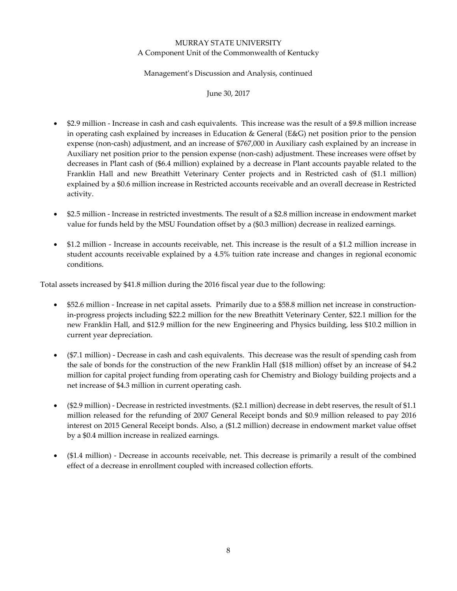#### Management's Discussion and Analysis, continued

June 30, 2017

- \$2.9 million ‐ Increase in cash and cash equivalents. This increase was the result of a \$9.8 million increase in operating cash explained by increases in Education & General (E&G) net position prior to the pension expense (non‐cash) adjustment, and an increase of \$767,000 in Auxiliary cash explained by an increase in Auxiliary net position prior to the pension expense (non‐cash) adjustment. These increases were offset by decreases in Plant cash of (\$6.4 million) explained by a decrease in Plant accounts payable related to the Franklin Hall and new Breathitt Veterinary Center projects and in Restricted cash of (\$1.1 million) explained by a \$0.6 million increase in Restricted accounts receivable and an overall decrease in Restricted activity.
- \$2.5 million ‐ Increase in restricted investments. The result of a \$2.8 million increase in endowment market value for funds held by the MSU Foundation offset by a (\$0.3 million) decrease in realized earnings.
- \$1.2 million ‐ Increase in accounts receivable, net. This increase is the result of a \$1.2 million increase in student accounts receivable explained by a 4.5% tuition rate increase and changes in regional economic conditions.

Total assets increased by \$41.8 million during the 2016 fiscal year due to the following:

- \$52.6 million ‐ Increase in net capital assets. Primarily due to a \$58.8 million net increase in construction‐ in-progress projects including \$22.2 million for the new Breathitt Veterinary Center, \$22.1 million for the new Franklin Hall, and \$12.9 million for the new Engineering and Physics building, less \$10.2 million in current year depreciation.
- (\$7.1 million) ‐ Decrease in cash and cash equivalents. This decrease was the result of spending cash from the sale of bonds for the construction of the new Franklin Hall (\$18 million) offset by an increase of \$4.2 million for capital project funding from operating cash for Chemistry and Biology building projects and a net increase of \$4.3 million in current operating cash.
- (\$2.9 million) ‐ Decrease in restricted investments. (\$2.1 million) decrease in debt reserves, the result of \$1.1 million released for the refunding of 2007 General Receipt bonds and \$0.9 million released to pay 2016 interest on 2015 General Receipt bonds. Also, a (\$1.2 million) decrease in endowment market value offset by a \$0.4 million increase in realized earnings.
- (\$1.4 million) ‐ Decrease in accounts receivable, net. This decrease is primarily a result of the combined effect of a decrease in enrollment coupled with increased collection efforts.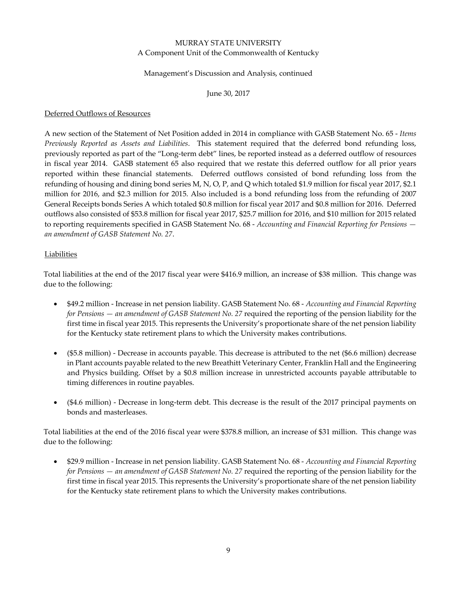#### Management's Discussion and Analysis, continued

June 30, 2017

#### Deferred Outflows of Resources

A new section of the Statement of Net Position added in 2014 in compliance with GASB Statement No. 65 ‐ *Items Previously Reported as Assets and Liabilities*. This statement required that the deferred bond refunding loss, previously reported as part of the "Long‐term debt" lines, be reported instead as a deferred outflow of resources in fiscal year 2014. GASB statement 65 also required that we restate this deferred outflow for all prior years reported within these financial statements. Deferred outflows consisted of bond refunding loss from the refunding of housing and dining bond series M, N, O, P, and Q which totaled \$1.9 million for fiscal year 2017, \$2.1 million for 2016, and \$2.3 million for 2015. Also included is a bond refunding loss from the refunding of 2007 General Receipts bonds Series A which totaled \$0.8 million for fiscal year 2017 and \$0.8 million for 2016. Deferred outflows also consisted of \$53.8 million for fiscal year 2017, \$25.7 million for 2016, and \$10 million for 2015 related to reporting requirements specified in GASB Statement No. 68 ‐ *Accounting and Financial Reporting for Pensions an amendment of GASB Statement No. 27*.

#### Liabilities

Total liabilities at the end of the 2017 fiscal year were \$416.9 million, an increase of \$38 million. This change was due to the following:

- \$49.2 million ‐ Increase in net pension liability. GASB Statement No. 68 ‐ *Accounting and Financial Reporting for Pensions — an amendment of GASB Statement No. 27* required the reporting of the pension liability for the first time in fiscal year 2015. This represents the University's proportionate share of the net pension liability for the Kentucky state retirement plans to which the University makes contributions.
- (\$5.8 million) ‐ Decrease in accounts payable. This decrease is attributed to the net (\$6.6 million) decrease in Plant accounts payable related to the new Breathitt Veterinary Center, Franklin Hall and the Engineering and Physics building. Offset by a \$0.8 million increase in unrestricted accounts payable attributable to timing differences in routine payables.
- (\$4.6 million) ‐ Decrease in long‐term debt. This decrease is the result of the 2017 principal payments on bonds and masterleases.

Total liabilities at the end of the 2016 fiscal year were \$378.8 million, an increase of \$31 million. This change was due to the following:

 \$29.9 million ‐ Increase in net pension liability. GASB Statement No. 68 ‐ *Accounting and Financial Reporting for Pensions — an amendment of GASB Statement No. 27* required the reporting of the pension liability for the first time in fiscal year 2015. This represents the University's proportionate share of the net pension liability for the Kentucky state retirement plans to which the University makes contributions.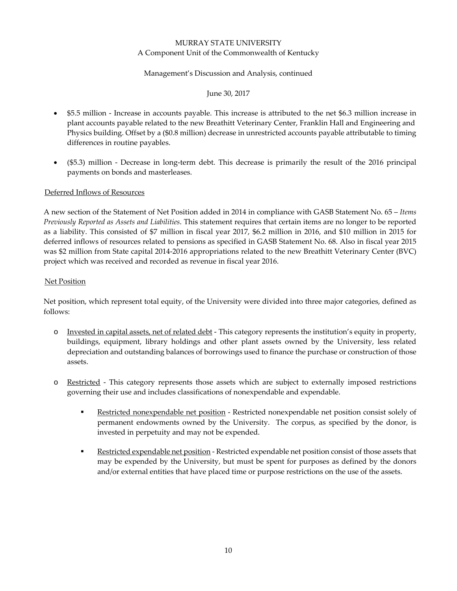#### Management's Discussion and Analysis, continued

#### June 30, 2017

- \$5.5 million ‐ Increase in accounts payable. This increase is attributed to the net \$6.3 million increase in plant accounts payable related to the new Breathitt Veterinary Center, Franklin Hall and Engineering and Physics building. Offset by a (\$0.8 million) decrease in unrestricted accounts payable attributable to timing differences in routine payables.
- (\$5.3) million Decrease in long-term debt. This decrease is primarily the result of the 2016 principal payments on bonds and masterleases.

#### Deferred Inflows of Resources

A new section of the Statement of Net Position added in 2014 in compliance with GASB Statement No. 65 – *Items Previously Reported as Assets and Liabilities*. This statement requires that certain items are no longer to be reported as a liability. This consisted of \$7 million in fiscal year 2017, \$6.2 million in 2016, and \$10 million in 2015 for deferred inflows of resources related to pensions as specified in GASB Statement No. 68. Also in fiscal year 2015 was \$2 million from State capital 2014‐2016 appropriations related to the new Breathitt Veterinary Center (BVC) project which was received and recorded as revenue in fiscal year 2016.

#### Net Position

Net position, which represent total equity, of the University were divided into three major categories, defined as follows:

- o Invested in capital assets, net of related debt ‐ This category represents the institution's equity in property, buildings, equipment, library holdings and other plant assets owned by the University, less related depreciation and outstanding balances of borrowings used to finance the purchase or construction of those assets.
- o Restricted ‐ This category represents those assets which are subject to externally imposed restrictions governing their use and includes classifications of nonexpendable and expendable.
	- Restricted nonexpendable net position Restricted nonexpendable net position consist solely of permanent endowments owned by the University. The corpus, as specified by the donor, is invested in perpetuity and may not be expended.
	- Restricted expendable net position Restricted expendable net position consist of those assets that may be expended by the University, but must be spent for purposes as defined by the donors and/or external entities that have placed time or purpose restrictions on the use of the assets.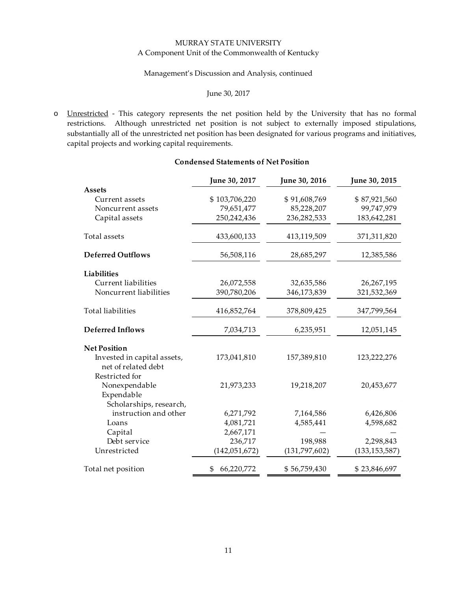#### Management's Discussion and Analysis, continued

#### June 30, 2017

o Unrestricted - This category represents the net position held by the University that has no formal restrictions. Although unrestricted net position is not subject to externally imposed stipulations, substantially all of the unrestricted net position has been designated for various programs and initiatives, capital projects and working capital requirements.

|                                                        | June 30, 2017   | June 30, 2016 | June 30, 2015   |
|--------------------------------------------------------|-----------------|---------------|-----------------|
| <b>Assets</b>                                          |                 |               |                 |
| Current assets                                         | \$103,706,220   | \$91,608,769  | \$87,921,560    |
| Noncurrent assets                                      | 79,651,477      | 85,228,207    | 99,747,979      |
| Capital assets                                         | 250,242,436     | 236,282,533   | 183,642,281     |
| Total assets                                           | 433,600,133     | 413,119,509   | 371,311,820     |
| <b>Deferred Outflows</b>                               | 56,508,116      | 28,685,297    | 12,385,586      |
| <b>Liabilities</b>                                     |                 |               |                 |
| Current liabilities                                    | 26,072,558      | 32,635,586    | 26,267,195      |
| Noncurrent liabilities                                 | 390,780,206     | 346,173,839   | 321,532,369     |
| <b>Total liabilities</b>                               | 416,852,764     | 378,809,425   | 347,799,564     |
| <b>Deferred Inflows</b>                                | 7,034,713       | 6,235,951     | 12,051,145      |
| <b>Net Position</b>                                    |                 |               |                 |
| Invested in capital assets,<br>net of related debt     | 173,041,810     | 157,389,810   | 123,222,276     |
| Restricted for                                         |                 |               |                 |
| Nonexpendable<br>Expendable<br>Scholarships, research, | 21,973,233      | 19,218,207    | 20,453,677      |
| instruction and other                                  | 6,271,792       | 7,164,586     | 6,426,806       |
| Loans                                                  | 4,081,721       | 4,585,441     | 4,598,682       |
| Capital                                                | 2,667,171       |               |                 |
| Debt service                                           | 236,717         | 198,988       | 2,298,843       |
| Unrestricted                                           | (142, 051, 672) | (131,797,602) | (133, 153, 587) |
| Total net position                                     | 66,220,772<br>S | \$56,759,430  | \$23,846,697    |

#### **Condensed Statements of Net Position**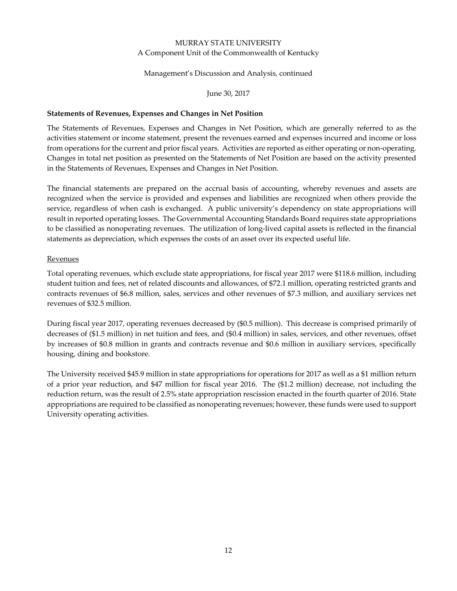#### Management's Discussion and Analysis, continued

#### June 30, 2017

#### **Statements of Revenues, Expenses and Changes in Net Position**

The Statements of Revenues, Expenses and Changes in Net Position, which are generally referred to as the activities statement or income statement, present the revenues earned and expenses incurred and income or loss from operations for the current and prior fiscal years. Activities are reported as either operating or non-operating. Changes in total net position as presented on the Statements of Net Position are based on the activity presented in the Statements of Revenues, Expenses and Changes in Net Position.

The financial statements are prepared on the accrual basis of accounting, whereby revenues and assets are recognized when the service is provided and expenses and liabilities are recognized when others provide the service, regardless of when cash is exchanged. A public university's dependency on state appropriations will result in reported operating losses. The Governmental Accounting Standards Board requires state appropriations to be classified as nonoperating revenues. The utilization of long-lived capital assets is reflected in the financial statements as depreciation, which expenses the costs of an asset over its expected useful life.

#### **Revenues**

Total operating revenues, which exclude state appropriations, for fiscal year 2017 were \$118.6 million, including student tuition and fees, net of related discounts and allowances, of \$72.1 million, operating restricted grants and contracts revenues of \$6.8 million, sales, services and other revenues of \$7.3 million, and auxiliary services net revenues of \$32.5 million.

During fiscal year 2017, operating revenues decreased by (\$0.5 million). This decrease is comprised primarily of decreases of (\$1.5 million) in net tuition and fees, and (\$0.4 million) in sales, services, and other revenues, offset by increases of \$0.8 million in grants and contracts revenue and \$0.6 million in auxiliary services, specifically housing, dining and bookstore.

The University received \$45.9 million in state appropriations for operations for 2017 as well as a \$1 million return of a prior year reduction, and \$47 million for fiscal year 2016. The (\$1.2 million) decrease, not including the reduction return, was the result of 2.5% state appropriation rescission enacted in the fourth quarter of 2016. State appropriations are required to be classified as nonoperating revenues; however, these funds were used to support University operating activities.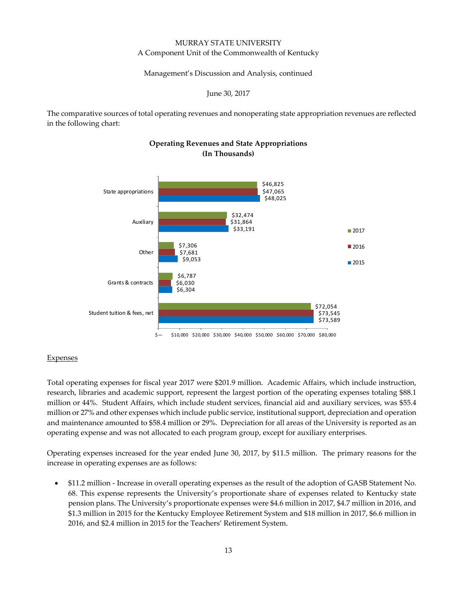Management's Discussion and Analysis, continued

June 30, 2017

The comparative sources of total operating revenues and nonoperating state appropriation revenues are reflected in the following chart:



## **Operating Revenues and State Appropriations (In Thousands)**

#### **Expenses**

Total operating expenses for fiscal year 2017 were \$201.9 million. Academic Affairs, which include instruction, research, libraries and academic support, represent the largest portion of the operating expenses totaling \$88.1 million or 44%. Student Affairs, which include student services, financial aid and auxiliary services, was \$55.4 million or 27% and other expenses which include public service, institutional support, depreciation and operation and maintenance amounted to \$58.4 million or 29%. Depreciation for all areas of the University is reported as an operating expense and was not allocated to each program group, except for auxiliary enterprises.

Operating expenses increased for the year ended June 30, 2017, by \$11.5 million. The primary reasons for the increase in operating expenses are as follows:

 \$11.2 million ‐ Increase in overall operating expenses as the result of the adoption of GASB Statement No. 68. This expense represents the University's proportionate share of expenses related to Kentucky state pension plans. The University's proportionate expenses were \$4.6 million in 2017, \$4.7 million in 2016, and \$1.3 million in 2015 for the Kentucky Employee Retirement System and \$18 million in 2017, \$6.6 million in 2016, and \$2.4 million in 2015 for the Teachers' Retirement System.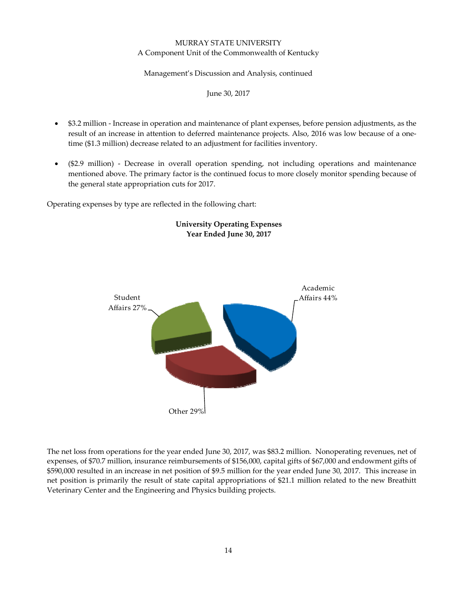#### Management's Discussion and Analysis, continued

June 30, 2017

- \$3.2 million Increase in operation and maintenance of plant expenses, before pension adjustments, as the result of an increase in attention to deferred maintenance projects. Also, 2016 was low because of a onetime (\$1.3 million) decrease related to an adjustment for facilities inventory.
- (\$2.9 million) ‐ Decrease in overall operation spending, not including operations and maintenance mentioned above. The primary factor is the continued focus to more closely monitor spending because of the general state appropriation cuts for 2017.

Operating expenses by type are reflected in the following chart:



# **University Operating Expenses Year Ended June 30, 2017**

The net loss from operations for the year ended June 30, 2017, was \$83.2 million. Nonoperating revenues, net of expenses, of \$70.7 million, insurance reimbursements of \$156,000, capital gifts of \$67,000 and endowment gifts of \$590,000 resulted in an increase in net position of \$9.5 million for the year ended June 30, 2017. This increase in net position is primarily the result of state capital appropriations of \$21.1 million related to the new Breathitt Veterinary Center and the Engineering and Physics building projects.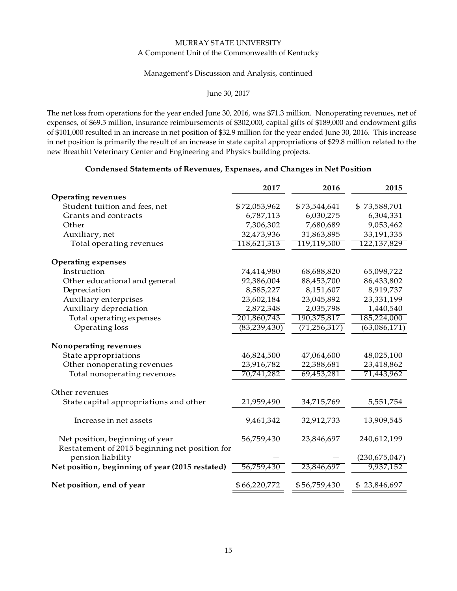#### Management's Discussion and Analysis, continued

#### June 30, 2017

The net loss from operations for the year ended June 30, 2016, was \$71.3 million. Nonoperating revenues, net of expenses, of \$69.5 million, insurance reimbursements of \$302,000, capital gifts of \$189,000 and endowment gifts of \$101,000 resulted in an increase in net position of \$32.9 million for the year ended June 30, 2016. This increase in net position is primarily the result of an increase in state capital appropriations of \$29.8 million related to the new Breathitt Veterinary Center and Engineering and Physics building projects.

#### **Condensed Statements of Revenues, Expenses, and Changes in Net Position**

|                                                                                   | 2017           | 2016           | 2015            |
|-----------------------------------------------------------------------------------|----------------|----------------|-----------------|
| <b>Operating revenues</b>                                                         |                |                |                 |
| Student tuition and fees, net                                                     | \$72,053,962   | \$73,544,641   | \$73,588,701    |
| Grants and contracts                                                              | 6,787,113      | 6,030,275      | 6,304,331       |
| Other                                                                             | 7,306,302      | 7,680,689      | 9,053,462       |
| Auxiliary, net                                                                    | 32,473,936     | 31,863,895     | 33,191,335      |
| Total operating revenues                                                          | 118,621,313    | 119,119,500    | 122,137,829     |
| <b>Operating expenses</b>                                                         |                |                |                 |
| Instruction                                                                       | 74,414,980     | 68,688,820     | 65,098,722      |
| Other educational and general                                                     | 92,386,004     | 88,453,700     | 86,433,802      |
| Depreciation                                                                      | 8,585,227      | 8,151,607      | 8,919,737       |
| Auxiliary enterprises                                                             | 23,602,184     | 23,045,892     | 23,331,199      |
| Auxiliary depreciation                                                            | 2,872,348      | 2,035,798      | 1,440,540       |
| Total operating expenses                                                          | 201,860,743    | 190,375,817    | 185,224,000     |
| Operating loss                                                                    | (83, 239, 430) | (71, 256, 317) | (63,086,171)    |
| Nonoperating revenues                                                             |                |                |                 |
| State appropriations                                                              | 46,824,500     | 47,064,600     | 48,025,100      |
| Other nonoperating revenues                                                       | 23,916,782     | 22,388,681     | 23,418,862      |
| Total nonoperating revenues                                                       | 70,741,282     | 69,453,281     | 71,443,962      |
| Other revenues                                                                    |                |                |                 |
| State capital appropriations and other                                            | 21,959,490     | 34,715,769     | 5,551,754       |
| Increase in net assets                                                            | 9,461,342      | 32,912,733     | 13,909,545      |
| Net position, beginning of year<br>Restatement of 2015 beginning net position for | 56,759,430     | 23,846,697     | 240,612,199     |
| pension liability                                                                 |                |                | (230, 675, 047) |
| Net position, beginning of year (2015 restated)                                   | 56,759,430     | 23,846,697     | 9,937,152       |
| Net position, end of year                                                         | \$66,220,772   | \$56,759,430   | \$23,846,697    |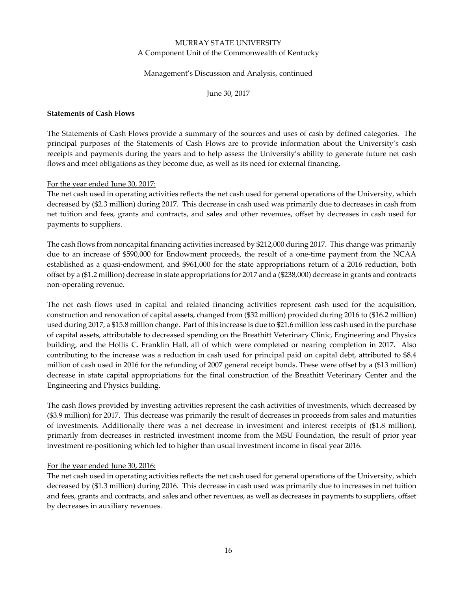#### Management's Discussion and Analysis, continued

June 30, 2017

#### **Statements of Cash Flows**

The Statements of Cash Flows provide a summary of the sources and uses of cash by defined categories. The principal purposes of the Statements of Cash Flows are to provide information about the University's cash receipts and payments during the years and to help assess the University's ability to generate future net cash flows and meet obligations as they become due, as well as its need for external financing.

#### For the year ended June 30, 2017:

The net cash used in operating activities reflects the net cash used for general operations of the University, which decreased by (\$2.3 million) during 2017. This decrease in cash used was primarily due to decreases in cash from net tuition and fees, grants and contracts, and sales and other revenues, offset by decreases in cash used for payments to suppliers.

The cash flows from noncapital financing activities increased by \$212,000 during 2017. This change was primarily due to an increase of \$590,000 for Endowment proceeds, the result of a one-time payment from the NCAA established as a quasi-endowment, and \$961,000 for the state appropriations return of a 2016 reduction, both offset by a (\$1.2 million) decrease in state appropriations for 2017 and a (\$238,000) decrease in grants and contracts non‐operating revenue.

The net cash flows used in capital and related financing activities represent cash used for the acquisition, construction and renovation of capital assets, changed from (\$32 million) provided during 2016 to (\$16.2 million) used during 2017, a \$15.8 million change. Part of this increase is due to \$21.6 million less cash used in the purchase of capital assets, attributable to decreased spending on the Breathitt Veterinary Clinic, Engineering and Physics building, and the Hollis C. Franklin Hall, all of which were completed or nearing completion in 2017. Also contributing to the increase was a reduction in cash used for principal paid on capital debt, attributed to \$8.4 million of cash used in 2016 for the refunding of 2007 general receipt bonds. These were offset by a (\$13 million) decrease in state capital appropriations for the final construction of the Breathitt Veterinary Center and the Engineering and Physics building.

The cash flows provided by investing activities represent the cash activities of investments, which decreased by (\$3.9 million) for 2017. This decrease was primarily the result of decreases in proceeds from sales and maturities of investments. Additionally there was a net decrease in investment and interest receipts of (\$1.8 million), primarily from decreases in restricted investment income from the MSU Foundation, the result of prior year investment re‐positioning which led to higher than usual investment income in fiscal year 2016.

#### For the year ended June 30, 2016:

The net cash used in operating activities reflects the net cash used for general operations of the University, which decreased by (\$1.3 million) during 2016. This decrease in cash used was primarily due to increases in net tuition and fees, grants and contracts, and sales and other revenues, as well as decreases in payments to suppliers, offset by decreases in auxiliary revenues.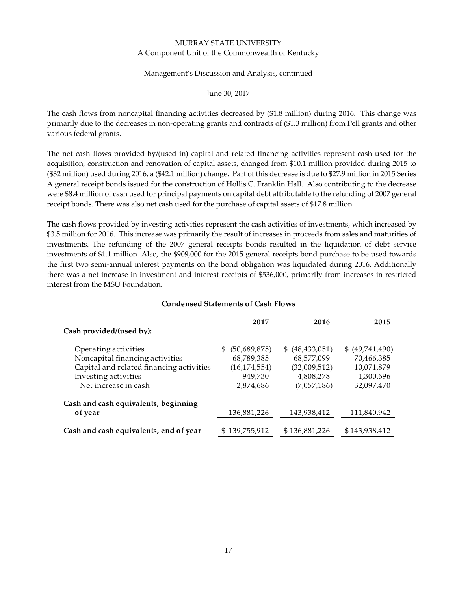#### Management's Discussion and Analysis, continued

#### June 30, 2017

The cash flows from noncapital financing activities decreased by (\$1.8 million) during 2016. This change was primarily due to the decreases in non‐operating grants and contracts of (\$1.3 million) from Pell grants and other various federal grants.

The net cash flows provided by/(used in) capital and related financing activities represent cash used for the acquisition, construction and renovation of capital assets, changed from \$10.1 million provided during 2015 to (\$32 million) used during 2016, a (\$42.1 million) change. Part of this decrease is due to \$27.9 million in 2015 Series A general receipt bonds issued for the construction of Hollis C. Franklin Hall. Also contributing to the decrease were \$8.4 million of cash used for principal payments on capital debt attributable to the refunding of 2007 general receipt bonds. There was also net cash used for the purchase of capital assets of \$17.8 million.

The cash flows provided by investing activities represent the cash activities of investments, which increased by \$3.5 million for 2016. This increase was primarily the result of increases in proceeds from sales and maturities of investments. The refunding of the 2007 general receipts bonds resulted in the liquidation of debt service investments of \$1.1 million. Also, the \$909,000 for the 2015 general receipts bond purchase to be used towards the first two semi‐annual interest payments on the bond obligation was liquidated during 2016. Additionally there was a net increase in investment and interest receipts of \$536,000, primarily from increases in restricted interest from the MSU Foundation.

|                                          | 2017           | 2016              | 2015            |
|------------------------------------------|----------------|-------------------|-----------------|
| Cash provided/(used by):                 |                |                   |                 |
| Operating activities                     | (50,689,875)   | \$ (48, 433, 051) | \$ (49,741,490) |
| Noncapital financing activities          | 68,789,385     | 68,577,099        | 70,466,385      |
| Capital and related financing activities | (16, 174, 554) | (32,009,512)      | 10,071,879      |
| Investing activities                     | 949,730        | 4,808,278         | 1,300,696       |
| Net increase in cash                     | 2,874,686      | (7,057,186)       | 32,097,470      |
| Cash and cash equivalents, beginning     |                |                   |                 |
| of year                                  | 136,881,226    | 143,938,412       | 111,840,942     |
| Cash and cash equivalents, end of year   | \$139,755,912  | \$136,881,226     | \$143,938,412   |

#### **Condensed Statements of Cash Flows**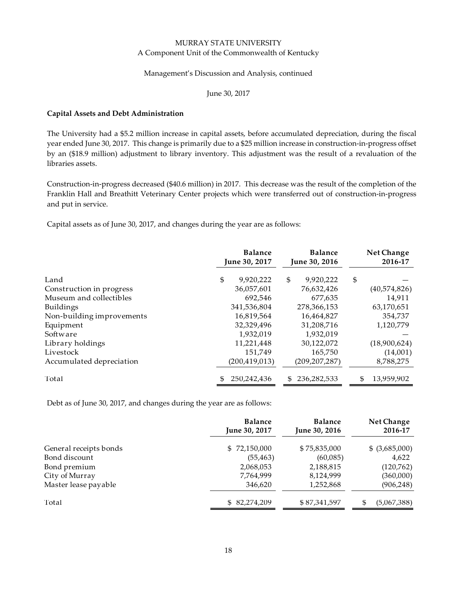#### Management's Discussion and Analysis, continued

June 30, 2017

#### **Capital Assets and Debt Administration**

The University had a \$5.2 million increase in capital assets, before accumulated depreciation, during the fiscal year ended June 30, 2017. This change is primarily due to a \$25 million increase in construction‐in‐progress offset by an (\$18.9 million) adjustment to library inventory. This adjustment was the result of a revaluation of the libraries assets.

Construction‐in‐progress decreased (\$40.6 million) in 2017. This decrease was the result of the completion of the Franklin Hall and Breathitt Veterinary Center projects which were transferred out of construction‐in‐progress and put in service.

Capital assets as of June 30, 2017, and changes during the year are as follows:

| <b>Balance</b><br><b>Balance</b><br>June 30, 2017<br>June 30, 2016 |                 | Net Change<br>2016-17 |                   |
|--------------------------------------------------------------------|-----------------|-----------------------|-------------------|
| Land                                                               | \$<br>9,920,222 | \$<br>9,920,222       | \$                |
| Construction in progress                                           | 36,057,601      | 76,632,426            | (40,574,826)      |
| Museum and collectibles                                            | 692,546         | 677,635               | 14,911            |
| Buildings                                                          | 341,536,804     | 278,366,153           | 63,170,651        |
| Non-building improvements                                          | 16,819,564      | 16,464,827            | 354,737           |
| Equipment                                                          | 32,329,496      | 31,208,716            | 1,120,779         |
| Software                                                           | 1,932,019       | 1,932,019             |                   |
| Library holdings                                                   | 11,221,448      | 30,122,072            | (18,900,624)      |
| Livestock                                                          | 151.749         | 165,750               | (14,001)          |
| Accumulated depreciation                                           | (200, 419, 013) | (209, 207, 287)       | 8,788,275         |
| Total                                                              | 250,242,436     | 236,282,533<br>\$.    | \$.<br>13,959,902 |

Debt as of June 30, 2017, and changes during the year are as follows:

|                        | <b>Balance</b><br><b>Balance</b><br>June 30, 2017<br>June 30, 2016 |              | Net Change<br>2016-17 |
|------------------------|--------------------------------------------------------------------|--------------|-----------------------|
| General receipts bonds | \$72,150,000                                                       | \$75,835,000 | $$$ (3,685,000)       |
| Bond discount          | (55, 463)                                                          | (60,085)     | 4,622                 |
| Bond premium           | 2,068,053                                                          | 2,188,815    | (120,762)             |
| City of Murray         | 7,764,999                                                          | 8,124,999    | (360,000)             |
| Master lease payable   | 346,620                                                            | 1,252,868    | (906, 248)            |
| Total                  | \$ 82,274,209                                                      | \$87,341,597 | (5,067,388)<br>\$     |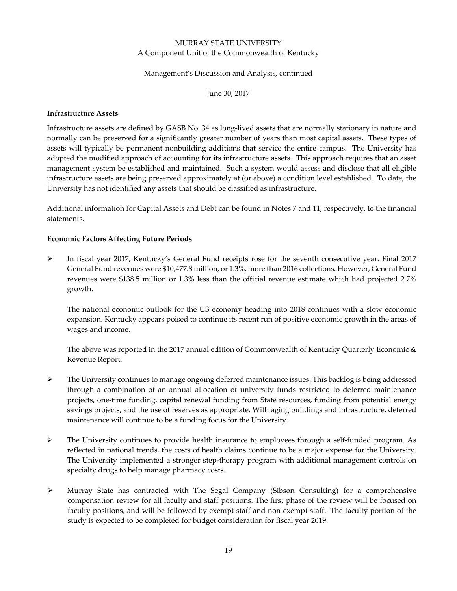#### Management's Discussion and Analysis, continued

June 30, 2017

#### **Infrastructure Assets**

Infrastructure assets are defined by GASB No. 34 as long‐lived assets that are normally stationary in nature and normally can be preserved for a significantly greater number of years than most capital assets. These types of assets will typically be permanent nonbuilding additions that service the entire campus. The University has adopted the modified approach of accounting for its infrastructure assets. This approach requires that an asset management system be established and maintained. Such a system would assess and disclose that all eligible infrastructure assets are being preserved approximately at (or above) a condition level established. To date, the University has not identified any assets that should be classified as infrastructure.

Additional information for Capital Assets and Debt can be found in Notes 7 and 11, respectively, to the financial statements.

#### **Economic Factors Affecting Future Periods**

 In fiscal year 2017, Kentucky's General Fund receipts rose for the seventh consecutive year. Final 2017 General Fund revenues were \$10,477.8 million, or 1.3%, more than 2016 collections. However, General Fund revenues were \$138.5 million or 1.3% less than the official revenue estimate which had projected 2.7% growth.

The national economic outlook for the US economy heading into 2018 continues with a slow economic expansion. Kentucky appears poised to continue its recent run of positive economic growth in the areas of wages and income.

The above was reported in the 2017 annual edition of Commonwealth of Kentucky Quarterly Economic & Revenue Report.

- The University continues to manage ongoing deferred maintenance issues. This backlog is being addressed through a combination of an annual allocation of university funds restricted to deferred maintenance projects, one‐time funding, capital renewal funding from State resources, funding from potential energy savings projects, and the use of reserves as appropriate. With aging buildings and infrastructure, deferred maintenance will continue to be a funding focus for the University.
- The University continues to provide health insurance to employees through a self‐funded program. As reflected in national trends, the costs of health claims continue to be a major expense for the University. The University implemented a stronger step-therapy program with additional management controls on specialty drugs to help manage pharmacy costs.
- Murray State has contracted with The Segal Company (Sibson Consulting) for a comprehensive compensation review for all faculty and staff positions. The first phase of the review will be focused on faculty positions, and will be followed by exempt staff and non‐exempt staff. The faculty portion of the study is expected to be completed for budget consideration for fiscal year 2019.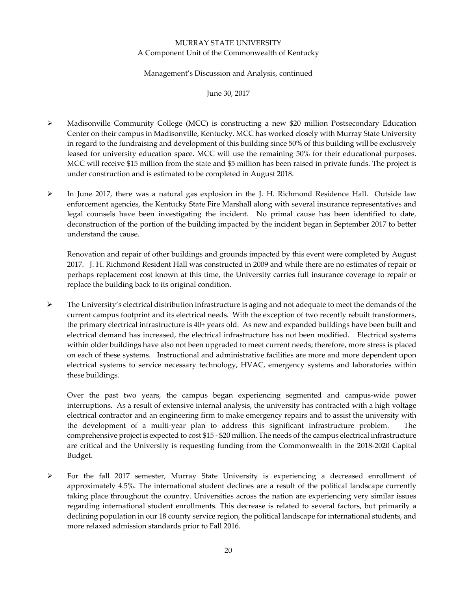#### Management's Discussion and Analysis, continued

June 30, 2017

- Madisonville Community College (MCC) is constructing a new \$20 million Postsecondary Education Center on their campus in Madisonville, Kentucky. MCC has worked closely with Murray State University in regard to the fundraising and development of this building since 50% of this building will be exclusively leased for university education space. MCC will use the remaining 50% for their educational purposes. MCC will receive \$15 million from the state and \$5 million has been raised in private funds. The project is under construction and is estimated to be completed in August 2018.
- $\triangleright$  In June 2017, there was a natural gas explosion in the J. H. Richmond Residence Hall. Outside law enforcement agencies, the Kentucky State Fire Marshall along with several insurance representatives and legal counsels have been investigating the incident. No primal cause has been identified to date, deconstruction of the portion of the building impacted by the incident began in September 2017 to better understand the cause.

Renovation and repair of other buildings and grounds impacted by this event were completed by August 2017. J. H. Richmond Resident Hall was constructed in 2009 and while there are no estimates of repair or perhaps replacement cost known at this time, the University carries full insurance coverage to repair or replace the building back to its original condition.

 $\triangleright$  The University's electrical distribution infrastructure is aging and not adequate to meet the demands of the current campus footprint and its electrical needs. With the exception of two recently rebuilt transformers, the primary electrical infrastructure is 40+ years old. As new and expanded buildings have been built and electrical demand has increased, the electrical infrastructure has not been modified. Electrical systems within older buildings have also not been upgraded to meet current needs; therefore, more stress is placed on each of these systems. Instructional and administrative facilities are more and more dependent upon electrical systems to service necessary technology, HVAC, emergency systems and laboratories within these buildings.

Over the past two years, the campus began experiencing segmented and campus‐wide power interruptions. As a result of extensive internal analysis, the university has contracted with a high voltage electrical contractor and an engineering firm to make emergency repairs and to assist the university with the development of a multi-year plan to address this significant infrastructure problem. The comprehensive project is expected to cost \$15 ‐ \$20 million. The needs of the campus electrical infrastructure are critical and the University is requesting funding from the Commonwealth in the 2018‐2020 Capital Budget.

 $\triangleright$  For the fall 2017 semester, Murray State University is experiencing a decreased enrollment of approximately 4.5%. The international student declines are a result of the political landscape currently taking place throughout the country. Universities across the nation are experiencing very similar issues regarding international student enrollments. This decrease is related to several factors, but primarily a declining population in our 18 county service region, the political landscape for international students, and more relaxed admission standards prior to Fall 2016.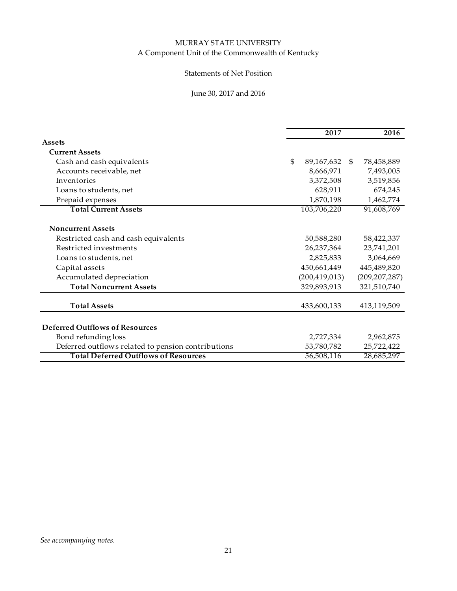## Statements of Net Position

## June 30, 2017 and 2016

|                                                    | 2017             |               | 2016            |
|----------------------------------------------------|------------------|---------------|-----------------|
| <b>Assets</b>                                      |                  |               |                 |
| <b>Current Assets</b>                              |                  |               |                 |
| Cash and cash equivalents                          | \$<br>89,167,632 | <sup>\$</sup> | 78,458,889      |
| Accounts receivable, net                           | 8,666,971        |               | 7,493,005       |
| Inventories                                        | 3,372,508        |               | 3,519,856       |
| Loans to students, net                             | 628,911          |               | 674,245         |
| Prepaid expenses                                   | 1,870,198        |               | 1,462,774       |
| <b>Total Current Assets</b>                        | 103,706,220      |               | 91,608,769      |
|                                                    |                  |               |                 |
| <b>Noncurrent Assets</b>                           |                  |               |                 |
| Restricted cash and cash equivalents               | 50,588,280       |               | 58,422,337      |
| Restricted investments                             | 26,237,364       |               | 23,741,201      |
| Loans to students, net                             | 2,825,833        |               | 3,064,669       |
| Capital assets                                     | 450,661,449      |               | 445,489,820     |
| Accumulated depreciation                           | (200, 419, 013)  |               | (209, 207, 287) |
| <b>Total Noncurrent Assets</b>                     | 329,893,913      |               | 321,510,740     |
| <b>Total Assets</b>                                | 433,600,133      |               | 413,119,509     |
|                                                    |                  |               |                 |
| <b>Deferred Outflows of Resources</b>              |                  |               |                 |
| Bond refunding loss                                | 2,727,334        |               | 2,962,875       |
| Deferred outflows related to pension contributions | 53,780,782       |               | 25,722,422      |
| <b>Total Deferred Outflows of Resources</b>        | 56,508,116       |               | 28,685,297      |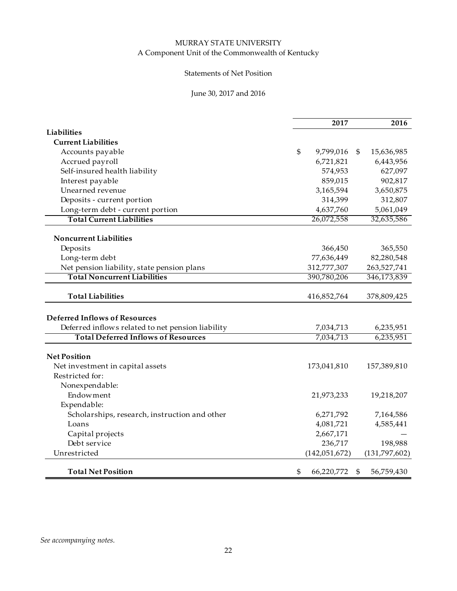## Statements of Net Position

## June 30, 2017 and 2016

|                                                   |                | 2017            | 2016             |
|---------------------------------------------------|----------------|-----------------|------------------|
| <b>Liabilities</b>                                |                |                 |                  |
| <b>Current Liabilities</b>                        |                |                 |                  |
| Accounts payable                                  | $\mathfrak{S}$ | 9,799,016       | \$<br>15,636,985 |
| Accrued payroll                                   |                | 6,721,821       | 6,443,956        |
| Self-insured health liability                     |                | 574,953         | 627,097          |
| Interest payable                                  |                | 859,015         | 902,817          |
| Unearned revenue                                  |                | 3,165,594       | 3,650,875        |
| Deposits - current portion                        |                | 314,399         | 312,807          |
| Long-term debt - current portion                  |                | 4,637,760       | 5,061,049        |
| <b>Total Current Liabilities</b>                  |                | 26,072,558      | 32,635,586       |
| <b>Noncurrent Liabilities</b>                     |                |                 |                  |
| Deposits                                          |                | 366,450         | 365,550          |
| Long-term debt                                    |                | 77,636,449      | 82,280,548       |
| Net pension liability, state pension plans        |                | 312,777,307     | 263,527,741      |
| <b>Total Noncurrent Liabilities</b>               |                | 390,780,206     | 346,173,839      |
|                                                   |                |                 |                  |
| <b>Total Liabilities</b>                          |                | 416,852,764     | 378,809,425      |
| <b>Deferred Inflows of Resources</b>              |                |                 |                  |
| Deferred inflows related to net pension liability |                | 7,034,713       | 6,235,951        |
| <b>Total Deferred Inflows of Resources</b>        |                | 7,034,713       | 6,235,951        |
|                                                   |                |                 |                  |
| <b>Net Position</b>                               |                |                 |                  |
| Net investment in capital assets                  |                | 173,041,810     | 157,389,810      |
| Restricted for:                                   |                |                 |                  |
| Nonexpendable:                                    |                |                 |                  |
| <b>Endowment</b>                                  |                | 21,973,233      | 19,218,207       |
| Expendable:                                       |                |                 |                  |
| Scholarships, research, instruction and other     |                | 6,271,792       | 7,164,586        |
| Loans                                             |                | 4,081,721       | 4,585,441        |
| Capital projects                                  |                | 2,667,171       |                  |
| Debt service                                      |                | 236,717         | 198,988          |
| Unrestricted                                      |                | (142, 051, 672) | (131,797,602)    |
|                                                   |                |                 |                  |
| <b>Total Net Position</b>                         | \$             | 66,220,772      | \$<br>56,759,430 |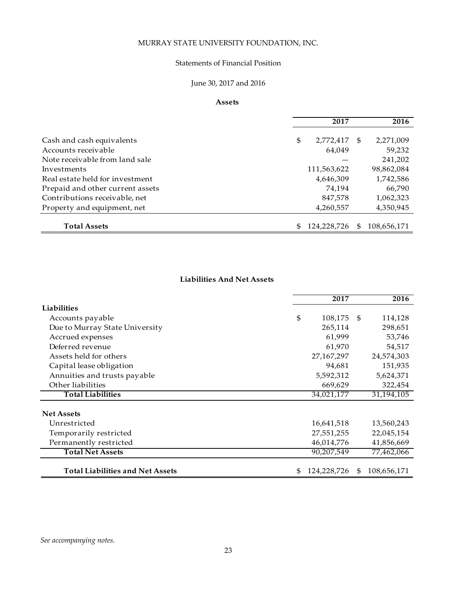## MURRAY STATE UNIVERSITY FOUNDATION, INC.

### Statements of Financial Position

# June 30, 2017 and 2016

#### **Assets**

|                                  | 2017              |    | 2016        |
|----------------------------------|-------------------|----|-------------|
| Cash and cash equivalents        | \$<br>2,772,417   | -S | 2,271,009   |
| Accounts receivable              | 64,049            |    | 59,232      |
| Note receivable from land sale   |                   |    | 241,202     |
| Investments                      | 111,563,622       |    | 98,862,084  |
| Real estate held for investment  | 4,646,309         |    | 1,742,586   |
| Prepaid and other current assets | 74.194            |    | 66,790      |
| Contributions receivable, net    | 847,578           |    | 1,062,323   |
| Property and equipment, net      | 4,260,557         |    | 4,350,945   |
| <b>Total Assets</b>              | \$<br>124.228.726 | \$ | 108.656.171 |

## **Liabilities And Net Assets**

|                                         | 2017              |     | 2016        |
|-----------------------------------------|-------------------|-----|-------------|
| <b>Liabilities</b>                      |                   |     |             |
| Accounts payable                        | \$<br>108,175     | -\$ | 114,128     |
| Due to Murray State University          | 265,114           |     | 298,651     |
| Accrued expenses                        | 61,999            |     | 53,746      |
| Deferred revenue                        | 61,970            |     | 54,517      |
| Assets held for others                  | 27, 167, 297      |     | 24,574,303  |
| Capital lease obligation                | 94,681            |     | 151,935     |
| Annuities and trusts payable            | 5,592,312         |     | 5,624,371   |
| Other liabilities                       | 669,629           |     | 322,454     |
| <b>Total Liabilities</b>                | 34,021,177        |     | 31,194,105  |
| <b>Net Assets</b>                       |                   |     |             |
| Unrestricted                            | 16,641,518        |     | 13,560,243  |
| Temporarily restricted                  | 27,551,255        |     | 22,045,154  |
| Permanently restricted                  | 46,014,776        |     | 41,856,669  |
| <b>Total Net Assets</b>                 | 90,207,549        |     | 77,462,066  |
| <b>Total Liabilities and Net Assets</b> | \$<br>124,228,726 | \$  | 108,656,171 |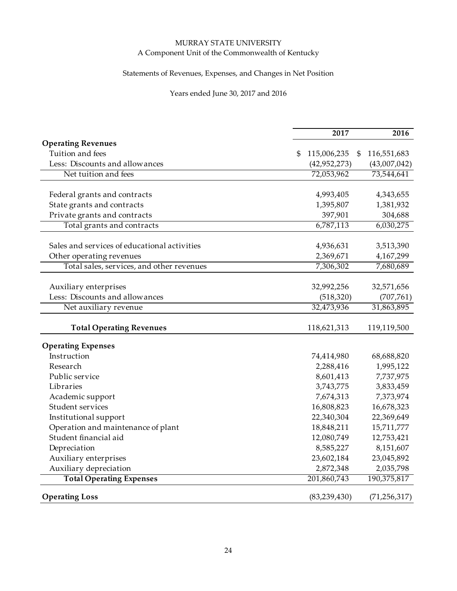## Statements of Revenues, Expenses, and Changes in Net Position

## Years ended June 30, 2017 and 2016

|                                              | 2017              | 2016              |
|----------------------------------------------|-------------------|-------------------|
| <b>Operating Revenues</b>                    |                   |                   |
| Tuition and fees                             | \$<br>115,006,235 | 116,551,683<br>\$ |
| Less: Discounts and allow ances              | (42,952,273)      | (43,007,042)      |
| Net tuition and fees                         | 72,053,962        | 73,544,641        |
|                                              |                   |                   |
| Federal grants and contracts                 | 4,993,405         | 4,343,655         |
| State grants and contracts                   | 1,395,807         | 1,381,932         |
| Private grants and contracts                 | 397,901           | 304,688           |
| Total grants and contracts                   | 6,787,113         | 6,030,275         |
| Sales and services of educational activities | 4,936,631         | 3,513,390         |
| Other operating revenues                     | 2,369,671         | 4,167,299         |
| Total sales, services, and other revenues    | 7,306,302         | 7,680,689         |
|                                              |                   |                   |
| Auxiliary enterprises                        | 32,992,256        | 32,571,656        |
| Less: Discounts and allowances               | (518, 320)        | (707, 761)        |
| Net auxiliary revenue                        | 32,473,936        | 31,863,895        |
| <b>Total Operating Revenues</b>              | 118,621,313       | 119,119,500       |
|                                              |                   |                   |
| <b>Operating Expenses</b>                    |                   |                   |
| Instruction                                  | 74,414,980        | 68,688,820        |
| Research                                     | 2,288,416         | 1,995,122         |
| Public service                               | 8,601,413         | 7,737,975         |
| Libraries                                    | 3,743,775         | 3,833,459         |
| Academic support                             | 7,674,313         | 7,373,974         |
| Student services                             | 16,808,823        | 16,678,323        |
| Institutional support                        | 22,340,304        | 22,369,649        |
| Operation and maintenance of plant           | 18,848,211        | 15,711,777        |
| Student financial aid                        | 12,080,749        | 12,753,421        |
| Depreciation                                 | 8,585,227         | 8,151,607         |
| Auxiliary enterprises                        | 23,602,184        | 23,045,892        |
| Auxiliary depreciation                       | 2,872,348         | 2,035,798         |
| <b>Total Operating Expenses</b>              | 201,860,743       | 190,375,817       |
| <b>Operating Loss</b>                        | (83, 239, 430)    | (71, 256, 317)    |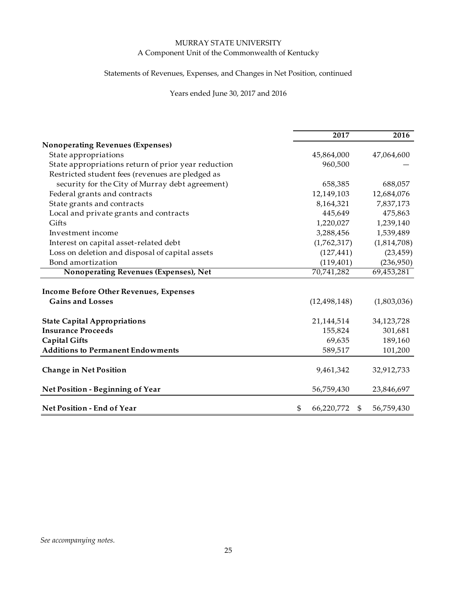## Statements of Revenues, Expenses, and Changes in Net Position, continued

## Years ended June 30, 2017 and 2016

|                                                     | 2017                   | 2016        |
|-----------------------------------------------------|------------------------|-------------|
| <b>Nonoperating Revenues (Expenses)</b>             |                        |             |
| State appropriations                                | 45,864,000             | 47,064,600  |
| State appropriations return of prior year reduction | 960,500                |             |
| Restricted student fees (revenues are pledged as    |                        |             |
| security for the City of Murray debt agreement)     | 658,385                | 688,057     |
| Federal grants and contracts                        | 12,149,103             | 12,684,076  |
| State grants and contracts                          | 8,164,321              | 7,837,173   |
| Local and private grants and contracts              | 445,649                | 475,863     |
| Gifts                                               | 1,220,027              | 1,239,140   |
| Investment income                                   | 3,288,456              | 1,539,489   |
| Interest on capital asset-related debt              | (1,762,317)            | (1,814,708) |
| Loss on deletion and disposal of capital assets     | (127, 441)             | (23, 459)   |
| Bond amortization                                   | (119, 401)             | (236,950)   |
| Nonoperating Revenues (Expenses), Net               | 70,741,282             | 69,453,281  |
|                                                     |                        |             |
| <b>Income Before Other Revenues, Expenses</b>       |                        |             |
| <b>Gains and Losses</b>                             | (12, 498, 148)         | (1,803,036) |
| <b>State Capital Appropriations</b>                 | 21,144,514             | 34,123,728  |
| <b>Insurance Proceeds</b>                           | 155,824                | 301,681     |
| <b>Capital Gifts</b>                                | 69,635                 | 189,160     |
| <b>Additions to Permanent Endowments</b>            | 589,517                | 101,200     |
|                                                     |                        |             |
| <b>Change in Net Position</b>                       | 9,461,342              | 32,912,733  |
| Net Position - Beginning of Year                    | 56,759,430             | 23,846,697  |
| Net Position - End of Year                          | \$<br>66,220,772<br>\$ | 56,759,430  |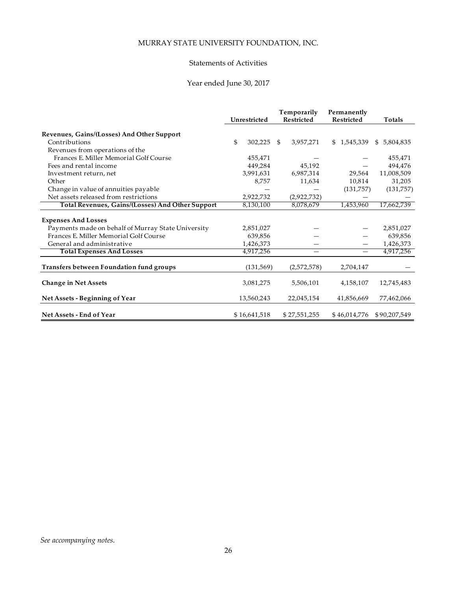## MURRAY STATE UNIVERSITY FOUNDATION, INC.

#### Statements of Activities

## Year ended June 30, 2017

|                                                         |               | Temporarily       | Permanently  |                 |
|---------------------------------------------------------|---------------|-------------------|--------------|-----------------|
|                                                         | Unrestricted  | <b>Restricted</b> | Restricted   | Totals          |
| Revenues, Gains/(Losses) And Other Support              |               |                   |              |                 |
| Contributions                                           | \$<br>302,225 | \$<br>3,957,271   | \$1,545,339  | 5,804,835<br>\$ |
| Revenues from operations of the                         |               |                   |              |                 |
| Frances E. Miller Memorial Golf Course                  | 455,471       |                   |              | 455,471         |
| Fees and rental income                                  | 449,284       | 45,192            |              | 494,476         |
| Investment return, net                                  | 3,991,631     | 6,987,314         | 29,564       | 11,008,509      |
| Other                                                   | 8,757         | 11,634            | 10,814       | 31,205          |
| Change in value of annuities payable                    |               |                   | (131,757)    | (131,757)       |
| Net assets released from restrictions                   | 2,922,732     | (2,922,732)       |              |                 |
| <b>Total Revenues, Gains/(Losses) And Other Support</b> | 8,130,100     | 8,078,679         | 1,453,960    | 17,662,739      |
|                                                         |               |                   |              |                 |
| <b>Expenses And Losses</b>                              |               |                   |              |                 |
| Payments made on behalf of Murray State University      | 2,851,027     |                   |              | 2,851,027       |
| Frances E. Miller Memorial Golf Course                  | 639.856       |                   |              | 639,856         |
| General and administrative                              | 1,426,373     |                   |              | 1,426,373       |
| <b>Total Expenses And Losses</b>                        | 4,917,256     |                   |              | 4,917,256       |
| <b>Transfers between Foundation fund groups</b>         | (131, 569)    | (2,572,578)       | 2,704,147    |                 |
| <b>Change in Net Assets</b>                             | 3,081,275     | 5,506,101         | 4,158,107    | 12,745,483      |
| Net Assets - Beginning of Year                          | 13,560,243    | 22,045,154        | 41,856,669   | 77,462,066      |
| Net Assets - End of Year                                | \$16,641,518  | \$27,551,255      | \$46,014,776 | \$90,207,549    |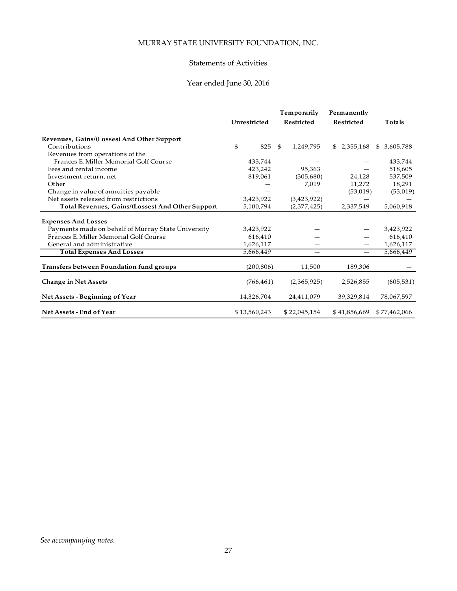# MURRAY STATE UNIVERSITY FOUNDATION, INC.

#### Statements of Activities

## Year ended June 30, 2016

|                                                    |              | Permanently       |                   |                 |  |
|----------------------------------------------------|--------------|-------------------|-------------------|-----------------|--|
|                                                    | Unrestricted | <b>Restricted</b> | <b>Restricted</b> | Totals          |  |
| Revenues, Gains/(Losses) And Other Support         |              |                   |                   |                 |  |
| Contributions                                      | \$<br>825    | 1,249,795<br>\$   | \$2,355,168       | 3,605,788<br>\$ |  |
| Revenues from operations of the                    |              |                   |                   |                 |  |
| Frances E. Miller Memorial Golf Course             | 433,744      |                   |                   | 433,744         |  |
| Fees and rental income                             | 423,242      | 95,363            |                   | 518,605         |  |
| Investment return, net                             | 819,061      | (305,680)         | 24,128            | 537,509         |  |
| Other                                              |              | 7,019             | 11,272            | 18,291          |  |
| Change in value of annuities payable               |              |                   | (53,019)          | (53,019)        |  |
| Net assets released from restrictions              | 3,423,922    | (3,423,922)       |                   |                 |  |
| Total Revenues, Gains/(Losses) And Other Support   | 5,100,794    | (2,377,425)       | 2,337,549         | 5,060,918       |  |
| <b>Expenses And Losses</b>                         |              |                   |                   |                 |  |
| Payments made on behalf of Murray State University | 3,423,922    |                   |                   | 3,423,922       |  |
| Frances E. Miller Memorial Golf Course             | 616,410      |                   |                   | 616,410         |  |
| General and administrative                         | 1,626,117    |                   |                   | 1,626,117       |  |
| <b>Total Expenses And Losses</b>                   | 5,666,449    |                   |                   | 5,666,449       |  |
|                                                    |              |                   |                   |                 |  |
| Transfers between Foundation fund groups           | (200, 806)   | 11,500            | 189,306           |                 |  |
| <b>Change in Net Assets</b>                        | (766, 461)   | (2,365,925)       | 2,526,855         | (605, 531)      |  |
| Net Assets - Beginning of Year                     | 14,326,704   | 24,411,079        | 39,329,814        | 78,067,597      |  |
| Net Assets - End of Year                           | \$13,560,243 | \$22,045,154      | \$41,856,669      | \$77,462,066    |  |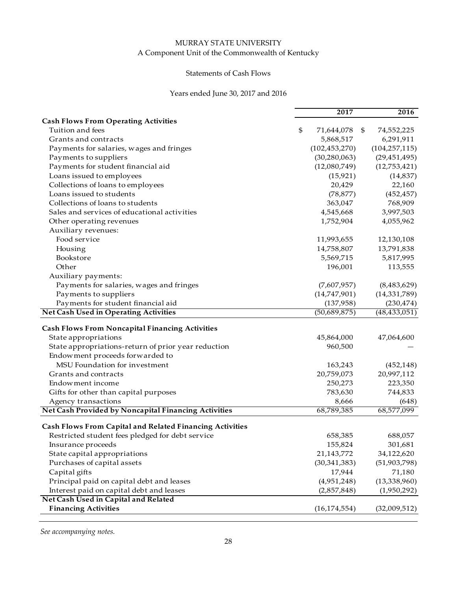## Statements of Cash Flows

## Years ended June 30, 2017 and 2016

| <b>Cash Flows From Operating Activities</b><br>\$<br>Tuition and fees<br>71,644,078<br>\$<br>74,552,225<br>Grants and contracts<br>6,291,911<br>5,868,517<br>(102, 453, 270)<br>(104, 257, 115)<br>Payments for salaries, wages and fringes<br>(30, 280, 063)<br>Payments to suppliers<br>(29, 451, 495)<br>Payments for student financial aid<br>(12,080,749)<br>(12,753,421)<br>Loans issued to employees<br>(15, 921)<br>(14, 837)<br>Collections of loans to employees<br>20,429<br>22,160<br>Loans issued to students<br>(78, 877)<br>(452, 457)<br>Collections of loans to students<br>768,909<br>363,047<br>3,997,503<br>Sales and services of educational activities<br>4,545,668<br>Other operating revenues<br>1,752,904<br>4,055,962<br>Auxiliary revenues:<br>Food service<br>11,993,655<br>12,130,108<br>14,758,807<br>13,791,838<br>Housing<br>Bookstore<br>5,817,995<br>5,569,715<br>Other<br>196,001<br>113,555<br>Auxiliary payments:<br>Payments for salaries, wages and fringes<br>(7,607,957)<br>(8,483,629)<br>Payments to suppliers<br>(14,747,901)<br>(14, 331, 789)<br>Payments for student financial aid<br>(137,958)<br>(230, 474)<br><b>Net Cash Used in Operating Activities</b><br>(50,689,875)<br>(48, 433, 051)<br><b>Cash Flows From Noncapital Financing Activities</b><br>State appropriations<br>45,864,000<br>47,064,600<br>State appropriations-return of prior year reduction<br>960,500<br>Endowment proceeds forwarded to<br>MSU Foundation for investment<br>163,243<br>(452, 148)<br>20,759,073<br>20,997,112<br>Grants and contracts<br>250,273<br>223,350<br>Endowment income<br>783,630<br>744,833<br>Gifts for other than capital purposes<br>Agency transactions<br>8,666<br>(648)<br>Net Cash Provided by Noncapital Financing Activities<br>68,789,385<br>68,577,099<br><b>Cash Flows From Capital and Related Financing Activities</b><br>Restricted student fees pledged for debt service<br>658,385<br>688,057<br>301,681<br>Insurance proceeds<br>155,824<br>34,122,620<br>State capital appropriations<br>21,143,772<br>Purchases of capital assets<br>(30, 341, 383)<br>(51,903,798)<br>Capital gifts<br>17,944<br>71,180<br>(4,951,248)<br>(13, 338, 960)<br>Principal paid on capital debt and leases<br>Interest paid on capital debt and leases<br>(2,857,848)<br>(1,950,292)<br>Net Cash Used in Capital and Related<br><b>Financing Activities</b><br>(32,009,512)<br>(16, 174, 554) |  | 2017 | 2016 |
|---------------------------------------------------------------------------------------------------------------------------------------------------------------------------------------------------------------------------------------------------------------------------------------------------------------------------------------------------------------------------------------------------------------------------------------------------------------------------------------------------------------------------------------------------------------------------------------------------------------------------------------------------------------------------------------------------------------------------------------------------------------------------------------------------------------------------------------------------------------------------------------------------------------------------------------------------------------------------------------------------------------------------------------------------------------------------------------------------------------------------------------------------------------------------------------------------------------------------------------------------------------------------------------------------------------------------------------------------------------------------------------------------------------------------------------------------------------------------------------------------------------------------------------------------------------------------------------------------------------------------------------------------------------------------------------------------------------------------------------------------------------------------------------------------------------------------------------------------------------------------------------------------------------------------------------------------------------------------------------------------------------------------------------------------------------------------------------------------------------------------------------------------------------------------------------------------------------------------------------------------------------------------------------------------------------------------------------------------------------------------------------------------------------------------------------------------|--|------|------|
|                                                                                                                                                                                                                                                                                                                                                                                                                                                                                                                                                                                                                                                                                                                                                                                                                                                                                                                                                                                                                                                                                                                                                                                                                                                                                                                                                                                                                                                                                                                                                                                                                                                                                                                                                                                                                                                                                                                                                                                                                                                                                                                                                                                                                                                                                                                                                                                                                                                   |  |      |      |
|                                                                                                                                                                                                                                                                                                                                                                                                                                                                                                                                                                                                                                                                                                                                                                                                                                                                                                                                                                                                                                                                                                                                                                                                                                                                                                                                                                                                                                                                                                                                                                                                                                                                                                                                                                                                                                                                                                                                                                                                                                                                                                                                                                                                                                                                                                                                                                                                                                                   |  |      |      |
|                                                                                                                                                                                                                                                                                                                                                                                                                                                                                                                                                                                                                                                                                                                                                                                                                                                                                                                                                                                                                                                                                                                                                                                                                                                                                                                                                                                                                                                                                                                                                                                                                                                                                                                                                                                                                                                                                                                                                                                                                                                                                                                                                                                                                                                                                                                                                                                                                                                   |  |      |      |
|                                                                                                                                                                                                                                                                                                                                                                                                                                                                                                                                                                                                                                                                                                                                                                                                                                                                                                                                                                                                                                                                                                                                                                                                                                                                                                                                                                                                                                                                                                                                                                                                                                                                                                                                                                                                                                                                                                                                                                                                                                                                                                                                                                                                                                                                                                                                                                                                                                                   |  |      |      |
|                                                                                                                                                                                                                                                                                                                                                                                                                                                                                                                                                                                                                                                                                                                                                                                                                                                                                                                                                                                                                                                                                                                                                                                                                                                                                                                                                                                                                                                                                                                                                                                                                                                                                                                                                                                                                                                                                                                                                                                                                                                                                                                                                                                                                                                                                                                                                                                                                                                   |  |      |      |
|                                                                                                                                                                                                                                                                                                                                                                                                                                                                                                                                                                                                                                                                                                                                                                                                                                                                                                                                                                                                                                                                                                                                                                                                                                                                                                                                                                                                                                                                                                                                                                                                                                                                                                                                                                                                                                                                                                                                                                                                                                                                                                                                                                                                                                                                                                                                                                                                                                                   |  |      |      |
|                                                                                                                                                                                                                                                                                                                                                                                                                                                                                                                                                                                                                                                                                                                                                                                                                                                                                                                                                                                                                                                                                                                                                                                                                                                                                                                                                                                                                                                                                                                                                                                                                                                                                                                                                                                                                                                                                                                                                                                                                                                                                                                                                                                                                                                                                                                                                                                                                                                   |  |      |      |
|                                                                                                                                                                                                                                                                                                                                                                                                                                                                                                                                                                                                                                                                                                                                                                                                                                                                                                                                                                                                                                                                                                                                                                                                                                                                                                                                                                                                                                                                                                                                                                                                                                                                                                                                                                                                                                                                                                                                                                                                                                                                                                                                                                                                                                                                                                                                                                                                                                                   |  |      |      |
|                                                                                                                                                                                                                                                                                                                                                                                                                                                                                                                                                                                                                                                                                                                                                                                                                                                                                                                                                                                                                                                                                                                                                                                                                                                                                                                                                                                                                                                                                                                                                                                                                                                                                                                                                                                                                                                                                                                                                                                                                                                                                                                                                                                                                                                                                                                                                                                                                                                   |  |      |      |
|                                                                                                                                                                                                                                                                                                                                                                                                                                                                                                                                                                                                                                                                                                                                                                                                                                                                                                                                                                                                                                                                                                                                                                                                                                                                                                                                                                                                                                                                                                                                                                                                                                                                                                                                                                                                                                                                                                                                                                                                                                                                                                                                                                                                                                                                                                                                                                                                                                                   |  |      |      |
|                                                                                                                                                                                                                                                                                                                                                                                                                                                                                                                                                                                                                                                                                                                                                                                                                                                                                                                                                                                                                                                                                                                                                                                                                                                                                                                                                                                                                                                                                                                                                                                                                                                                                                                                                                                                                                                                                                                                                                                                                                                                                                                                                                                                                                                                                                                                                                                                                                                   |  |      |      |
|                                                                                                                                                                                                                                                                                                                                                                                                                                                                                                                                                                                                                                                                                                                                                                                                                                                                                                                                                                                                                                                                                                                                                                                                                                                                                                                                                                                                                                                                                                                                                                                                                                                                                                                                                                                                                                                                                                                                                                                                                                                                                                                                                                                                                                                                                                                                                                                                                                                   |  |      |      |
|                                                                                                                                                                                                                                                                                                                                                                                                                                                                                                                                                                                                                                                                                                                                                                                                                                                                                                                                                                                                                                                                                                                                                                                                                                                                                                                                                                                                                                                                                                                                                                                                                                                                                                                                                                                                                                                                                                                                                                                                                                                                                                                                                                                                                                                                                                                                                                                                                                                   |  |      |      |
|                                                                                                                                                                                                                                                                                                                                                                                                                                                                                                                                                                                                                                                                                                                                                                                                                                                                                                                                                                                                                                                                                                                                                                                                                                                                                                                                                                                                                                                                                                                                                                                                                                                                                                                                                                                                                                                                                                                                                                                                                                                                                                                                                                                                                                                                                                                                                                                                                                                   |  |      |      |
|                                                                                                                                                                                                                                                                                                                                                                                                                                                                                                                                                                                                                                                                                                                                                                                                                                                                                                                                                                                                                                                                                                                                                                                                                                                                                                                                                                                                                                                                                                                                                                                                                                                                                                                                                                                                                                                                                                                                                                                                                                                                                                                                                                                                                                                                                                                                                                                                                                                   |  |      |      |
|                                                                                                                                                                                                                                                                                                                                                                                                                                                                                                                                                                                                                                                                                                                                                                                                                                                                                                                                                                                                                                                                                                                                                                                                                                                                                                                                                                                                                                                                                                                                                                                                                                                                                                                                                                                                                                                                                                                                                                                                                                                                                                                                                                                                                                                                                                                                                                                                                                                   |  |      |      |
|                                                                                                                                                                                                                                                                                                                                                                                                                                                                                                                                                                                                                                                                                                                                                                                                                                                                                                                                                                                                                                                                                                                                                                                                                                                                                                                                                                                                                                                                                                                                                                                                                                                                                                                                                                                                                                                                                                                                                                                                                                                                                                                                                                                                                                                                                                                                                                                                                                                   |  |      |      |
|                                                                                                                                                                                                                                                                                                                                                                                                                                                                                                                                                                                                                                                                                                                                                                                                                                                                                                                                                                                                                                                                                                                                                                                                                                                                                                                                                                                                                                                                                                                                                                                                                                                                                                                                                                                                                                                                                                                                                                                                                                                                                                                                                                                                                                                                                                                                                                                                                                                   |  |      |      |
|                                                                                                                                                                                                                                                                                                                                                                                                                                                                                                                                                                                                                                                                                                                                                                                                                                                                                                                                                                                                                                                                                                                                                                                                                                                                                                                                                                                                                                                                                                                                                                                                                                                                                                                                                                                                                                                                                                                                                                                                                                                                                                                                                                                                                                                                                                                                                                                                                                                   |  |      |      |
|                                                                                                                                                                                                                                                                                                                                                                                                                                                                                                                                                                                                                                                                                                                                                                                                                                                                                                                                                                                                                                                                                                                                                                                                                                                                                                                                                                                                                                                                                                                                                                                                                                                                                                                                                                                                                                                                                                                                                                                                                                                                                                                                                                                                                                                                                                                                                                                                                                                   |  |      |      |
|                                                                                                                                                                                                                                                                                                                                                                                                                                                                                                                                                                                                                                                                                                                                                                                                                                                                                                                                                                                                                                                                                                                                                                                                                                                                                                                                                                                                                                                                                                                                                                                                                                                                                                                                                                                                                                                                                                                                                                                                                                                                                                                                                                                                                                                                                                                                                                                                                                                   |  |      |      |
|                                                                                                                                                                                                                                                                                                                                                                                                                                                                                                                                                                                                                                                                                                                                                                                                                                                                                                                                                                                                                                                                                                                                                                                                                                                                                                                                                                                                                                                                                                                                                                                                                                                                                                                                                                                                                                                                                                                                                                                                                                                                                                                                                                                                                                                                                                                                                                                                                                                   |  |      |      |
|                                                                                                                                                                                                                                                                                                                                                                                                                                                                                                                                                                                                                                                                                                                                                                                                                                                                                                                                                                                                                                                                                                                                                                                                                                                                                                                                                                                                                                                                                                                                                                                                                                                                                                                                                                                                                                                                                                                                                                                                                                                                                                                                                                                                                                                                                                                                                                                                                                                   |  |      |      |
|                                                                                                                                                                                                                                                                                                                                                                                                                                                                                                                                                                                                                                                                                                                                                                                                                                                                                                                                                                                                                                                                                                                                                                                                                                                                                                                                                                                                                                                                                                                                                                                                                                                                                                                                                                                                                                                                                                                                                                                                                                                                                                                                                                                                                                                                                                                                                                                                                                                   |  |      |      |
|                                                                                                                                                                                                                                                                                                                                                                                                                                                                                                                                                                                                                                                                                                                                                                                                                                                                                                                                                                                                                                                                                                                                                                                                                                                                                                                                                                                                                                                                                                                                                                                                                                                                                                                                                                                                                                                                                                                                                                                                                                                                                                                                                                                                                                                                                                                                                                                                                                                   |  |      |      |
|                                                                                                                                                                                                                                                                                                                                                                                                                                                                                                                                                                                                                                                                                                                                                                                                                                                                                                                                                                                                                                                                                                                                                                                                                                                                                                                                                                                                                                                                                                                                                                                                                                                                                                                                                                                                                                                                                                                                                                                                                                                                                                                                                                                                                                                                                                                                                                                                                                                   |  |      |      |
|                                                                                                                                                                                                                                                                                                                                                                                                                                                                                                                                                                                                                                                                                                                                                                                                                                                                                                                                                                                                                                                                                                                                                                                                                                                                                                                                                                                                                                                                                                                                                                                                                                                                                                                                                                                                                                                                                                                                                                                                                                                                                                                                                                                                                                                                                                                                                                                                                                                   |  |      |      |
|                                                                                                                                                                                                                                                                                                                                                                                                                                                                                                                                                                                                                                                                                                                                                                                                                                                                                                                                                                                                                                                                                                                                                                                                                                                                                                                                                                                                                                                                                                                                                                                                                                                                                                                                                                                                                                                                                                                                                                                                                                                                                                                                                                                                                                                                                                                                                                                                                                                   |  |      |      |
|                                                                                                                                                                                                                                                                                                                                                                                                                                                                                                                                                                                                                                                                                                                                                                                                                                                                                                                                                                                                                                                                                                                                                                                                                                                                                                                                                                                                                                                                                                                                                                                                                                                                                                                                                                                                                                                                                                                                                                                                                                                                                                                                                                                                                                                                                                                                                                                                                                                   |  |      |      |
|                                                                                                                                                                                                                                                                                                                                                                                                                                                                                                                                                                                                                                                                                                                                                                                                                                                                                                                                                                                                                                                                                                                                                                                                                                                                                                                                                                                                                                                                                                                                                                                                                                                                                                                                                                                                                                                                                                                                                                                                                                                                                                                                                                                                                                                                                                                                                                                                                                                   |  |      |      |
|                                                                                                                                                                                                                                                                                                                                                                                                                                                                                                                                                                                                                                                                                                                                                                                                                                                                                                                                                                                                                                                                                                                                                                                                                                                                                                                                                                                                                                                                                                                                                                                                                                                                                                                                                                                                                                                                                                                                                                                                                                                                                                                                                                                                                                                                                                                                                                                                                                                   |  |      |      |
|                                                                                                                                                                                                                                                                                                                                                                                                                                                                                                                                                                                                                                                                                                                                                                                                                                                                                                                                                                                                                                                                                                                                                                                                                                                                                                                                                                                                                                                                                                                                                                                                                                                                                                                                                                                                                                                                                                                                                                                                                                                                                                                                                                                                                                                                                                                                                                                                                                                   |  |      |      |
|                                                                                                                                                                                                                                                                                                                                                                                                                                                                                                                                                                                                                                                                                                                                                                                                                                                                                                                                                                                                                                                                                                                                                                                                                                                                                                                                                                                                                                                                                                                                                                                                                                                                                                                                                                                                                                                                                                                                                                                                                                                                                                                                                                                                                                                                                                                                                                                                                                                   |  |      |      |
|                                                                                                                                                                                                                                                                                                                                                                                                                                                                                                                                                                                                                                                                                                                                                                                                                                                                                                                                                                                                                                                                                                                                                                                                                                                                                                                                                                                                                                                                                                                                                                                                                                                                                                                                                                                                                                                                                                                                                                                                                                                                                                                                                                                                                                                                                                                                                                                                                                                   |  |      |      |
|                                                                                                                                                                                                                                                                                                                                                                                                                                                                                                                                                                                                                                                                                                                                                                                                                                                                                                                                                                                                                                                                                                                                                                                                                                                                                                                                                                                                                                                                                                                                                                                                                                                                                                                                                                                                                                                                                                                                                                                                                                                                                                                                                                                                                                                                                                                                                                                                                                                   |  |      |      |
|                                                                                                                                                                                                                                                                                                                                                                                                                                                                                                                                                                                                                                                                                                                                                                                                                                                                                                                                                                                                                                                                                                                                                                                                                                                                                                                                                                                                                                                                                                                                                                                                                                                                                                                                                                                                                                                                                                                                                                                                                                                                                                                                                                                                                                                                                                                                                                                                                                                   |  |      |      |
|                                                                                                                                                                                                                                                                                                                                                                                                                                                                                                                                                                                                                                                                                                                                                                                                                                                                                                                                                                                                                                                                                                                                                                                                                                                                                                                                                                                                                                                                                                                                                                                                                                                                                                                                                                                                                                                                                                                                                                                                                                                                                                                                                                                                                                                                                                                                                                                                                                                   |  |      |      |
|                                                                                                                                                                                                                                                                                                                                                                                                                                                                                                                                                                                                                                                                                                                                                                                                                                                                                                                                                                                                                                                                                                                                                                                                                                                                                                                                                                                                                                                                                                                                                                                                                                                                                                                                                                                                                                                                                                                                                                                                                                                                                                                                                                                                                                                                                                                                                                                                                                                   |  |      |      |
|                                                                                                                                                                                                                                                                                                                                                                                                                                                                                                                                                                                                                                                                                                                                                                                                                                                                                                                                                                                                                                                                                                                                                                                                                                                                                                                                                                                                                                                                                                                                                                                                                                                                                                                                                                                                                                                                                                                                                                                                                                                                                                                                                                                                                                                                                                                                                                                                                                                   |  |      |      |
|                                                                                                                                                                                                                                                                                                                                                                                                                                                                                                                                                                                                                                                                                                                                                                                                                                                                                                                                                                                                                                                                                                                                                                                                                                                                                                                                                                                                                                                                                                                                                                                                                                                                                                                                                                                                                                                                                                                                                                                                                                                                                                                                                                                                                                                                                                                                                                                                                                                   |  |      |      |
|                                                                                                                                                                                                                                                                                                                                                                                                                                                                                                                                                                                                                                                                                                                                                                                                                                                                                                                                                                                                                                                                                                                                                                                                                                                                                                                                                                                                                                                                                                                                                                                                                                                                                                                                                                                                                                                                                                                                                                                                                                                                                                                                                                                                                                                                                                                                                                                                                                                   |  |      |      |
|                                                                                                                                                                                                                                                                                                                                                                                                                                                                                                                                                                                                                                                                                                                                                                                                                                                                                                                                                                                                                                                                                                                                                                                                                                                                                                                                                                                                                                                                                                                                                                                                                                                                                                                                                                                                                                                                                                                                                                                                                                                                                                                                                                                                                                                                                                                                                                                                                                                   |  |      |      |

*See accompanying notes.*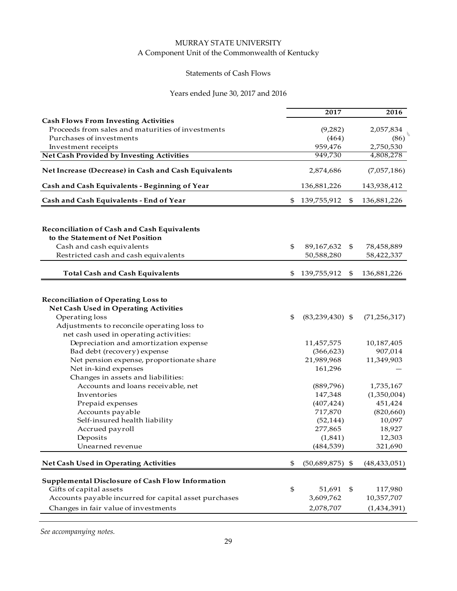## Statements of Cash Flows

## Years ended June 30, 2017 and 2016

|                                                                               | 2017                      | 2016              |
|-------------------------------------------------------------------------------|---------------------------|-------------------|
| <b>Cash Flows From Investing Activities</b>                                   |                           |                   |
| Proceeds from sales and maturities of investments<br>Purchases of investments | (9,282)                   | 2,057,834         |
| Investment receipts                                                           | (464)<br>959,476          | (86)<br>2,750,530 |
| <b>Net Cash Provided by Investing Activities</b>                              | 949,730                   | 4,808,278         |
| Net Increase (Decrease) in Cash and Cash Equivalents                          | 2,874,686                 | (7,057,186)       |
| Cash and Cash Equivalents - Beginning of Year                                 | 136,881,226               | 143,938,412       |
| Cash and Cash Equivalents - End of Year                                       | \$<br>139,755,912         | \$<br>136,881,226 |
|                                                                               |                           |                   |
| <b>Reconciliation of Cash and Cash Equivalents</b>                            |                           |                   |
| to the Statement of Net Position                                              |                           |                   |
| Cash and cash equivalents                                                     | \$<br>89, 167, 632        | \$<br>78,458,889  |
| Restricted cash and cash equivalents                                          | 50,588,280                | 58,422,337        |
| <b>Total Cash and Cash Equivalents</b>                                        | \$<br>139,755,912         | \$<br>136,881,226 |
|                                                                               |                           |                   |
| <b>Reconciliation of Operating Loss to</b>                                    |                           |                   |
| Net Cash Used in Operating Activities                                         |                           |                   |
| Operating loss                                                                | \$<br>$(83, 239, 430)$ \$ | (71, 256, 317)    |
| Adjustments to reconcile operating loss to                                    |                           |                   |
| net cash used in operating activities:                                        |                           |                   |
| Depreciation and amortization expense                                         | 11,457,575                | 10,187,405        |
| Bad debt (recovery) expense                                                   | (366, 623)                | 907,014           |
| Net pension expense, proportionate share                                      | 21,989,968                | 11,349,903        |
| Net in-kind expenses                                                          | 161,296                   |                   |
| Changes in assets and liabilities:                                            |                           |                   |
| Accounts and loans receivable, net                                            | (889,796)                 | 1,735,167         |
| Inventories                                                                   | 147,348                   | (1,350,004)       |
| Prepaid expenses                                                              | (407, 424)                | 451,424           |
| Accounts payable                                                              | 717,870                   | (820, 660)        |
| Self-insured health liability                                                 | (52, 144)                 | 10,097            |
| Accrued payroll                                                               | 277,865                   | 18,927            |
| Deposits                                                                      | (1,841)                   | 12,303            |
| Unearned revenue                                                              | (484, 539)                | 321,690           |
| Net Cash Used in Operating Activities                                         | \$<br>$(50,689,875)$ \$   | (48, 433, 051)    |
| Supplemental Disclosure of Cash Flow Information                              |                           |                   |
| Gifts of capital assets                                                       | \$<br>51,691              | \$<br>117,980     |
| Accounts payable incurred for capital asset purchases                         | 3,609,762                 | 10,357,707        |
|                                                                               |                           |                   |
| Changes in fair value of investments                                          | 2,078,707                 | (1,434,391)       |

*See accompanying notes.*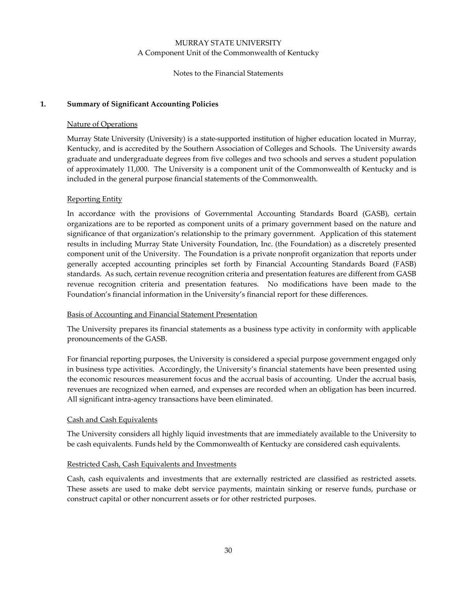#### Notes to the Financial Statements

#### **1. Summary of Significant Accounting Policies**

#### Nature of Operations

Murray State University (University) is a state-supported institution of higher education located in Murray, Kentucky, and is accredited by the Southern Association of Colleges and Schools. The University awards graduate and undergraduate degrees from five colleges and two schools and serves a student population of approximately 11,000. The University is a component unit of the Commonwealth of Kentucky and is included in the general purpose financial statements of the Commonwealth.

#### Reporting Entity

In accordance with the provisions of Governmental Accounting Standards Board (GASB), certain organizations are to be reported as component units of a primary government based on the nature and significance of that organization's relationship to the primary government. Application of this statement results in including Murray State University Foundation, Inc. (the Foundation) as a discretely presented component unit of the University. The Foundation is a private nonprofit organization that reports under generally accepted accounting principles set forth by Financial Accounting Standards Board (FASB) standards. As such, certain revenue recognition criteria and presentation features are different from GASB revenue recognition criteria and presentation features. No modifications have been made to the Foundation's financial information in the University's financial report for these differences.

#### Basis of Accounting and Financial Statement Presentation

The University prepares its financial statements as a business type activity in conformity with applicable pronouncements of the GASB.

For financial reporting purposes, the University is considered a special purpose government engaged only in business type activities. Accordingly, the University's financial statements have been presented using the economic resources measurement focus and the accrual basis of accounting. Under the accrual basis, revenues are recognized when earned, and expenses are recorded when an obligation has been incurred. All significant intra‐agency transactions have been eliminated.

#### Cash and Cash Equivalents

The University considers all highly liquid investments that are immediately available to the University to be cash equivalents. Funds held by the Commonwealth of Kentucky are considered cash equivalents.

#### Restricted Cash, Cash Equivalents and Investments

Cash, cash equivalents and investments that are externally restricted are classified as restricted assets. These assets are used to make debt service payments, maintain sinking or reserve funds, purchase or construct capital or other noncurrent assets or for other restricted purposes.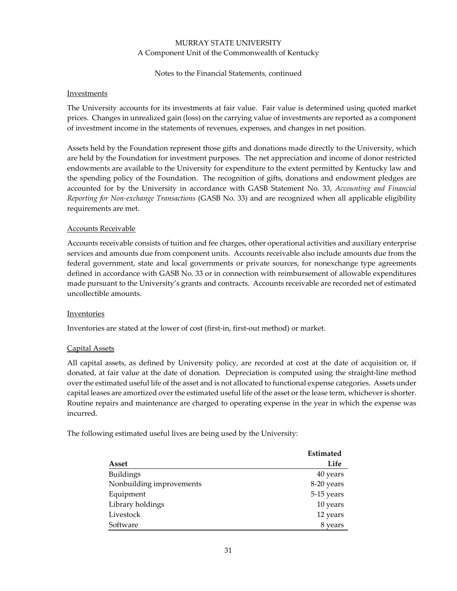#### Notes to the Financial Statements, continued

#### **Investments**

The University accounts for its investments at fair value. Fair value is determined using quoted market prices. Changes in unrealized gain (loss) on the carrying value of investments are reported as a component of investment income in the statements of revenues, expenses, and changes in net position.

Assets held by the Foundation represent those gifts and donations made directly to the University, which are held by the Foundation for investment purposes. The net appreciation and income of donor restricted endowments are available to the University for expenditure to the extent permitted by Kentucky law and the spending policy of the Foundation. The recognition of gifts, donations and endowment pledges are accounted for by the University in accordance with GASB Statement No. 33, *Accounting and Financial Reporting for Non‐exchange Transactions* (GASB No. 33) and are recognized when all applicable eligibility requirements are met.

#### Accounts Receivable

Accounts receivable consists of tuition and fee charges, other operational activities and auxiliary enterprise services and amounts due from component units. Accounts receivable also include amounts due from the federal government, state and local governments or private sources, for nonexchange type agreements defined in accordance with GASB No. 33 or in connection with reimbursement of allowable expenditures made pursuant to the University's grants and contracts. Accounts receivable are recorded net of estimated uncollectible amounts.

#### Inventories

Inventories are stated at the lower of cost (first‐in, first‐out method) or market.

#### Capital Assets

All capital assets, as defined by University policy, are recorded at cost at the date of acquisition or, if donated, at fair value at the date of donation. Depreciation is computed using the straight‐line method over the estimated useful life of the asset and is not allocated to functional expense categories. Assets under capital leases are amortized over the estimated useful life of the asset or the lease term, whichever is shorter. Routine repairs and maintenance are charged to operating expense in the year in which the expense was incurred.

The following estimated useful lives are being used by the University:

|                          | <b>Estimated</b> |
|--------------------------|------------------|
| Asset                    | Life             |
| <b>Buildings</b>         | 40 years         |
| Nonbuilding improvements | 8-20 years       |
| Equipment                | 5-15 years       |
| Library holdings         | 10 years         |
| Livestock                | 12 years         |
| Software                 | 8 years          |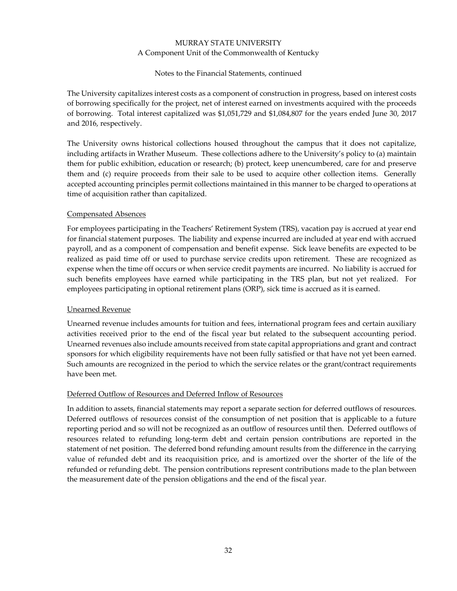#### Notes to the Financial Statements, continued

The University capitalizes interest costs as a component of construction in progress, based on interest costs of borrowing specifically for the project, net of interest earned on investments acquired with the proceeds of borrowing. Total interest capitalized was \$1,051,729 and \$1,084,807 for the years ended June 30, 2017 and 2016, respectively.

The University owns historical collections housed throughout the campus that it does not capitalize, including artifacts in Wrather Museum. These collections adhere to the University's policy to (a) maintain them for public exhibition, education or research; (b) protect, keep unencumbered, care for and preserve them and (c) require proceeds from their sale to be used to acquire other collection items. Generally accepted accounting principles permit collections maintained in this manner to be charged to operations at time of acquisition rather than capitalized.

#### Compensated Absences

For employees participating in the Teachers' Retirement System (TRS), vacation pay is accrued at year end for financial statement purposes. The liability and expense incurred are included at year end with accrued payroll, and as a component of compensation and benefit expense. Sick leave benefits are expected to be realized as paid time off or used to purchase service credits upon retirement. These are recognized as expense when the time off occurs or when service credit payments are incurred. No liability is accrued for such benefits employees have earned while participating in the TRS plan, but not yet realized. For employees participating in optional retirement plans (ORP), sick time is accrued as it is earned.

#### Unearned Revenue

Unearned revenue includes amounts for tuition and fees, international program fees and certain auxiliary activities received prior to the end of the fiscal year but related to the subsequent accounting period. Unearned revenues also include amounts received from state capital appropriations and grant and contract sponsors for which eligibility requirements have not been fully satisfied or that have not yet been earned. Such amounts are recognized in the period to which the service relates or the grant/contract requirements have been met.

#### Deferred Outflow of Resources and Deferred Inflow of Resources

In addition to assets, financial statements may report a separate section for deferred outflows of resources. Deferred outflows of resources consist of the consumption of net position that is applicable to a future reporting period and so will not be recognized as an outflow of resources until then. Deferred outflows of resources related to refunding long‐term debt and certain pension contributions are reported in the statement of net position. The deferred bond refunding amount results from the difference in the carrying value of refunded debt and its reacquisition price, and is amortized over the shorter of the life of the refunded or refunding debt. The pension contributions represent contributions made to the plan between the measurement date of the pension obligations and the end of the fiscal year.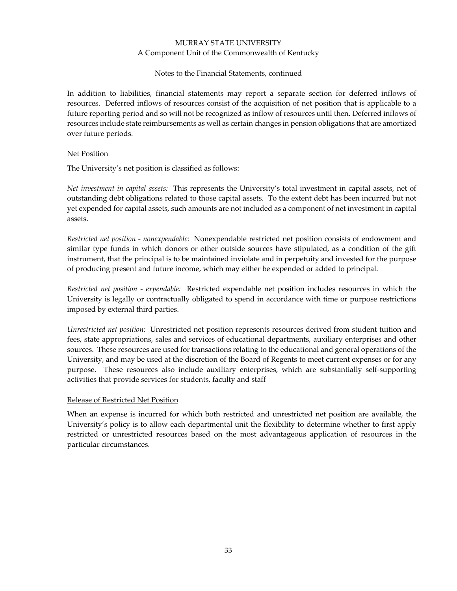Notes to the Financial Statements, continued

In addition to liabilities, financial statements may report a separate section for deferred inflows of resources. Deferred inflows of resources consist of the acquisition of net position that is applicable to a future reporting period and so will not be recognized as inflow of resources until then. Deferred inflows of resources include state reimbursements as well as certain changes in pension obligations that are amortized over future periods.

#### Net Position

The University's net position is classified as follows:

*Net investment in capital assets:* This represents the University's total investment in capital assets, net of outstanding debt obligations related to those capital assets. To the extent debt has been incurred but not yet expended for capital assets, such amounts are not included as a component of net investment in capital assets.

*Restricted net position ‐ nonexpendable:* Nonexpendable restricted net position consists of endowment and similar type funds in which donors or other outside sources have stipulated, as a condition of the gift instrument, that the principal is to be maintained inviolate and in perpetuity and invested for the purpose of producing present and future income, which may either be expended or added to principal.

*Restricted net position ‐ expendable:* Restricted expendable net position includes resources in which the University is legally or contractually obligated to spend in accordance with time or purpose restrictions imposed by external third parties.

*Unrestricted net position:* Unrestricted net position represents resources derived from student tuition and fees, state appropriations, sales and services of educational departments, auxiliary enterprises and other sources. These resources are used for transactions relating to the educational and general operations of the University, and may be used at the discretion of the Board of Regents to meet current expenses or for any purpose. These resources also include auxiliary enterprises, which are substantially self-supporting activities that provide services for students, faculty and staff

#### Release of Restricted Net Position

When an expense is incurred for which both restricted and unrestricted net position are available, the University's policy is to allow each departmental unit the flexibility to determine whether to first apply restricted or unrestricted resources based on the most advantageous application of resources in the particular circumstances.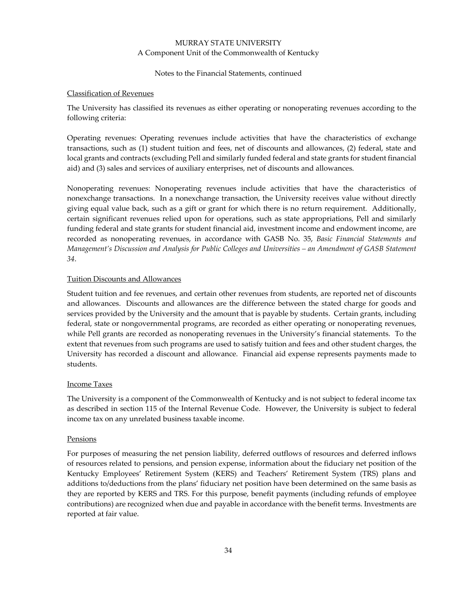#### Notes to the Financial Statements, continued

#### Classification of Revenues

The University has classified its revenues as either operating or nonoperating revenues according to the following criteria:

Operating revenues: Operating revenues include activities that have the characteristics of exchange transactions, such as (1) student tuition and fees, net of discounts and allowances, (2) federal, state and local grants and contracts (excluding Pell and similarly funded federal and state grants for student financial aid) and (3) sales and services of auxiliary enterprises, net of discounts and allowances.

Nonoperating revenues: Nonoperating revenues include activities that have the characteristics of nonexchange transactions. In a nonexchange transaction, the University receives value without directly giving equal value back, such as a gift or grant for which there is no return requirement. Additionally, certain significant revenues relied upon for operations, such as state appropriations, Pell and similarly funding federal and state grants for student financial aid, investment income and endowment income, are recorded as nonoperating revenues, in accordance with GASB No. 35, *Basic Financial Statements and Management's Discussion and Analysis for Public Colleges and Universities – an Amendment of GASB Statement 34*.

#### Tuition Discounts and Allowances

Student tuition and fee revenues, and certain other revenues from students, are reported net of discounts and allowances. Discounts and allowances are the difference between the stated charge for goods and services provided by the University and the amount that is payable by students. Certain grants, including federal, state or nongovernmental programs, are recorded as either operating or nonoperating revenues, while Pell grants are recorded as nonoperating revenues in the University's financial statements. To the extent that revenues from such programs are used to satisfy tuition and fees and other student charges, the University has recorded a discount and allowance. Financial aid expense represents payments made to students.

#### Income Taxes

The University is a component of the Commonwealth of Kentucky and is not subject to federal income tax as described in section 115 of the Internal Revenue Code. However, the University is subject to federal income tax on any unrelated business taxable income.

#### Pensions

For purposes of measuring the net pension liability, deferred outflows of resources and deferred inflows of resources related to pensions, and pension expense, information about the fiduciary net position of the Kentucky Employees' Retirement System (KERS) and Teachers' Retirement System (TRS) plans and additions to/deductions from the plans' fiduciary net position have been determined on the same basis as they are reported by KERS and TRS. For this purpose, benefit payments (including refunds of employee contributions) are recognized when due and payable in accordance with the benefit terms. Investments are reported at fair value.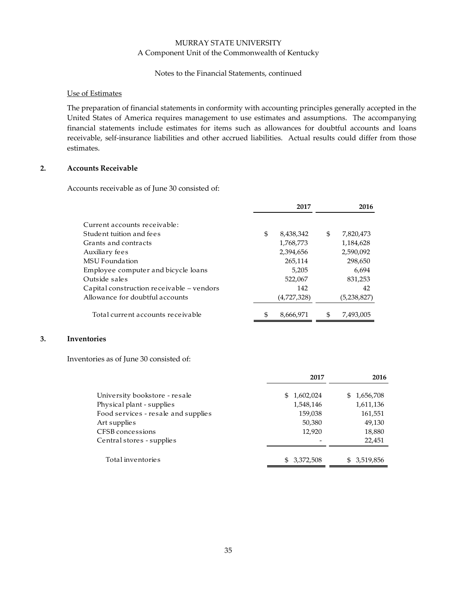#### Notes to the Financial Statements, continued

#### Use of Estimates

The preparation of financial statements in conformity with accounting principles generally accepted in the United States of America requires management to use estimates and assumptions. The accompanying financial statements include estimates for items such as allowances for doubtful accounts and loans receivable, self‐insurance liabilities and other accrued liabilities. Actual results could differ from those estimates.

#### **2. Accounts Receivable**

Accounts receivable as of June 30 consisted of:

|                                           | 2017            | 2016            |
|-------------------------------------------|-----------------|-----------------|
| Current accounts receivable:              |                 |                 |
| Student tuition and fees                  | \$<br>8,438,342 | \$<br>7,820,473 |
| Grants and contracts                      | 1,768,773       | 1,184,628       |
| Auxiliary fees                            | 2,394,656       | 2,590,092       |
| <b>MSU</b> Foundation                     | 265,114         | 298,650         |
| Employee computer and bicycle loans       | 5.205           | 6.694           |
| Outside sales                             | 522,067         | 831,253         |
| Capital construction receivable – vendors | 142             | 42              |
| Allowance for doubtful accounts           | (4,727,328)     | (5,238,827)     |
| Total current accounts receivable         | \$<br>8,666,971 | \$<br>7,493,005 |

#### **3. Inventories**

Inventories as of June 30 consisted of:

|                                     | 2017           | 2016             |
|-------------------------------------|----------------|------------------|
| University bookstore - resale       | 1,602,024<br>S | 1,656,708<br>\$. |
| Physical plant - supplies           | 1,548,146      | 1,611,136        |
| Food services - resale and supplies | 159,038        | 161,551          |
| Art supplies                        | 50,380         | 49,130           |
| <b>CFSB</b> concessions             | 12,920         | 18,880           |
| Central stores - supplies           |                | 22,451           |
|                                     |                |                  |
| Total inventories                   | \$3,372,508    | \$ 3,519,856     |
|                                     |                |                  |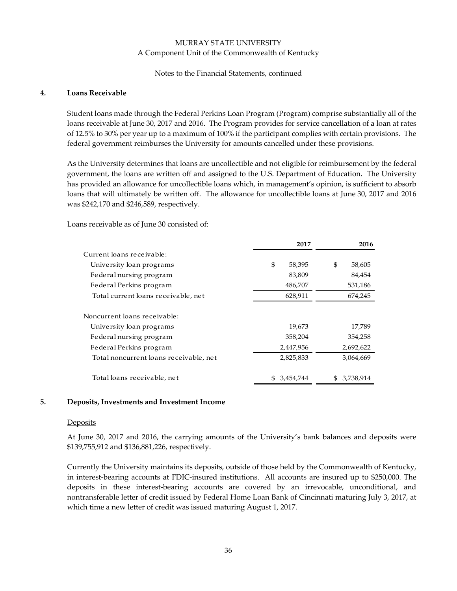#### Notes to the Financial Statements, continued

#### **4. Loans Receivable**

Student loans made through the Federal Perkins Loan Program (Program) comprise substantially all of the loans receivable at June 30, 2017 and 2016. The Program provides for service cancellation of a loan at rates of 12.5% to 30% per year up to a maximum of 100% if the participant complies with certain provisions. The federal government reimburses the University for amounts cancelled under these provisions.

As the University determines that loans are uncollectible and not eligible for reimbursement by the federal government, the loans are written off and assigned to the U.S. Department of Education. The University has provided an allowance for uncollectible loans which, in management's opinion, is sufficient to absorb loans that will ultimately be written off. The allowance for uncollectible loans at June 30, 2017 and 2016 was \$242,170 and \$246,589, respectively.

Loans receivable as of June 30 consisted of:

|                                        | 2017            | 2016             |
|----------------------------------------|-----------------|------------------|
| Current loans receivable:              |                 |                  |
| University loan programs               | \$<br>58,395    | \$<br>58,605     |
| Federal nursing program                | 83,809          | 84,454           |
| Federal Perkins program                | 486,707         | 531,186          |
| Total current loans receivable, net    | 628,911         | 674,245          |
| Noncurrent loans receivable:           |                 |                  |
| University loan programs               | 19,673          | 17,789           |
| Federal nursing program                | 358,204         | 354,258          |
| Federal Perkins program                | 2,447,956       | 2,692,622        |
| Total noncurrent loans receivable, net | 2,825,833       | 3,064,669        |
| Total loans receivable, net            | 3,454,744<br>£. | 3,738,914<br>\$. |

#### **5. Deposits, Investments and Investment Income**

#### **Deposits**

At June 30, 2017 and 2016, the carrying amounts of the University's bank balances and deposits were \$139,755,912 and \$136,881,226, respectively.

Currently the University maintains its deposits, outside of those held by the Commonwealth of Kentucky, in interest‐bearing accounts at FDIC‐insured institutions. All accounts are insured up to \$250,000. The deposits in these interest-bearing accounts are covered by an irrevocable, unconditional, and nontransferable letter of credit issued by Federal Home Loan Bank of Cincinnati maturing July 3, 2017, at which time a new letter of credit was issued maturing August 1, 2017.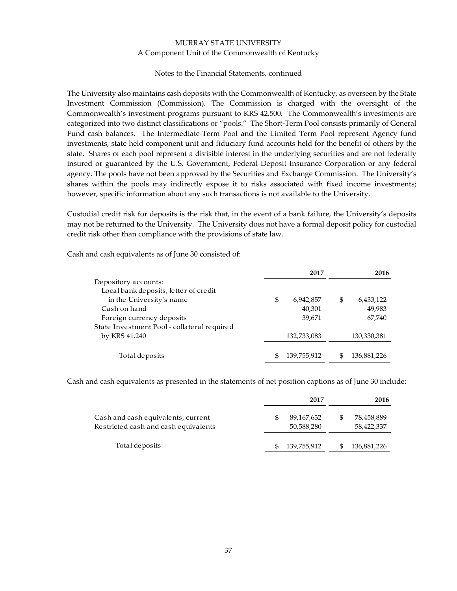#### Notes to the Financial Statements, continued

The University also maintains cash deposits with the Commonwealth of Kentucky, as overseen by the State Investment Commission (Commission). The Commission is charged with the oversight of the Commonwealth's investment programs pursuant to KRS 42.500. The Commonwealth's investments are categorized into two distinct classifications or "pools." The Short‐Term Pool consists primarily of General Fund cash balances. The Intermediate-Term Pool and the Limited Term Pool represent Agency fund investments, state held component unit and fiduciary fund accounts held for the benefit of others by the state. Shares of each pool represent a divisible interest in the underlying securities and are not federally insured or guaranteed by the U.S. Government, Federal Deposit Insurance Corporation or any federal agency. The pools have not been approved by the Securities and Exchange Commission. The University's shares within the pools may indirectly expose it to risks associated with fixed income investments; however, specific information about any such transactions is not available to the University.

Custodial credit risk for deposits is the risk that, in the event of a bank failure, the University's deposits may not be returned to the University. The University does not have a formal deposit policy for custodial credit risk other than compliance with the provisions of state law.

|                                             | 2017            | 2016            |
|---------------------------------------------|-----------------|-----------------|
| De pository accounts:                       |                 |                 |
| Local bank deposits, letter of credit       |                 |                 |
| in the University's name                    | \$<br>6,942,857 | \$<br>6,433,122 |
| Cash on hand                                | 40,301          | 49,983          |
| Foreign currency deposits                   | 39,671          | 67,740          |
| State Investment Pool - collateral required |                 |                 |
| by KRS 41.240                               | 132,733,083     | 130,330,381     |
|                                             |                 |                 |
| Total deposits                              | 139,755,912     | 136,881,226     |

Cash and cash equivalents as of June 30 consisted of:

Cash and cash equivalents as presented in the statements of net position captions as of June 30 include:

|                                                                            | 2017                     |     | 2016                     |
|----------------------------------------------------------------------------|--------------------------|-----|--------------------------|
| Cash and cash equivalents, current<br>Restricted cash and cash equivalents | 89,167,632<br>50,588,280 | \$  | 78,458,889<br>58,422,337 |
| Total de posits                                                            | 139,755,912              | \$. | 136,881,226              |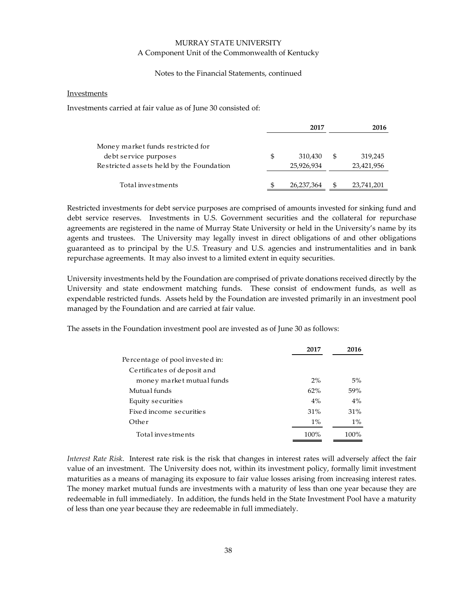#### Notes to the Financial Statements, continued

#### **Investments**

Investments carried at fair value as of June 30 consisted of:

|                                          |   | 2017       | 2016             |
|------------------------------------------|---|------------|------------------|
| Money market funds restricted for        |   |            |                  |
| debt service purposes                    | S | 310,430    | \$<br>319,245    |
| Restricted assets held by the Foundation |   | 25,926,934 | 23,421,956       |
|                                          |   |            |                  |
| Total investments                        |   | 26,237,364 | \$<br>23,741,201 |

Restricted investments for debt service purposes are comprised of amounts invested for sinking fund and debt service reserves. Investments in U.S. Government securities and the collateral for repurchase agreements are registered in the name of Murray State University or held in the University's name by its agents and trustees. The University may legally invest in direct obligations of and other obligations guaranteed as to principal by the U.S. Treasury and U.S. agencies and instrumentalities and in bank repurchase agreements. It may also invest to a limited extent in equity securities.

University investments held by the Foundation are comprised of private donations received directly by the University and state endowment matching funds. These consist of endowment funds, as well as expendable restricted funds. Assets held by the Foundation are invested primarily in an investment pool managed by the Foundation and are carried at fair value.

The assets in the Foundation investment pool are invested as of June 30 as follows:

|                                 | 2017  | 2016  |
|---------------------------------|-------|-------|
| Percentage of pool invested in: |       |       |
| Certificates of deposit and     |       |       |
| money market mutual funds       | 2%    | 5%    |
| Mutual funds                    | 62%   | .59%  |
| Equity securities               | 4%    | 4%    |
| Fixed income securities         | 31%   | 31%   |
| Other                           | $1\%$ | $1\%$ |
| Total investments               | 100%  | 100%  |

*Interest Rate Risk*. Interest rate risk is the risk that changes in interest rates will adversely affect the fair value of an investment. The University does not, within its investment policy, formally limit investment maturities as a means of managing its exposure to fair value losses arising from increasing interest rates. The money market mutual funds are investments with a maturity of less than one year because they are redeemable in full immediately. In addition, the funds held in the State Investment Pool have a maturity of less than one year because they are redeemable in full immediately.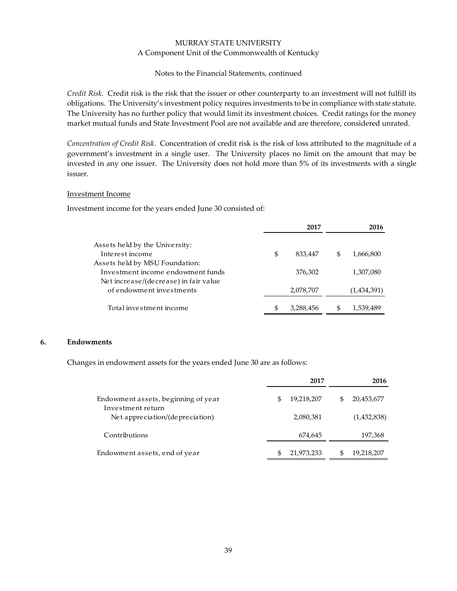#### Notes to the Financial Statements, continued

*Credit Risk*. Credit risk is the risk that the issuer or other counterparty to an investment will not fulfill its obligations. The University's investment policy requires investments to be in compliance with state statute. The University has no further policy that would limit its investment choices. Credit ratings for the money market mutual funds and State Investment Pool are not available and are therefore, considered unrated.

*Concentration of Credit Risk*. Concentration of credit risk is the risk of loss attributed to the magnitude of a government's investment in a single user. The University places no limit on the amount that may be invested in any one issuer. The University does not hold more than 5% of its investments with a single issuer.

#### Investment Income

Investment income for the years ended June 30 consisted of:

|                                       |    | 2017      |    | 2016        |
|---------------------------------------|----|-----------|----|-------------|
| Assets held by the University:        |    |           |    |             |
| Interest income                       | \$ | 833,447   | S  | 1,666,800   |
| Assets held by MSU Foundation:        |    |           |    |             |
| Investment income endowment funds     |    | 376,302   |    | 1,307,080   |
| Net increase/(decrease) in fair value |    |           |    |             |
| of endowment investments              |    | 2,078,707 |    | (1,434,391) |
| Total investment income               | S  | 3,288,456 | £. | 1,539,489   |

#### **6. Endowments**

Changes in endowment assets for the years ended June 30 are as follows:

|                                                          | 2017 |            |   | 2016        |  |  |
|----------------------------------------------------------|------|------------|---|-------------|--|--|
| Endowment assets, beginning of year<br>Investment return |      | 19,218,207 | S | 20,453,677  |  |  |
| Net appreciation/(depreciation)                          |      | 2,080,381  |   | (1,432,838) |  |  |
| Contributions                                            |      | 674,645    |   | 197,368     |  |  |
| Endowment assets, end of year                            | \$.  | 21,973,233 |   | 19,218,207  |  |  |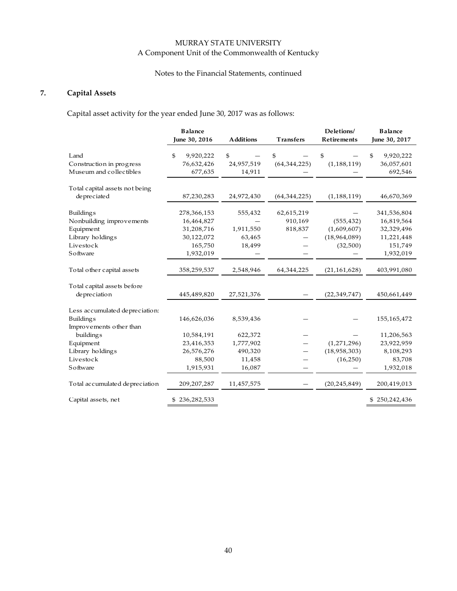# Notes to the Financial Statements, continued

# **7. Capital Assets**

Capital asset activity for the year ended June 30, 2017 was as follows:

|                                  | <b>Balance</b><br>June 30, 2016 | <b>Additions</b> | <b>Transfers</b>     | Deletions/<br>Retirements | <b>Balance</b><br>June 30, 2017 |
|----------------------------------|---------------------------------|------------------|----------------------|---------------------------|---------------------------------|
| Land<br>Construction in progress | 9,920,222<br>\$<br>76,632,426   | \$<br>24,957,519 | \$<br>(64, 344, 225) | \$<br>(1, 188, 119)       | \$<br>9,920,222<br>36,057,601   |
| Museum and collectibles          | 677,635                         | 14,911           |                      |                           | 692,546                         |
| Total capital assets not being   |                                 |                  |                      |                           |                                 |
| depreciated                      | 87,230,283                      | 24,972,430       | (64, 344, 225)       | (1, 188, 119)             | 46,670,369                      |
| <b>Buildings</b>                 | 278,366,153                     | 555,432          | 62,615,219           |                           | 341,536,804                     |
| Nonbuilding improvements         | 16,464,827                      |                  | 910,169              | (555, 432)                | 16,819,564                      |
| Equipment                        | 31,208,716                      | 1,911,550        | 818,837              | (1,609,607)               | 32,329,496                      |
| Library holdings                 | 30,122,072                      | 63,465           |                      | (18,964,089)              | 11,221,448                      |
| Livestock                        | 165,750                         | 18,499           |                      | (32,500)                  | 151,749                         |
| Software                         | 1,932,019                       |                  |                      |                           | 1,932,019                       |
| To tal o ther capital assets     | 358,259,537                     | 2,548,946        | 64,344,225           | (21, 161, 628)            | 403,991,080                     |
| Total capital assets before      |                                 |                  |                      |                           |                                 |
| depreciation                     | 445,489,820                     | 27,521,376       |                      | (22, 349, 747)            | 450,661,449                     |
| Less accumulated depreciation:   |                                 |                  |                      |                           |                                 |
| <b>Buildings</b>                 | 146,626,036                     | 8,539,436        |                      |                           | 155,165,472                     |
| Improvements other than          |                                 |                  |                      |                           |                                 |
| building <sub>s</sub>            | 10,584,191                      | 622,372          |                      |                           | 11,206,563                      |
| Equipment                        | 23,416,353                      | 1,777,902        |                      | (1,271,296)               | 23,922,959                      |
| Library holdings                 | 26,576,276                      | 490,320          |                      | (18,958,303)              | 8,108,293                       |
| Livestock                        | 88,500                          | 11,458           |                      | (16, 250)                 | 83,708                          |
| Software                         | 1,915,931                       | 16,087           |                      |                           | 1,932,018                       |
| To tal accumulated depreciation  | 209, 207, 287                   | 11,457,575       |                      | (20, 245, 849)            | 200,419,013                     |
| Capital assets, net              | \$236,282,533                   |                  |                      |                           | \$250,242,436                   |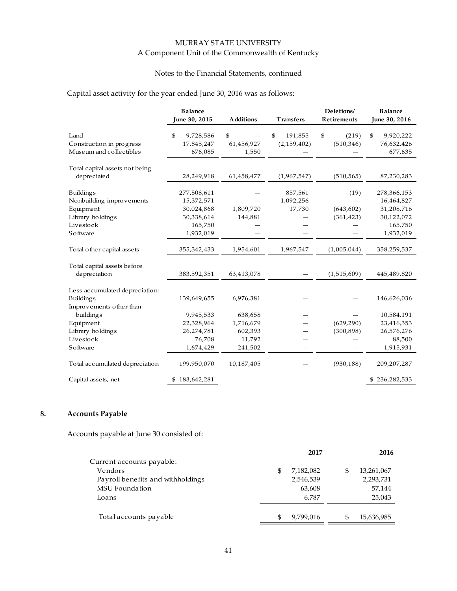# Notes to the Financial Statements, continued

# Capital asset activity for the year ended June 30, 2016 was as follows:

|                                                             | <b>Balance</b><br>June 30, 2015          | <b>Additions</b>          | <b>Transfers</b>               | Deletions/<br><b>Retirements</b> | <b>Balance</b><br>June 30, 2016          |
|-------------------------------------------------------------|------------------------------------------|---------------------------|--------------------------------|----------------------------------|------------------------------------------|
| Land<br>Construction in progress<br>Museum and collectibles | \$<br>9,728,586<br>17,845,247<br>676,085 | \$<br>61,456,927<br>1,550 | \$<br>191,855<br>(2, 159, 402) | \$<br>(219)<br>(510, 346)        | \$<br>9,920,222<br>76,632,426<br>677,635 |
| Total capital assets not being                              |                                          |                           |                                |                                  |                                          |
| depreciated                                                 | 28,249,918                               | 61,458,477                | (1,967,547)                    | (510, 565)                       | 87,230,283                               |
| <b>Buildings</b><br>Nonbuilding improvements                | 277,508,611<br>15,372,571                |                           | 857,561<br>1,092,256           | (19)                             | 278,366,153<br>16,464,827                |
| Equipment                                                   | 30,024,868                               | 1,809,720                 | 17,730                         | (643, 602)                       | 31,208,716                               |
| Library holdings                                            | 30,338,614                               | 144,881                   |                                | (361, 423)                       | 30,122,072                               |
| Livestock                                                   | 165,750                                  |                           |                                |                                  | 165,750                                  |
| Software                                                    | 1,932,019                                |                           |                                |                                  | 1,932,019                                |
| To tal o ther capital assets                                | 355,342,433                              | 1,954,601                 | 1,967,547                      | (1,005,044)                      | 358,259,537                              |
| Total capital assets before                                 |                                          |                           |                                |                                  |                                          |
| depreciation                                                | 383,592,351                              | 63,413,078                |                                | (1,515,609)                      | 445,489,820                              |
| Less accumulated depreciation:                              |                                          |                           |                                |                                  |                                          |
| <b>Buildings</b>                                            | 139,649,655                              | 6,976,381                 |                                |                                  | 146,626,036                              |
| Improvements other than<br>building <sub>s</sub>            | 9,945,533                                | 638,658                   |                                |                                  | 10,584,191                               |
| Equipment                                                   | 22,328,964                               | 1,716,679                 |                                | (629, 290)                       | 23,416,353                               |
| Library holdings                                            | 26,274,781                               | 602,393                   |                                | (300, 898)                       | 26,576,276                               |
| Livestock                                                   | 76,708                                   | 11,792                    |                                |                                  | 88,500                                   |
| Software                                                    | 1,674,429                                | 241,502                   |                                |                                  | 1,915,931                                |
| To tal accumulated depreciation                             | 199,950,070                              | 10,187,405                |                                | (930, 188)                       | 209, 207, 287                            |
| Capital assets, net                                         | \$183,642,281                            |                           |                                |                                  | \$236,282,533                            |

# **8. Accounts Payable**

Accounts payable at June 30 consisted of:

|                                   | 2017            | 2016       |
|-----------------------------------|-----------------|------------|
| Current accounts payable:         |                 |            |
| Vendors                           | \$<br>7,182,082 | 13,261,067 |
| Payroll benefits and withholdings | 2,546,539       | 2,293,731  |
| <b>MSU</b> Foundation             | 63,608          | 57,144     |
| Loans                             | 6,787           | 25,043     |
|                                   |                 |            |
| Total accounts payable            | \$<br>9,799,016 | 15,636,985 |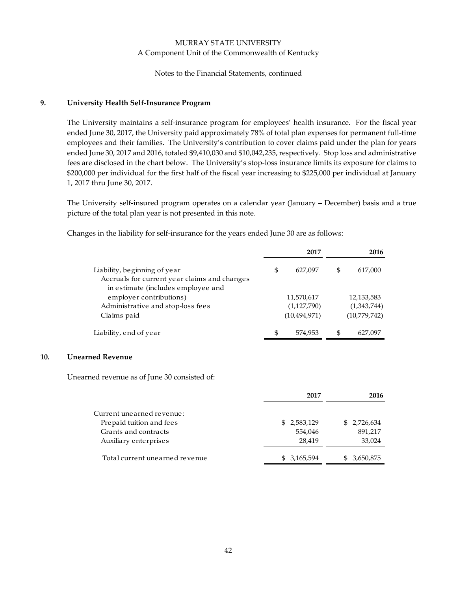Notes to the Financial Statements, continued

# **9. University Health Self‐Insurance Program**

The University maintains a self-insurance program for employees' health insurance. For the fiscal year ended June 30, 2017, the University paid approximately 78% of total plan expenses for permanent full‐time employees and their families. The University's contribution to cover claims paid under the plan for years ended June 30, 2017 and 2016, totaled \$9,410,030 and \$10,042,235, respectively. Stop loss and administrative fees are disclosed in the chart below. The University's stop-loss insurance limits its exposure for claims to \$200,000 per individual for the first half of the fiscal year increasing to \$225,000 per individual at January 1, 2017 thru June 30, 2017.

The University self-insured program operates on a calendar year (January – December) basis and a true picture of the total plan year is not presented in this note.

|                                              | 2017           | 2016          |
|----------------------------------------------|----------------|---------------|
| Liability, beginning of year                 | \$<br>627,097  | \$<br>617,000 |
| Accruals for current year claims and changes |                |               |
| in estimate (includes employee and           |                |               |
| employer contributions)                      | 11,570,617     | 12,133,583    |
| Administrative and stop-loss fees            | (1,127,790)    | (1,343,744)   |
| Claims paid                                  | (10, 494, 971) | (10,779,742)  |
| Liability, end of year                       | \$<br>574,953  | \$<br>627,097 |

Changes in the liability for self‐insurance for the years ended June 30 are as follows:

### **10. Unearned Revenue**

Unearned revenue as of June 30 consisted of:

|                                | 2017        | 2016        |
|--------------------------------|-------------|-------------|
| Current unearned revenue:      |             |             |
| Prepaid tuition and fees       | \$2,583,129 | \$2,726,634 |
| Grants and contracts           | 554.046     | 891,217     |
| Auxiliary enterprises          | 28.419      | 33,024      |
| Total current unearned revenue | \$3,165,594 | 3,650,875   |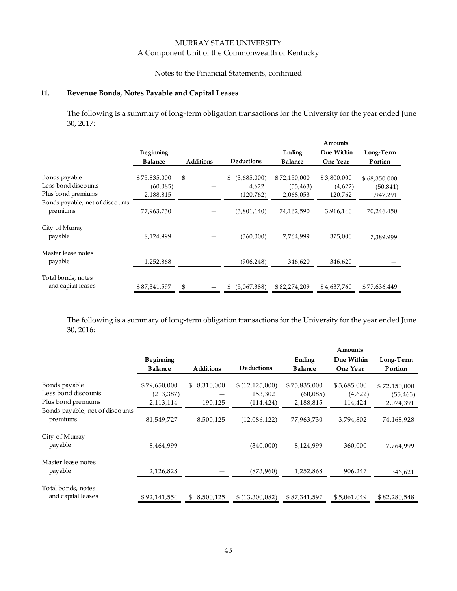# MURRAY STATE UNIVERSITY

# A Component Unit of the Commonwealth of Kentucky

#### Notes to the Financial Statements, continued

#### **11. Revenue Bonds, Notes Payable and Capital Leases**

The following is a summary of long-term obligation transactions for the University for the year ended June 30, 2017:

|                                             |                |                  |                   |                | Amounts     |                 |
|---------------------------------------------|----------------|------------------|-------------------|----------------|-------------|-----------------|
|                                             | Beginning      |                  |                   | Ending         | Due Within  | Long-Term       |
|                                             | <b>Balance</b> | <b>Additions</b> | <b>Deductions</b> | <b>Balance</b> | One Year    | <b>P</b> ortion |
| Bonds payable                               | \$75,835,000   | \$               | (3,685,000)<br>S  | \$72,150,000   | \$3,800,000 | \$68,350,000    |
| Less bond discounts                         | (60,085)       |                  | 4,622             | (55, 463)      | (4,622)     | (50, 841)       |
| Plus bond premiums                          | 2,188,815      |                  | (120, 762)        | 2,068,053      | 120,762     | 1,947,291       |
| Bonds payable, net of discounts<br>premiums | 77,963,730     |                  | (3,801,140)       | 74,162,590     | 3,916,140   | 70,246,450      |
| City of Murray<br>pay able                  | 8,124,999      |                  | (360,000)         | 7,764,999      | 375,000     | 7,389,999       |
| Master lease notes<br>payable               | 1,252,868      |                  | (906, 248)        | 346,620        | 346,620     |                 |
| Total bonds, notes<br>and capital leases    | \$87,341,597   | \$               | (5,067,388)<br>S  | \$82,274,209   | \$4,637,760 | \$77,636,449    |

The following is a summary of long-term obligation transactions for the University for the year ended June 30, 2016:

|                                                            |                                         |                        |                                         |                                       | Amounts                           |                                        |
|------------------------------------------------------------|-----------------------------------------|------------------------|-----------------------------------------|---------------------------------------|-----------------------------------|----------------------------------------|
|                                                            | <b>Beginning</b>                        |                        |                                         | Ending                                | Due Within                        | Long-Term                              |
|                                                            | <b>Balance</b>                          | <b>Additions</b>       | <b>Deductions</b>                       | <b>Balance</b>                        | One Year                          | <b>P</b> ortion                        |
| Bonds payable<br>Less bond discounts<br>Plus bond premiums | \$79,650,000<br>(213, 387)<br>2,113,114 | \$8,310,000<br>190,125 | \$(12,125,000)<br>153,302<br>(114, 424) | \$75,835,000<br>(60,085)<br>2,188,815 | \$3,685,000<br>(4,622)<br>114,424 | \$72,150,000<br>(55, 463)<br>2,074,391 |
| Bonds payable, net of discounts<br>premiums                | 81,549,727                              | 8,500,125              | (12,086,122)                            | 77,963,730                            | 3,794,802                         | 74,168,928                             |
| City of Murray<br>pay able                                 | 8,464,999                               |                        | (340,000)                               | 8,124,999                             | 360,000                           | 7,764,999                              |
| Master lease notes<br>pay able                             | 2,126,828                               |                        | (873,960)                               | 1,252,868                             | 906,247                           | 346,621                                |
| Total bonds, notes<br>and capital leases                   | \$92,141,554                            | 8,500,125<br>\$        | \$(13,300,082)                          | \$87,341,597                          | \$5,061,049                       | \$82,280,548                           |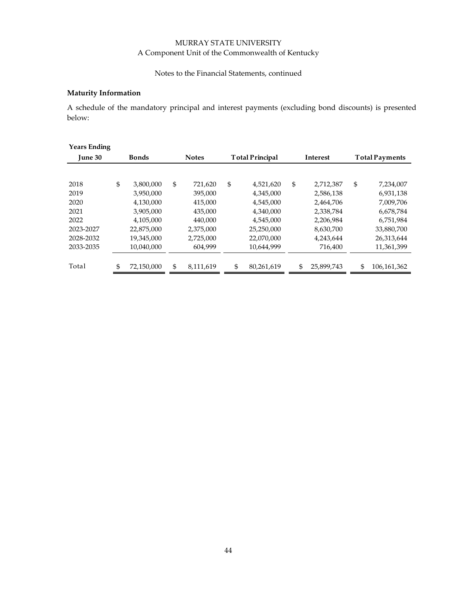# Notes to the Financial Statements, continued

#### **Maturity Information**

A schedule of the mandatory principal and interest payments (excluding bond discounts) is presented below:

| <b>Years Ending</b> |                  |                 |                        |                 |            |    |                       |  |
|---------------------|------------------|-----------------|------------------------|-----------------|------------|----|-----------------------|--|
| <b>June 30</b>      | <b>Bonds</b>     | <b>Notes</b>    | <b>Total Principal</b> | <b>Interest</b> |            |    | <b>Total Payments</b> |  |
|                     |                  |                 |                        |                 |            |    |                       |  |
| 2018                | \$<br>3,800,000  | \$<br>721,620   | \$<br>4,521,620        | \$              | 2,712,387  | \$ | 7,234,007             |  |
| 2019                | 3,950,000        | 395,000         | 4,345,000              |                 | 2,586,138  |    | 6,931,138             |  |
| 2020                | 4,130,000        | 415,000         | 4,545,000              |                 | 2,464,706  |    | 7,009,706             |  |
| 2021                | 3,905,000        | 435,000         | 4,340,000              |                 | 2,338,784  |    | 6,678,784             |  |
| 2022                | 4,105,000        | 440.000         | 4,545,000              |                 | 2,206,984  |    | 6,751,984             |  |
| 2023-2027           | 22,875,000       | 2,375,000       | 25,250,000             |                 | 8,630,700  |    | 33,880,700            |  |
| 2028-2032           | 19,345,000       | 2,725,000       | 22,070,000             |                 | 4,243,644  |    | 26,313,644            |  |
| 2033-2035           | 10,040,000       | 604,999         | 10,644,999             |                 | 716,400    |    | 11,361,399            |  |
|                     |                  |                 |                        |                 |            |    |                       |  |
| Total               | \$<br>72,150,000 | \$<br>8,111,619 | \$<br>80,261,619       | \$              | 25,899,743 | \$ | 106,161,362           |  |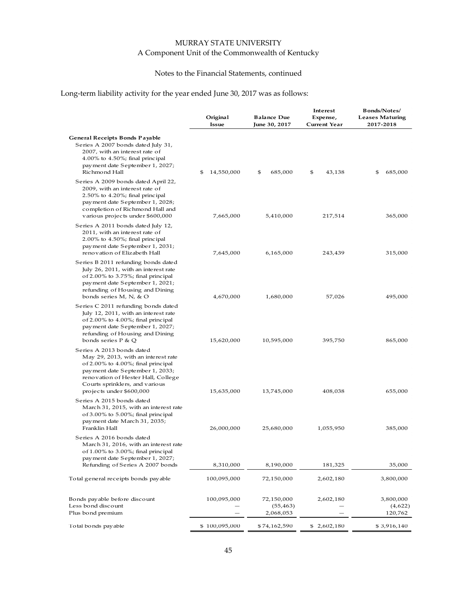# Notes to the Financial Statements, continued

# Long-term liability activity for the year ended June 30, 2017 was as follows:

|                                                                                                                                                                                                                                               | Original<br>Issue | <b>Balance Due</b><br>June 30, 2017  | Interest<br>Expense,<br><b>Current Year</b> | <b>Bonds/Notes/</b><br><b>Leases Maturing</b><br>2017-2018 |
|-----------------------------------------------------------------------------------------------------------------------------------------------------------------------------------------------------------------------------------------------|-------------------|--------------------------------------|---------------------------------------------|------------------------------------------------------------|
| General Receipts Bonds Payable<br>Series A 2007 bonds dated July 31,<br>2007, with an interest rate of<br>$4.00\%$ to $4.50\%$ ; final principal<br>payment date September 1, 2027;<br>Richmond Hall                                          | \$<br>14,550,000  | \$<br>685,000                        | \$<br>43,138                                | \$<br>685,000                                              |
| Series A 2009 bonds dated April 22,<br>2009, with an interest rate of<br>$2.50\%$ to $4.20\%$ ; final principal<br>payment date September 1, 2028;<br>completion of Richmond Hall and<br>various projects under \$600,000                     | 7,665,000         | 5,410,000                            | 217,514                                     | 365,000                                                    |
| Series A 2011 bonds dated July 12,<br>2011, with an interest rate of<br>$2.00\%$ to $4.50\%$ ; final principal<br>payment date September 1, 2031;<br>renovation of Elizabeth Hall                                                             | 7,645,000         | 6,165,000                            | 243,439                                     | 315,000                                                    |
| Series B 2011 refunding bonds dated<br>July 26, 2011, with an interest rate<br>of $2.00\%$ to $3.75\%$ ; final principal<br>payment date September 1, 2021;<br>refunding of Housing and Dining<br>bonds series M, N, & O                      | 4,670,000         | 1,680,000                            | 57,026                                      | 495,000                                                    |
| Series C 2011 refunding bonds dated<br>July 12, 2011, with an interest rate<br>of $2.00\%$ to $4.00\%$ ; final principal<br>payment date September 1, 2027;<br>refunding of Housing and Dining<br>bonds series P & Q                          | 15,620,000        | 10,595,000                           | 395,750                                     | 865,000                                                    |
| Series A 2013 bonds dated<br>May 29, 2013, with an interest rate<br>of 2.00% to 4.00%; final principal<br>payment date September 1, 2033;<br>renovation of Hester Hall, College<br>Courts sprinklers, and various<br>projects under \$600,000 | 15,635,000        | 13,745,000                           | 408,038                                     | 655,000                                                    |
| Series A 2015 bonds dated<br>March 31, 2015, with an interest rate<br>of 3.00% to 5.00%; final principal<br>payment date March 31, 2035;<br>Franklin Hall                                                                                     | 26,000,000        | 25,680,000                           | 1,055,950                                   | 385,000                                                    |
| Series A 2016 bonds dated<br>March 31, 2016, with an interest rate<br>of 1.00% to 3.00%; final principal<br>payment date September 1, 2027;<br>Refunding of Series A 2007 bonds                                                               | 8,310,000         | 8,190,000                            | 181,325                                     | 35,000                                                     |
| Total general receipts bonds payable                                                                                                                                                                                                          | 100,095,000       | 72,150,000                           | 2,602,180                                   | 3,800,000                                                  |
| Bonds payable before discount<br>Less bond discount<br>Plus bond premium                                                                                                                                                                      | 100,095,000       | 72,150,000<br>(55, 463)<br>2,068,053 | 2,602,180                                   | 3,800,000<br>(4,622)<br>120,762                            |
| To tal bonds pay able                                                                                                                                                                                                                         | \$100,095,000     | \$ 74,162,590                        | \$2,602,180                                 | \$3,916,140                                                |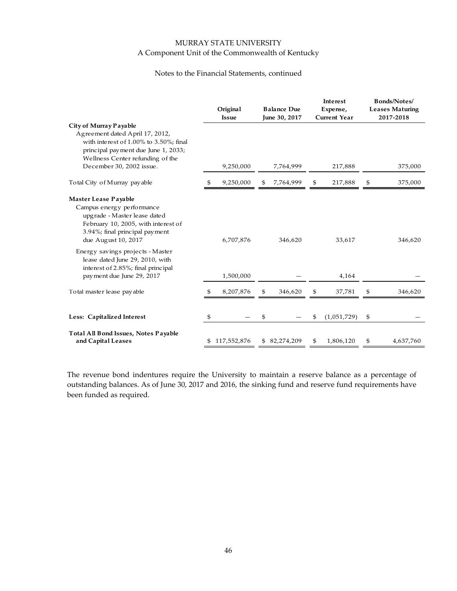#### Notes to the Financial Statements, continued

|                                                                                                                                                                                   | Original<br><b>Issue</b> | <b>Balance Due</b><br>June 30, 2017 |    | Interest<br>Expense,<br><b>Current Year</b> | <b>Bonds/Notes/</b><br><b>Leases Maturing</b><br>2017-2018 |
|-----------------------------------------------------------------------------------------------------------------------------------------------------------------------------------|--------------------------|-------------------------------------|----|---------------------------------------------|------------------------------------------------------------|
| City of Murray Payable<br>Agreement dated April 17, 2012,<br>with interest of 1.00% to 3.50%; final<br>principal payment due June 1, 2033;<br>Wellness Center refunding of the    |                          |                                     |    |                                             |                                                            |
| December 30, 2002 issue.                                                                                                                                                          | 9,250,000                | 7,764,999                           |    | 217,888                                     | 375,000                                                    |
| To tal City of Murray payable                                                                                                                                                     | \$<br>9,250,000          | \$<br>7,764,999                     | \$ | 217,888                                     | \$<br>375,000                                              |
| Master Lease Payable<br>Campus energy performance<br>upgrade - Master lease dated<br>February 10, 2005, with interest of<br>3.94%; final principal payment<br>due August 10, 2017 | 6,707,876                | 346,620                             |    | 33,617                                      | 346,620                                                    |
| Energy savings projects - Master<br>lease dated June 29, 2010, with<br>interest of 2.85%; final principal<br>payment due June 29, 2017                                            | 1,500,000                |                                     |    | 4,164                                       |                                                            |
| To tal master lease pay able                                                                                                                                                      | \$<br>8,207,876          | \$<br>346,620                       | \$ | 37,781                                      | \$<br>346,620                                              |
| Less: Capitalized Interest                                                                                                                                                        | \$                       | \$                                  | \$ | (1,051,729)                                 | \$                                                         |
| Total All Bond Issues, Notes Payable<br>and Capital Leases                                                                                                                        | 117,552,876              | \$ 82,274,209                       | S  | 1,806,120                                   | \$<br>4,637,760                                            |

The revenue bond indentures require the University to maintain a reserve balance as a percentage of outstanding balances. As of June 30, 2017 and 2016, the sinking fund and reserve fund requirements have been funded as required.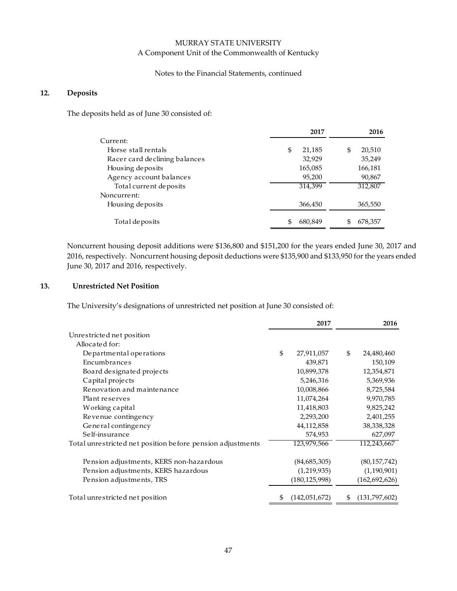#### Notes to the Financial Statements, continued

#### **12. Deposits**

The deposits held as of June 30 consisted of:

|                               | 2017          | 2016          |
|-------------------------------|---------------|---------------|
| Current:                      |               |               |
| Horse stall rentals           | \$<br>21,185  | 20,510<br>\$  |
| Racer card declining balances | 32,929        | 35,249        |
| Housing deposits              | 165,085       | 166,181       |
| Agency account balances       | 95,200        | 90,867        |
| Total current deposits        | 314.399       | 312,807       |
| Noncurrent:                   |               |               |
| Housing deposits              | 366,450       | 365,550       |
| Total de posits               | \$<br>680,849 | \$<br>678,357 |

Noncurrent housing deposit additions were \$136,800 and \$151,200 for the years ended June 30, 2017 and 2016, respectively. Noncurrent housing deposit deductions were \$135,900 and \$133,950 for the years ended June 30, 2017 and 2016, respectively.

#### **13. Unrestricted Net Position**

The University's designations of unrestricted net position at June 30 consisted of:

|                                                            | 2017                  | 2016                |
|------------------------------------------------------------|-----------------------|---------------------|
| Unrestricted net position                                  |                       |                     |
| Allocated for:                                             |                       |                     |
| Departmental operations                                    | \$<br>27,911,057      | \$<br>24,480,460    |
| Encumbrances                                               | 439,871               | 150,109             |
| Board designated projects                                  | 10,899,378            | 12,354,871          |
| Capital projects                                           | 5,246,316             | 5,369,936           |
| Renovation and maintenance                                 | 10,008,866            | 8,725,584           |
| Plant reserves                                             | 11,074,264            | 9,970,785           |
| Working capital                                            | 11,418,803            | 9,825,242           |
| Revenue contingency                                        | 2,293,200             | 2,401,255           |
| General contingency                                        | 44,112,858            | 38,338,328          |
| Self-insurance                                             | 574,953               | 627,097             |
| Total unrestricted net position before pension adjustments | 123,979,566           | 112,243,667         |
| Pension adjustments, KERS non-hazardous                    | (84,685,305)          | (80, 157, 742)      |
| Pension adjustments, KERS hazardous                        | (1,219,935)           | (1,190,901)         |
| Pension adjustments, TRS                                   | (180, 125, 998)       | (162, 692, 626)     |
| Total unrestricted net position                            | \$<br>(142, 051, 672) | \$<br>(131,797,602) |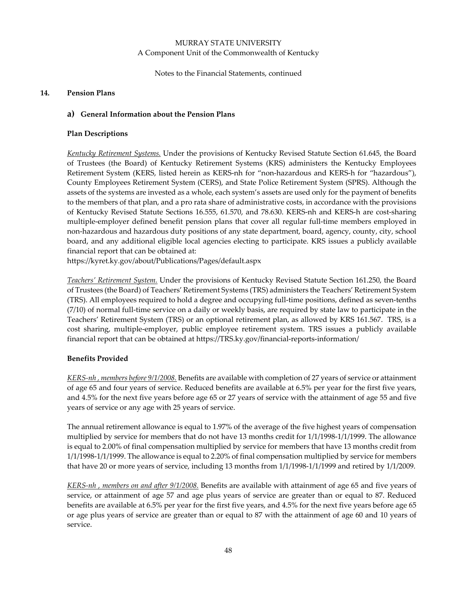Notes to the Financial Statements, continued

#### **14. Pension Plans**

### **a) General Information about the Pension Plans**

### **Plan Descriptions**

*Kentucky Retirement Systems.* Under the provisions of Kentucky Revised Statute Section 61.645, the Board of Trustees (the Board) of Kentucky Retirement Systems (KRS) administers the Kentucky Employees Retirement System (KERS, listed herein as KERS‐nh for "non‐hazardous and KERS‐h for "hazardous"), County Employees Retirement System (CERS), and State Police Retirement System (SPRS). Although the assets of the systems are invested as a whole, each system's assets are used only for the payment of benefits to the members of that plan, and a pro rata share of administrative costs, in accordance with the provisions of Kentucky Revised Statute Sections 16.555, 61.570, and 78.630. KERS‐nh and KERS‐h are cost‐sharing multiple‐employer defined benefit pension plans that cover all regular full‐time members employed in non‐hazardous and hazardous duty positions of any state department, board, agency, county, city, school board, and any additional eligible local agencies electing to participate. KRS issues a publicly available financial report that can be obtained at:

https://kyret.ky.gov/about/Publications/Pages/default.aspx

*Teachers' Retirement System.* Under the provisions of Kentucky Revised Statute Section 161.250, the Board of Trustees (the Board) of Teachers' Retirement Systems (TRS) administers the Teachers' Retirement System (TRS). All employees required to hold a degree and occupying full‐time positions, defined as seven‐tenths (7/10) of normal full‐time service on a daily or weekly basis, are required by state law to participate in the Teachers' Retirement System (TRS) or an optional retirement plan, as allowed by KRS 161.567. TRS, is a cost sharing, multiple‐employer, public employee retirement system. TRS issues a publicly available financial report that can be obtained at https://TRS.ky.gov/financial-reports-information/

# **Benefits Provided**

*KERS‐nh , members before 9/1/2008.* Benefits are available with completion of 27 years of service or attainment of age 65 and four years of service. Reduced benefits are available at 6.5% per year for the first five years, and 4.5% for the next five years before age 65 or 27 years of service with the attainment of age 55 and five years of service or any age with 25 years of service.

The annual retirement allowance is equal to 1.97% of the average of the five highest years of compensation multiplied by service for members that do not have 13 months credit for 1/1/1998‐1/1/1999. The allowance is equal to 2.00% of final compensation multiplied by service for members that have 13 months credit from 1/1/1998‐1/1/1999. The allowance is equal to 2.20% of final compensation multiplied by service for members that have 20 or more years of service, including 13 months from 1/1/1998‐1/1/1999 and retired by 1/1/2009.

*KERS‐nh , members on and after 9/1/2008.* Benefits are available with attainment of age 65 and five years of service, or attainment of age 57 and age plus years of service are greater than or equal to 87. Reduced benefits are available at 6.5% per year for the first five years, and 4.5% for the next five years before age 65 or age plus years of service are greater than or equal to 87 with the attainment of age 60 and 10 years of service.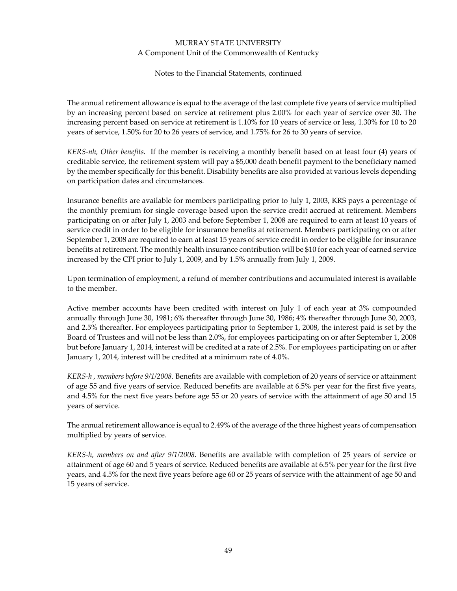Notes to the Financial Statements, continued

The annual retirement allowance is equal to the average of the last complete five years of service multiplied by an increasing percent based on service at retirement plus 2.00% for each year of service over 30. The increasing percent based on service at retirement is 1.10% for 10 years of service or less, 1.30% for 10 to 20 years of service, 1.50% for 20 to 26 years of service, and 1.75% for 26 to 30 years of service.

*KERS‐nh, Other benefits.* If the member is receiving a monthly benefit based on at least four (4) years of creditable service, the retirement system will pay a \$5,000 death benefit payment to the beneficiary named by the member specifically for this benefit. Disability benefits are also provided at various levels depending on participation dates and circumstances.

Insurance benefits are available for members participating prior to July 1, 2003, KRS pays a percentage of the monthly premium for single coverage based upon the service credit accrued at retirement. Members participating on or after July 1, 2003 and before September 1, 2008 are required to earn at least 10 years of service credit in order to be eligible for insurance benefits at retirement. Members participating on or after September 1, 2008 are required to earn at least 15 years of service credit in order to be eligible for insurance benefits at retirement. The monthly health insurance contribution will be \$10 for each year of earned service increased by the CPI prior to July 1, 2009, and by 1.5% annually from July 1, 2009.

Upon termination of employment, a refund of member contributions and accumulated interest is available to the member.

Active member accounts have been credited with interest on July 1 of each year at 3% compounded annually through June 30, 1981; 6% thereafter through June 30, 1986; 4% thereafter through June 30, 2003, and 2.5% thereafter. For employees participating prior to September 1, 2008, the interest paid is set by the Board of Trustees and will not be less than 2.0%, for employees participating on or after September 1, 2008 but before January 1, 2014, interest will be credited at a rate of 2.5%. For employees participating on or after January 1, 2014, interest will be credited at a minimum rate of 4.0%.

*KERS‐h , members before 9/1/2008.* Benefits are available with completion of 20 years of service or attainment of age 55 and five years of service. Reduced benefits are available at 6.5% per year for the first five years, and 4.5% for the next five years before age 55 or 20 years of service with the attainment of age 50 and 15 years of service.

The annual retirement allowance is equal to 2.49% of the average of the three highest years of compensation multiplied by years of service.

*KERS‐h, members on and after 9/1/2008.* Benefits are available with completion of 25 years of service or attainment of age 60 and 5 years of service. Reduced benefits are available at 6.5% per year for the first five years, and 4.5% for the next five years before age 60 or 25 years of service with the attainment of age 50 and 15 years of service.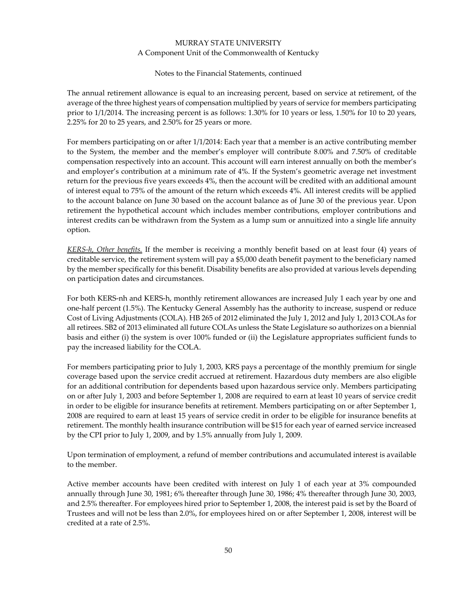#### Notes to the Financial Statements, continued

The annual retirement allowance is equal to an increasing percent, based on service at retirement, of the average of the three highest years of compensation multiplied by years of service for members participating prior to 1/1/2014. The increasing percent is as follows: 1.30% for 10 years or less, 1.50% for 10 to 20 years, 2.25% for 20 to 25 years, and 2.50% for 25 years or more.

For members participating on or after 1/1/2014: Each year that a member is an active contributing member to the System, the member and the member's employer will contribute 8.00% and 7.50% of creditable compensation respectively into an account. This account will earn interest annually on both the member's and employer's contribution at a minimum rate of 4%. If the System's geometric average net investment return for the previous five years exceeds 4%, then the account will be credited with an additional amount of interest equal to 75% of the amount of the return which exceeds 4%. All interest credits will be applied to the account balance on June 30 based on the account balance as of June 30 of the previous year. Upon retirement the hypothetical account which includes member contributions, employer contributions and interest credits can be withdrawn from the System as a lump sum or annuitized into a single life annuity option.

*KERS‐h, Other benefits.* If the member is receiving a monthly benefit based on at least four (4) years of creditable service, the retirement system will pay a \$5,000 death benefit payment to the beneficiary named by the member specifically for this benefit. Disability benefits are also provided at various levels depending on participation dates and circumstances.

For both KERS‐nh and KERS‐h, monthly retirement allowances are increased July 1 each year by one and one‐half percent (1.5%). The Kentucky General Assembly has the authority to increase, suspend or reduce Cost of Living Adjustments (COLA). HB 265 of 2012 eliminated the July 1, 2012 and July 1, 2013 COLAs for all retirees. SB2 of 2013 eliminated all future COLAs unless the State Legislature so authorizes on a biennial basis and either (i) the system is over 100% funded or (ii) the Legislature appropriates sufficient funds to pay the increased liability for the COLA.

For members participating prior to July 1, 2003, KRS pays a percentage of the monthly premium for single coverage based upon the service credit accrued at retirement. Hazardous duty members are also eligible for an additional contribution for dependents based upon hazardous service only. Members participating on or after July 1, 2003 and before September 1, 2008 are required to earn at least 10 years of service credit in order to be eligible for insurance benefits at retirement. Members participating on or after September 1, 2008 are required to earn at least 15 years of service credit in order to be eligible for insurance benefits at retirement. The monthly health insurance contribution will be \$15 for each year of earned service increased by the CPI prior to July 1, 2009, and by 1.5% annually from July 1, 2009.

Upon termination of employment, a refund of member contributions and accumulated interest is available to the member.

Active member accounts have been credited with interest on July 1 of each year at 3% compounded annually through June 30, 1981; 6% thereafter through June 30, 1986; 4% thereafter through June 30, 2003, and 2.5% thereafter. For employees hired prior to September 1, 2008, the interest paid is set by the Board of Trustees and will not be less than 2.0%, for employees hired on or after September 1, 2008, interest will be credited at a rate of 2.5%.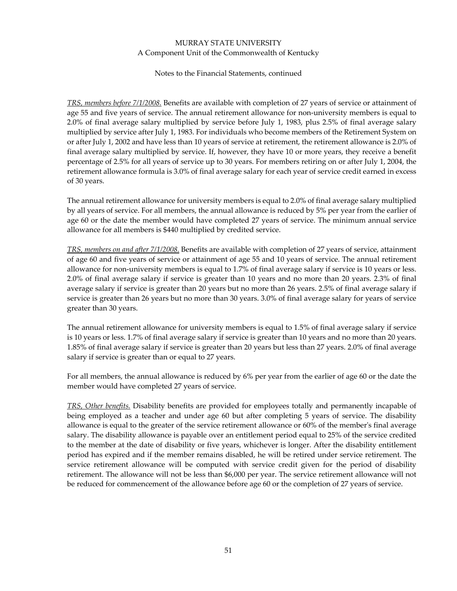#### Notes to the Financial Statements, continued

*TRS, members before 7/1/2008.* Benefits are available with completion of 27 years of service or attainment of age 55 and five years of service. The annual retirement allowance for non-university members is equal to 2.0% of final average salary multiplied by service before July 1, 1983, plus 2.5% of final average salary multiplied by service after July 1, 1983. For individuals who become members of the Retirement System on or after July 1, 2002 and have less than 10 years of service at retirement, the retirement allowance is 2.0% of final average salary multiplied by service. If, however, they have 10 or more years, they receive a benefit percentage of 2.5% for all years of service up to 30 years. For members retiring on or after July 1, 2004, the retirement allowance formula is 3.0% of final average salary for each year of service credit earned in excess of 30 years.

The annual retirement allowance for university members is equal to 2.0% of final average salary multiplied by all years of service. For all members, the annual allowance is reduced by 5% per year from the earlier of age 60 or the date the member would have completed 27 years of service. The minimum annual service allowance for all members is \$440 multiplied by credited service.

*TRS, members on and after 7/1/2008.* Benefits are available with completion of 27 years of service, attainment of age 60 and five years of service or attainment of age 55 and 10 years of service. The annual retirement allowance for non‐university members is equal to 1.7% of final average salary if service is 10 years or less. 2.0% of final average salary if service is greater than 10 years and no more than 20 years. 2.3% of final average salary if service is greater than 20 years but no more than 26 years. 2.5% of final average salary if service is greater than 26 years but no more than 30 years. 3.0% of final average salary for years of service greater than 30 years.

The annual retirement allowance for university members is equal to 1.5% of final average salary if service is 10 years or less. 1.7% of final average salary if service is greater than 10 years and no more than 20 years. 1.85% of final average salary if service is greater than 20 years but less than 27 years. 2.0% of final average salary if service is greater than or equal to 27 years.

For all members, the annual allowance is reduced by 6% per year from the earlier of age 60 or the date the member would have completed 27 years of service.

*TRS, Other benefits.* Disability benefits are provided for employees totally and permanently incapable of being employed as a teacher and under age 60 but after completing 5 years of service. The disability allowance is equal to the greater of the service retirement allowance or 60% of the member's final average salary. The disability allowance is payable over an entitlement period equal to 25% of the service credited to the member at the date of disability or five years, whichever is longer. After the disability entitlement period has expired and if the member remains disabled, he will be retired under service retirement. The service retirement allowance will be computed with service credit given for the period of disability retirement. The allowance will not be less than \$6,000 per year. The service retirement allowance will not be reduced for commencement of the allowance before age 60 or the completion of 27 years of service.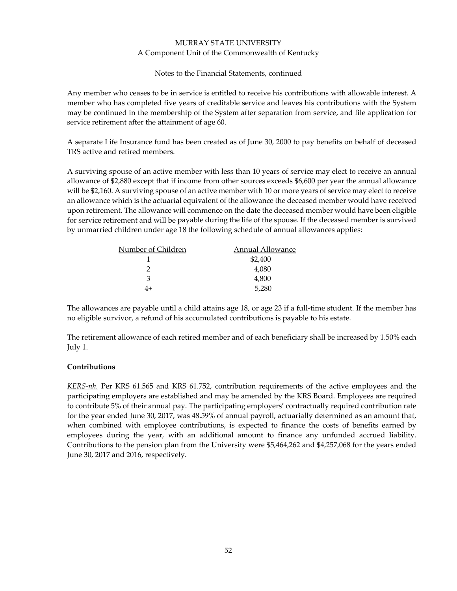Notes to the Financial Statements, continued

Any member who ceases to be in service is entitled to receive his contributions with allowable interest. A member who has completed five years of creditable service and leaves his contributions with the System may be continued in the membership of the System after separation from service, and file application for service retirement after the attainment of age 60.

A separate Life Insurance fund has been created as of June 30, 2000 to pay benefits on behalf of deceased TRS active and retired members.

A surviving spouse of an active member with less than 10 years of service may elect to receive an annual allowance of \$2,880 except that if income from other sources exceeds \$6,600 per year the annual allowance will be \$2,160. A surviving spouse of an active member with 10 or more years of service may elect to receive an allowance which is the actuarial equivalent of the allowance the deceased member would have received upon retirement. The allowance will commence on the date the deceased member would have been eligible for service retirement and will be payable during the life of the spouse. If the deceased member is survived by unmarried children under age 18 the following schedule of annual allowances applies:

| Number of Children | Annual Allowance |
|--------------------|------------------|
|                    | \$2,400          |
|                    | 4,080            |
| з                  | 4,800            |
| 4+                 | 5,280            |

The allowances are payable until a child attains age 18, or age 23 if a full-time student. If the member has no eligible survivor, a refund of his accumulated contributions is payable to his estate.

The retirement allowance of each retired member and of each beneficiary shall be increased by 1.50% each July 1.

### **Contributions**

*KERS‐nh.* Per KRS 61.565 and KRS 61.752, contribution requirements of the active employees and the participating employers are established and may be amended by the KRS Board. Employees are required to contribute 5% of their annual pay. The participating employers' contractually required contribution rate for the year ended June 30, 2017, was 48.59% of annual payroll, actuarially determined as an amount that, when combined with employee contributions, is expected to finance the costs of benefits earned by employees during the year, with an additional amount to finance any unfunded accrued liability. Contributions to the pension plan from the University were \$5,464,262 and \$4,257,068 for the years ended June 30, 2017 and 2016, respectively.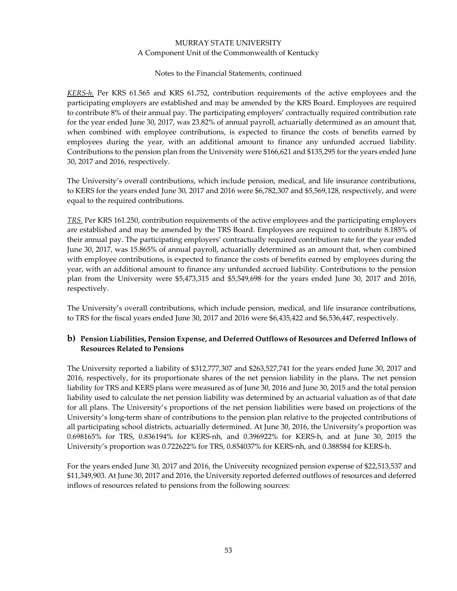#### Notes to the Financial Statements, continued

*KERS‐h.* Per KRS 61.565 and KRS 61.752, contribution requirements of the active employees and the participating employers are established and may be amended by the KRS Board. Employees are required to contribute 8% of their annual pay. The participating employers' contractually required contribution rate for the year ended June 30, 2017, was 23.82% of annual payroll, actuarially determined as an amount that, when combined with employee contributions, is expected to finance the costs of benefits earned by employees during the year, with an additional amount to finance any unfunded accrued liability. Contributions to the pension plan from the University were \$166,621 and \$135,295 for the years ended June 30, 2017 and 2016, respectively.

The University's overall contributions, which include pension, medical, and life insurance contributions, to KERS for the years ended June 30, 2017 and 2016 were \$6,782,307 and \$5,569,128, respectively, and were equal to the required contributions.

*TRS.* Per KRS 161.250, contribution requirements of the active employees and the participating employers are established and may be amended by the TRS Board. Employees are required to contribute 8.185% of their annual pay. The participating employers' contractually required contribution rate for the year ended June 30, 2017, was 15.865% of annual payroll, actuarially determined as an amount that, when combined with employee contributions, is expected to finance the costs of benefits earned by employees during the year, with an additional amount to finance any unfunded accrued liability. Contributions to the pension plan from the University were \$5,473,315 and \$5,549,698 for the years ended June 30, 2017 and 2016, respectively.

The University's overall contributions, which include pension, medical, and life insurance contributions, to TRS for the fiscal years ended June 30, 2017 and 2016 were \$6,435,422 and \$6,536,447, respectively.

# **b) Pension Liabilities, Pension Expense, and Deferred Outflows of Resources and Deferred Inflows of Resources Related to Pensions**

The University reported a liability of \$312,777,307 and \$263,527,741 for the years ended June 30, 2017 and 2016, respectively, for its proportionate shares of the net pension liability in the plans. The net pension liability for TRS and KERS plans were measured as of June 30, 2016 and June 30, 2015 and the total pension liability used to calculate the net pension liability was determined by an actuarial valuation as of that date for all plans. The University's proportions of the net pension liabilities were based on projections of the University's long‐term share of contributions to the pension plan relative to the projected contributions of all participating school districts, actuarially determined. At June 30, 2016, the University's proportion was 0.698165% for TRS, 0.836194% for KERS‐nh, and 0.396922% for KERS‐h, and at June 30, 2015 the University's proportion was 0.722622% for TRS, 0.854037% for KERS‐nh, and 0.388584 for KERS‐h.

For the years ended June 30, 2017 and 2016, the University recognized pension expense of \$22,513,537 and \$11,349,903. At June 30, 2017 and 2016, the University reported deferred outflows of resources and deferred inflows of resources related to pensions from the following sources: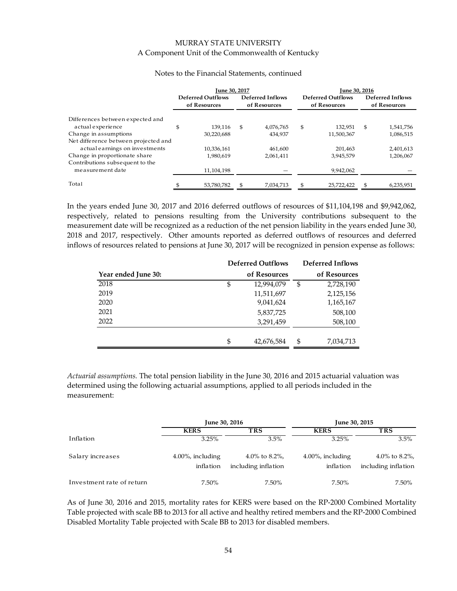| <b>June 30, 2017</b> |                                          |    | June 30, 2016                    |    |                                          |    |                                  |  |
|----------------------|------------------------------------------|----|----------------------------------|----|------------------------------------------|----|----------------------------------|--|
|                      | <b>Deferred Outflows</b><br>of Resources |    | Deferred Inflows<br>of Resources |    | <b>Deferred Outflows</b><br>of Resources |    | Deferred Inflows<br>of Resources |  |
|                      |                                          |    |                                  |    |                                          |    |                                  |  |
| \$                   | 139.116                                  | \$ | 4,076,765                        | \$ | 132,951                                  | \$ | 1,541,756                        |  |
|                      | 30.220.688                               |    | 434,937                          |    | 11,500,367                               |    | 1,086,515                        |  |
|                      |                                          |    |                                  |    |                                          |    |                                  |  |
|                      | 10.336.161                               |    | 461.600                          |    | 201,463                                  |    | 2,401,613                        |  |
|                      | 1.980.619                                |    | 2,061,411                        |    | 3,945,579                                |    | 1,206,067                        |  |
|                      |                                          |    |                                  |    |                                          |    |                                  |  |
|                      | 11,104,198                               |    |                                  |    | 9,942,062                                |    |                                  |  |
|                      | 53,780,782                               |    | 7,034,713                        | \$ | 25,722,422                               | \$ | 6,235,951                        |  |
|                      |                                          |    |                                  |    |                                          |    |                                  |  |

#### Notes to the Financial Statements, continued

In the years ended June 30, 2017 and 2016 deferred outflows of resources of \$11,104,198 and \$9,942,062, respectively, related to pensions resulting from the University contributions subsequent to the measurement date will be recognized as a reduction of the net pension liability in the years ended June 30, 2018 and 2017, respectively. Other amounts reported as deferred outflows of resources and deferred inflows of resources related to pensions at June 30, 2017 will be recognized in pension expense as follows:

|                     | <b>Deferred Outflows</b> | <b>Deferred Inflows</b> |
|---------------------|--------------------------|-------------------------|
| Year ended June 30: | of Resources             | of Resources            |
| 2018                | \$<br>12,994,079         | \$<br>2,728,190         |
| 2019                | 11,511,697               | 2,125,156               |
| 2020                | 9,041,624                | 1,165,167               |
| 2021                | 5,837,725                | 508,100                 |
| 2022                | 3,291,459                | 508,100                 |
|                     |                          |                         |
|                     | \$<br>42,676,584         | \$<br>7,034,713         |

*Actuarial assumptions.* The total pension liability in the June 30, 2016 and 2015 actuarial valuation was determined using the following actuarial assumptions, applied to all periods included in the measurement:

|                           | June 30, 2016                     |                                      | June 30, 2015                     |                                      |  |  |
|---------------------------|-----------------------------------|--------------------------------------|-----------------------------------|--------------------------------------|--|--|
|                           | <b>KERS</b>                       | <b>TRS</b>                           | <b>KERS</b>                       | <b>TRS</b>                           |  |  |
| Inflation                 | 3.25%                             | 3.5%                                 | 3.25%                             | 3.5%                                 |  |  |
| Salary increases          | $4.00\%$ , including<br>inflation | 4.0% to 8.2%,<br>including inflation | $4.00\%$ , including<br>inflation | 4.0% to 8.2%,<br>including inflation |  |  |
| Investment rate of return | 7.50%                             | 7.50%                                | 7.50%                             | 7.50%                                |  |  |

As of June 30, 2016 and 2015, mortality rates for KERS were based on the RP‐2000 Combined Mortality Table projected with scale BB to 2013 for all active and healthy retired members and the RP‐2000 Combined Disabled Mortality Table projected with Scale BB to 2013 for disabled members.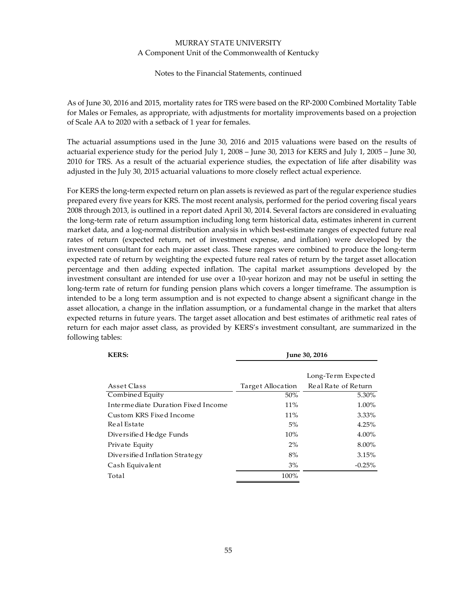Notes to the Financial Statements, continued

As of June 30, 2016 and 2015, mortality rates for TRS were based on the RP‐2000 Combined Mortality Table for Males or Females, as appropriate, with adjustments for mortality improvements based on a projection of Scale AA to 2020 with a setback of 1 year for females.

The actuarial assumptions used in the June 30, 2016 and 2015 valuations were based on the results of actuarial experience study for the period July 1, 2008 – June 30, 2013 for KERS and July 1, 2005 – June 30, 2010 for TRS. As a result of the actuarial experience studies, the expectation of life after disability was adjusted in the July 30, 2015 actuarial valuations to more closely reflect actual experience.

For KERS the long‐term expected return on plan assets is reviewed as part of the regular experience studies prepared every five years for KRS. The most recent analysis, performed for the period covering fiscal years 2008 through 2013, is outlined in a report dated April 30, 2014. Several factors are considered in evaluating the long‐term rate of return assumption including long term historical data, estimates inherent in current market data, and a log-normal distribution analysis in which best-estimate ranges of expected future real rates of return (expected return, net of investment expense, and inflation) were developed by the investment consultant for each major asset class. These ranges were combined to produce the long-term expected rate of return by weighting the expected future real rates of return by the target asset allocation percentage and then adding expected inflation. The capital market assumptions developed by the investment consultant are intended for use over a 10‐year horizon and may not be useful in setting the long-term rate of return for funding pension plans which covers a longer timeframe. The assumption is intended to be a long term assumption and is not expected to change absent a significant change in the asset allocation, a change in the inflation assumption, or a fundamental change in the market that alters expected returns in future years. The target asset allocation and best estimates of arithmetic real rates of return for each major asset class, as provided by KERS's investment consultant, are summarized in the following tables:

| <b>KERS:</b>                       | <b>June 30, 2016</b> |                     |  |  |  |  |
|------------------------------------|----------------------|---------------------|--|--|--|--|
|                                    |                      | Long-Term Expected  |  |  |  |  |
| Asset Class                        | Target Allocation    | Real Rate of Return |  |  |  |  |
| Combined Equity                    | 50%                  | 5.30%               |  |  |  |  |
| Intermediate Duration Fixed Income | 11%                  | 1.00%               |  |  |  |  |
| Custom KRS Fixed Income            | $11\%$               | 3.33%               |  |  |  |  |
| Real Estate                        | 5%                   | 4.25%               |  |  |  |  |
| Diversified Hedge Funds            | 10%                  | 4.00%               |  |  |  |  |
| Private Equity                     | $2\%$                | 8.00%               |  |  |  |  |
| Diversified Inflation Strategy     | 8%                   | 3.15%               |  |  |  |  |
| Cash Equivalent                    | 3%                   | $-0.25%$            |  |  |  |  |
| Total                              | 100%                 |                     |  |  |  |  |
|                                    |                      |                     |  |  |  |  |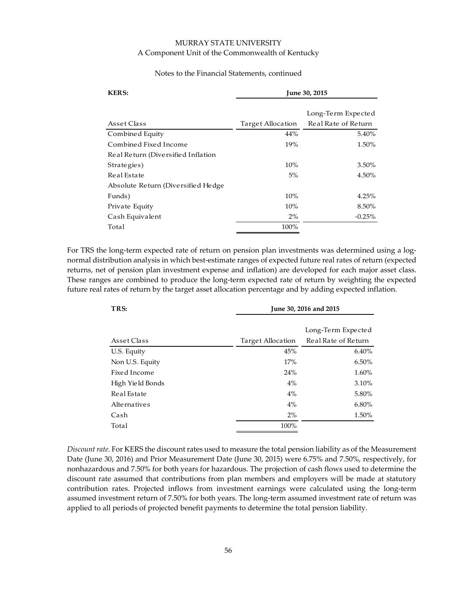#### Notes to the Financial Statements, continued

| <b>KERS:</b>                       | June 30, 2015     |                     |  |  |  |  |
|------------------------------------|-------------------|---------------------|--|--|--|--|
|                                    |                   | Long-Term Expected  |  |  |  |  |
| Asset Class                        | Target Allocation | Real Rate of Return |  |  |  |  |
| Combined Equity                    | 44%               | 5.40%               |  |  |  |  |
| Combined Fixed Income              | 19%               | 1.50%               |  |  |  |  |
| Real Return (Diversified Inflation |                   |                     |  |  |  |  |
| Strategies)                        | 10%               | 3.50%               |  |  |  |  |
| Real Estate                        | 5%                | 4.50%               |  |  |  |  |
| Absolute Return (Diversified Hedge |                   |                     |  |  |  |  |
| Funds)                             | 10%               | 4.25%               |  |  |  |  |
| Private Equity                     | 10%               | 8.50%               |  |  |  |  |
| Cash Equivalent                    | $2\%$             | $-0.25%$            |  |  |  |  |
| Total                              | 100%              |                     |  |  |  |  |

For TRS the long-term expected rate of return on pension plan investments was determined using a lognormal distribution analysis in which best‐estimate ranges of expected future real rates of return (expected returns, net of pension plan investment expense and inflation) are developed for each major asset class. These ranges are combined to produce the long‐term expected rate of return by weighting the expected future real rates of return by the target asset allocation percentage and by adding expected inflation.

| TRS:             | June 30, 2016 and 2015 |                     |  |  |  |  |
|------------------|------------------------|---------------------|--|--|--|--|
|                  |                        |                     |  |  |  |  |
|                  |                        | Long-Term Expected  |  |  |  |  |
| Asset Class      | Target Allocation      | Real Rate of Return |  |  |  |  |
| U.S. Equity      | 45%                    | 6.40%               |  |  |  |  |
| Non U.S. Equity  | 17%                    | 6.50%               |  |  |  |  |
| Fixed Income     | 24%                    | 1.60%               |  |  |  |  |
| High Yield Bonds | 4%                     | 3.10%               |  |  |  |  |
| Real Estate      | $4\%$                  | 5.80%               |  |  |  |  |
| Alternatives     | 4%                     | 6.80%               |  |  |  |  |
| Cash             | $2\%$                  | 1.50%               |  |  |  |  |
| Total            | 100%                   |                     |  |  |  |  |

*Discount rate.* For KERS the discount rates used to measure the total pension liability as of the Measurement Date (June 30, 2016) and Prior Measurement Date (June 30, 2015) were 6.75% and 7.50%, respectively, for nonhazardous and 7.50% for both years for hazardous. The projection of cash flows used to determine the discount rate assumed that contributions from plan members and employers will be made at statutory contribution rates. Projected inflows from investment earnings were calculated using the long-term assumed investment return of 7.50% for both years. The long‐term assumed investment rate of return was applied to all periods of projected benefit payments to determine the total pension liability.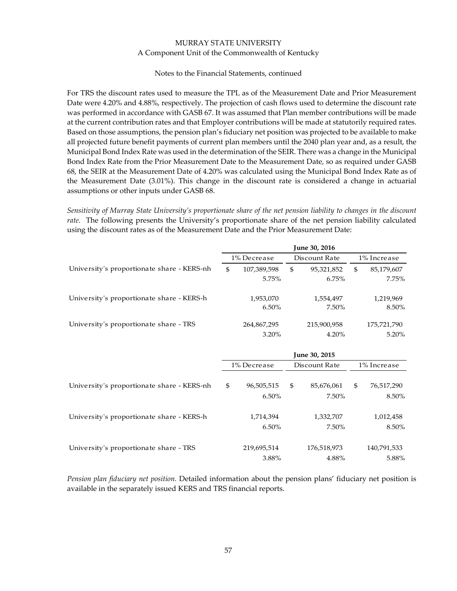#### Notes to the Financial Statements, continued

For TRS the discount rates used to measure the TPL as of the Measurement Date and Prior Measurement Date were 4.20% and 4.88%, respectively. The projection of cash flows used to determine the discount rate was performed in accordance with GASB 67. It was assumed that Plan member contributions will be made at the current contribution rates and that Employer contributions will be made at statutorily required rates. Based on those assumptions, the pension plan's fiduciary net position was projected to be available to make all projected future benefit payments of current plan members until the 2040 plan year and, as a result, the Municipal Bond Index Rate was used in the determination of the SEIR. There was a change in the Municipal Bond Index Rate from the Prior Measurement Date to the Measurement Date, so as required under GASB 68, the SEIR at the Measurement Date of 4.20% was calculated using the Municipal Bond Index Rate as of the Measurement Date (3.01%). This change in the discount rate is considered a change in actuarial assumptions or other inputs under GASB 68.

Sensitivity of Murray State University's proportionate share of the net pension liability to changes in the discount *rate.* The following presents the University's proportionate share of the net pension liability calculated using the discount rates as of the Measurement Date and the Prior Measurement Date:

|                                            | June 30, 2016                |             |    |               |                |             |  |
|--------------------------------------------|------------------------------|-------------|----|---------------|----------------|-------------|--|
|                                            | 1% Decrease                  |             |    | Discount Rate | 1% Increase    |             |  |
| University's proportionate share - KERS-nh | $\mathfrak{S}$               | 107,389,598 | \$ | 95,321,852    | $\mathfrak{S}$ | 85,179,607  |  |
|                                            |                              | 5.75%       |    | 6.75%         |                | 7.75%       |  |
| University's proportionate share - KERS-h  |                              | 1,953,070   |    | 1,554,497     |                | 1,219,969   |  |
|                                            |                              | 6.50%       |    | 7.50%         |                | 8.50%       |  |
| University's proportionate share - TRS     |                              | 264,867,295 |    | 215,900,958   |                | 175,721,790 |  |
|                                            |                              | 3.20%       |    | 4.20%         |                | 5.20%       |  |
|                                            |                              |             |    | June 30, 2015 |                |             |  |
|                                            | Discount Rate<br>1% Decrease |             |    |               |                | 1% Increase |  |
| University's proportionate share - KERS-nh | \$                           | 96,505,515  | \$ | 85,676,061    | $\mathfrak{s}$ | 76,517,290  |  |
|                                            |                              | 6.50%       |    | 7.50%         |                | 8.50%       |  |
| University's proportionate share - KERS-h  |                              | 1,714,394   |    | 1,332,707     |                | 1,012,458   |  |
|                                            |                              | 6.50%       |    | 7.50%         |                | 8.50%       |  |
| University's proportionate share - TRS     |                              | 219,695,514 |    | 176,518,973   |                | 140,791,533 |  |
|                                            |                              | 3.88%       |    | 4.88%         |                | 5.88%       |  |

*Pension plan fiduciary net position.* Detailed information about the pension plans' fiduciary net position is available in the separately issued KERS and TRS financial reports.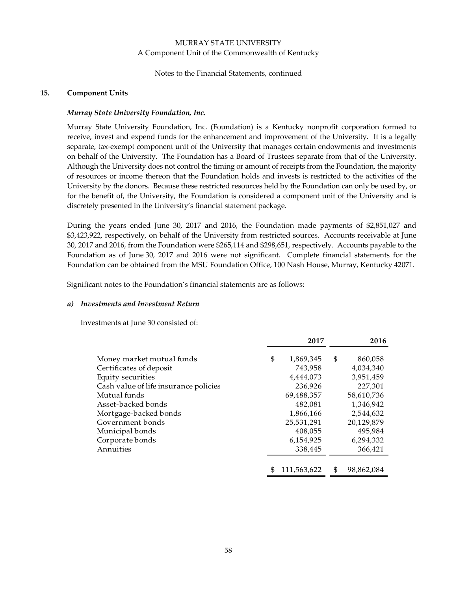#### Notes to the Financial Statements, continued

#### **15. Component Units**

### *Murray State University Foundation, Inc.*

Murray State University Foundation, Inc. (Foundation) is a Kentucky nonprofit corporation formed to receive, invest and expend funds for the enhancement and improvement of the University. It is a legally separate, tax-exempt component unit of the University that manages certain endowments and investments on behalf of the University. The Foundation has a Board of Trustees separate from that of the University. Although the University does not control the timing or amount of receipts from the Foundation, the majority of resources or income thereon that the Foundation holds and invests is restricted to the activities of the University by the donors. Because these restricted resources held by the Foundation can only be used by, or for the benefit of, the University, the Foundation is considered a component unit of the University and is discretely presented in the University's financial statement package.

During the years ended June 30, 2017 and 2016, the Foundation made payments of \$2,851,027 and \$3,423,922, respectively, on behalf of the University from restricted sources. Accounts receivable at June 30, 2017 and 2016, from the Foundation were \$265,114 and \$298,651, respectively. Accounts payable to the Foundation as of June 30, 2017 and 2016 were not significant. Complete financial statements for the Foundation can be obtained from the MSU Foundation Office, 100 Nash House, Murray, Kentucky 42071.

Significant notes to the Foundation's financial statements are as follows:

#### *a) Investments and Investment Return*

Investments at June 30 consisted of:

|                                       |    | 2017        | 2016             |
|---------------------------------------|----|-------------|------------------|
| Money market mutual funds             | \$ | 1,869,345   | \$<br>860,058    |
| Certificates of deposit               |    | 743,958     | 4,034,340        |
| Equity securities                     |    | 4,444,073   | 3,951,459        |
| Cash value of life insurance policies |    | 236,926     | 227,301          |
| Mutual funds                          |    | 69,488,357  | 58,610,736       |
| Asset-backed bonds                    |    | 482,081     | 1,346,942        |
| Mortgage-backed bonds                 |    | 1,866,166   | 2,544,632        |
| Government bonds                      |    | 25,531,291  | 20,129,879       |
| Municipal bonds                       |    | 408,055     | 495,984          |
| Corporate bonds                       |    | 6,154,925   | 6,294,332        |
| Annuities                             |    | 338,445     | 366,421          |
|                                       |    |             |                  |
|                                       | S  | 111,563,622 | \$<br>98,862,084 |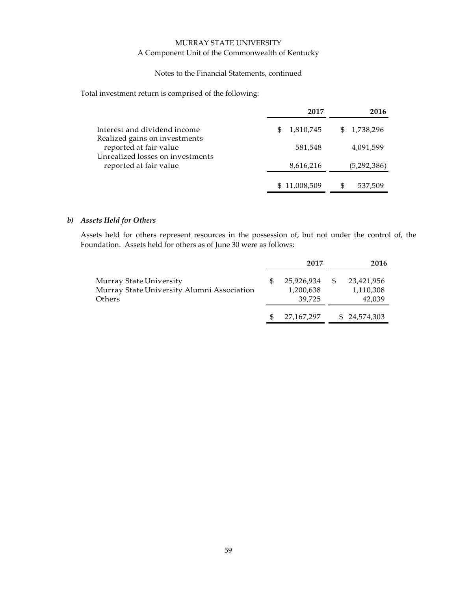#### Notes to the Financial Statements, continued

Total investment return is comprised of the following:

|                                                            | 2017             | 2016        |
|------------------------------------------------------------|------------------|-------------|
| Interest and dividend income                               | 1,810,745<br>SS. | \$1,738,296 |
| Realized gains on investments<br>reported at fair value    | 581,548          | 4,091,599   |
| Unrealized losses on investments<br>reported at fair value | 8,616,216        | (5,292,386) |
|                                                            | \$11,008,509     | 537,509     |

# *b) Assets Held for Others*

Assets held for others represent resources in the possession of, but not under the control of, the Foundation. Assets held for others as of June 30 were as follows:

|                                                                                 |  | 2017                              |      | 2016                              |
|---------------------------------------------------------------------------------|--|-----------------------------------|------|-----------------------------------|
| Murray State University<br>Murray State University Alumni Association<br>Others |  | 25,926,934<br>1,200,638<br>39.725 | - \$ | 23,421,956<br>1,110,308<br>42,039 |
|                                                                                 |  | 27,167,297                        |      | \$24,574,303                      |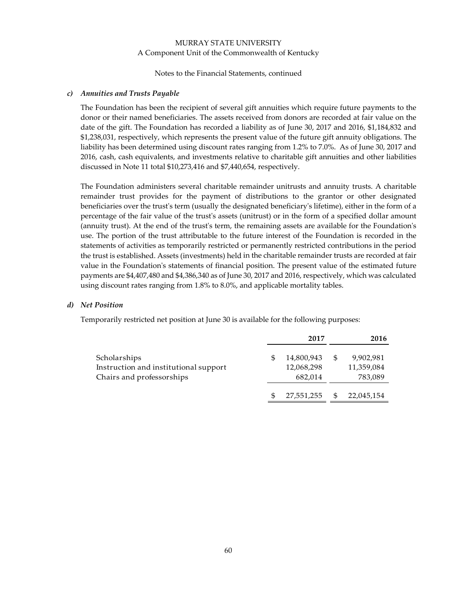Notes to the Financial Statements, continued

#### *c) Annuities and Trusts Payable*

The Foundation has been the recipient of several gift annuities which require future payments to the donor or their named beneficiaries. The assets received from donors are recorded at fair value on the date of the gift. The Foundation has recorded a liability as of June 30, 2017 and 2016, \$1,184,832 and \$1,238,031, respectively, which represents the present value of the future gift annuity obligations. The liability has been determined using discount rates ranging from 1.2% to 7.0%. As of June 30, 2017 and 2016, cash, cash equivalents, and investments relative to charitable gift annuities and other liabilities discussed in Note 11 total \$10,273,416 and \$7,440,654, respectively.

The Foundation administers several charitable remainder unitrusts and annuity trusts. A charitable remainder trust provides for the payment of distributions to the grantor or other designated beneficiaries over the trustʹs term (usually the designated beneficiaryʹs lifetime), either in the form of a percentage of the fair value of the trustʹs assets (unitrust) or in the form of a specified dollar amount (annuity trust). At the end of the trust's term, the remaining assets are available for the Foundation's use. The portion of the trust attributable to the future interest of the Foundation is recorded in the statements of activities as temporarily restricted or permanently restricted contributions in the period the trust is established. Assets (investments) held in the charitable remainder trusts are recorded at fair value in the Foundationʹs statements of financial position. The present value of the estimated future payments are \$4,407,480 and \$4,386,340 as of June 30, 2017 and 2016, respectively, which was calculated using discount rates ranging from 1.8% to 8.0%, and applicable mortality tables.

#### *d) Net Position*

Temporarily restricted net position at June 30 is available for the following purposes:

|                                       | 2017       | 2016            |
|---------------------------------------|------------|-----------------|
| Scholarships                          | 14,800,943 | \$<br>9,902,981 |
| Instruction and institutional support | 12,068,298 | 11,359,084      |
| Chairs and professorships             | 682,014    | 783,089         |
|                                       | 27,551,255 | 22,045,154      |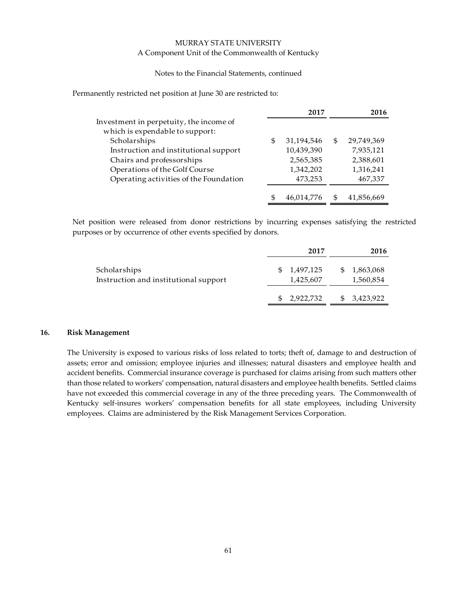#### Notes to the Financial Statements, continued

Permanently restricted net position at June 30 are restricted to:

|                                         |    | 2017       | 2016             |
|-----------------------------------------|----|------------|------------------|
| Investment in perpetuity, the income of |    |            |                  |
| which is expendable to support:         |    |            |                  |
| Scholarships                            | S  | 31,194,546 | \$<br>29,749,369 |
| Instruction and institutional support   |    | 10,439,390 | 7,935,121        |
| Chairs and professorships               |    | 2,565,385  | 2,388,601        |
| Operations of the Golf Course           |    | 1,342,202  | 1,316,241        |
| Operating activities of the Foundation  |    | 473,253    | 467,337          |
|                                         | \$ | 46.014.776 | 41,856,669       |

Net position were released from donor restrictions by incurring expenses satisfying the restricted purposes or by occurrence of other events specified by donors.

|                                                       | 2017                   | 2016                   |
|-------------------------------------------------------|------------------------|------------------------|
| Scholarships<br>Instruction and institutional support | 1,497,125<br>1,425,607 | 1,863,068<br>1,560,854 |
|                                                       | 2,922,732              | 3,423,922              |

#### **16. Risk Management**

The University is exposed to various risks of loss related to torts; theft of, damage to and destruction of assets; error and omission; employee injuries and illnesses; natural disasters and employee health and accident benefits. Commercial insurance coverage is purchased for claims arising from such matters other than those related to workers' compensation, natural disasters and employee health benefits. Settled claims have not exceeded this commercial coverage in any of the three preceding years. The Commonwealth of Kentucky self-insures workers' compensation benefits for all state employees, including University employees. Claims are administered by the Risk Management Services Corporation.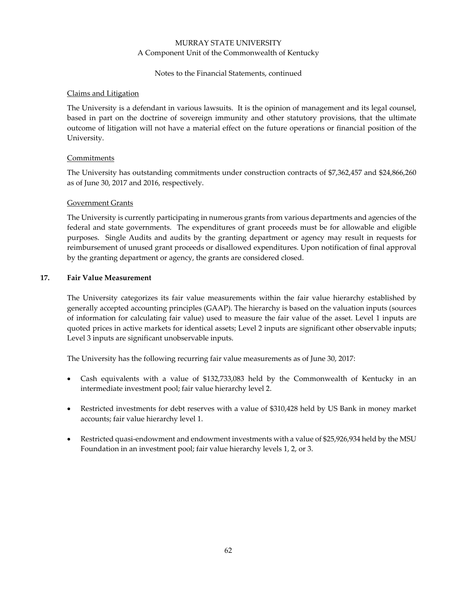#### Notes to the Financial Statements, continued

#### Claims and Litigation

The University is a defendant in various lawsuits. It is the opinion of management and its legal counsel, based in part on the doctrine of sovereign immunity and other statutory provisions, that the ultimate outcome of litigation will not have a material effect on the future operations or financial position of the University.

### **Commitments**

The University has outstanding commitments under construction contracts of \$7,362,457 and \$24,866,260 as of June 30, 2017 and 2016, respectively.

#### Government Grants

The University is currently participating in numerous grants from various departments and agencies of the federal and state governments. The expenditures of grant proceeds must be for allowable and eligible purposes. Single Audits and audits by the granting department or agency may result in requests for reimbursement of unused grant proceeds or disallowed expenditures. Upon notification of final approval by the granting department or agency, the grants are considered closed.

#### **17. Fair Value Measurement**

The University categorizes its fair value measurements within the fair value hierarchy established by generally accepted accounting principles (GAAP). The hierarchy is based on the valuation inputs (sources of information for calculating fair value) used to measure the fair value of the asset. Level 1 inputs are quoted prices in active markets for identical assets; Level 2 inputs are significant other observable inputs; Level 3 inputs are significant unobservable inputs.

The University has the following recurring fair value measurements as of June 30, 2017:

- Cash equivalents with a value of \$132,733,083 held by the Commonwealth of Kentucky in an intermediate investment pool; fair value hierarchy level 2.
- Restricted investments for debt reserves with a value of \$310,428 held by US Bank in money market accounts; fair value hierarchy level 1.
- Restricted quasi-endowment and endowment investments with a value of \$25,926,934 held by the MSU Foundation in an investment pool; fair value hierarchy levels 1, 2, or 3.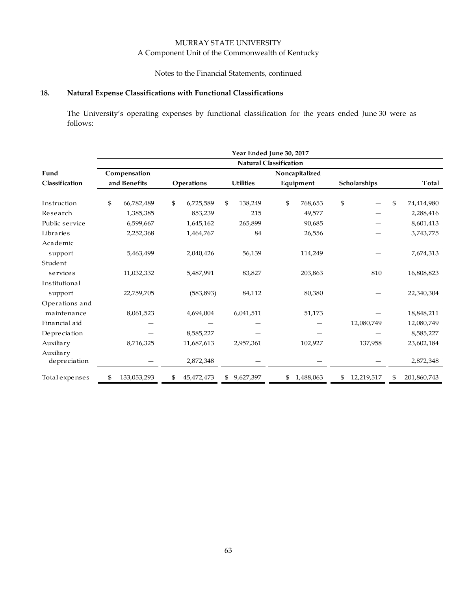# Notes to the Financial Statements, continued

# **18. Natural Expense Classifications with Functional Classifications**

The University's operating expenses by functional classification for the years ended June 30 were as follows:

|                           | Year Ended June 30, 2017      |              |    |            |    |                  |    |                |              |            |    |             |
|---------------------------|-------------------------------|--------------|----|------------|----|------------------|----|----------------|--------------|------------|----|-------------|
|                           | <b>Natural Classification</b> |              |    |            |    |                  |    |                |              |            |    |             |
| Fund                      |                               | Compensation |    |            |    |                  |    | Noncapitalized |              |            |    |             |
| Classification            |                               | and Benefits |    | Operations |    | <b>Utilities</b> |    | Equipment      | Scholarships |            |    | Total       |
| Instruction               | \$                            | 66,782,489   | \$ | 6,725,589  | \$ | 138,249          | \$ | 768,653        | \$           |            | \$ | 74,414,980  |
| Research                  |                               | 1,385,385    |    | 853,239    |    | 215              |    | 49,577         |              |            |    | 2,288,416   |
| Public service            |                               | 6,599,667    |    | 1,645,162  |    | 265,899          |    | 90,685         |              |            |    | 8,601,413   |
| Libraries                 |                               | 2,252,368    |    | 1,464,767  |    | 84               |    | 26,556         |              |            |    | 3,743,775   |
| Academic                  |                               |              |    |            |    |                  |    |                |              |            |    |             |
| support                   |                               | 5,463,499    |    | 2,040,426  |    | 56,139           |    | 114,249        |              |            |    | 7,674,313   |
| Student                   |                               |              |    |            |    |                  |    |                |              |            |    |             |
| services                  |                               | 11,032,332   |    | 5,487,991  |    | 83,827           |    | 203,863        |              | 810        |    | 16,808,823  |
| Institutional             |                               |              |    |            |    |                  |    |                |              |            |    |             |
| support                   |                               | 22,759,705   |    | (583, 893) |    | 84,112           |    | 80,380         |              |            |    | 22,340,304  |
| Operations and            |                               |              |    |            |    |                  |    |                |              |            |    |             |
| maintenance               |                               | 8,061,523    |    | 4,694,004  |    | 6,041,511        |    | 51,173         |              |            |    | 18,848,211  |
| Financial aid             |                               |              |    |            |    |                  |    |                |              | 12,080,749 |    | 12,080,749  |
| Depreciation              |                               |              |    | 8,585,227  |    |                  |    |                |              |            |    | 8,585,227   |
| Auxiliary                 |                               | 8,716,325    |    | 11,687,613 |    | 2,957,361        |    | 102,927        |              | 137,958    |    | 23,602,184  |
| Auxiliary<br>depreciation |                               |              |    | 2,872,348  |    |                  |    |                |              |            |    | 2,872,348   |
| Total expenses            | SS.                           | 133,053,293  | \$ | 45,472,473 | \$ | 9,627,397        | \$ | 1,488,063      | \$           | 12,219,517 | \$ | 201,860,743 |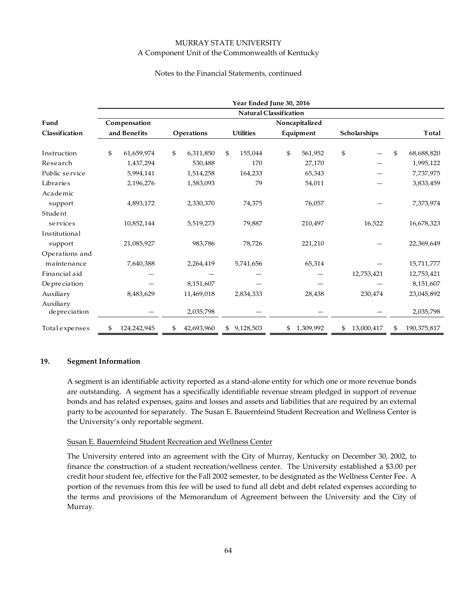#### Notes to the Financial Statements, continued

|                             | Year Ended June 30, 2016<br><b>Natural Classification</b> |             |            |                |                  |           |    |           |    |              |    |             |  |
|-----------------------------|-----------------------------------------------------------|-------------|------------|----------------|------------------|-----------|----|-----------|----|--------------|----|-------------|--|
|                             |                                                           |             |            |                |                  |           |    |           |    |              |    |             |  |
| Fund                        | Compensation<br>and Benefits                              |             |            | Noncapitalized |                  |           |    |           |    |              |    |             |  |
| Classification              |                                                           |             | Operations |                | <b>Utilities</b> |           |    | Equipment |    | Scholarships |    | Total       |  |
| Instruction                 | \$                                                        | 61,659,974  | \$         | 6,311,850      | \$               | 155,044   | \$ | 561,952   | \$ |              | \$ | 68,688,820  |  |
| Research                    |                                                           | 1,437,294   |            | 530,488        |                  | 170       |    | 27,170    |    |              |    | 1,995,122   |  |
| Public service              |                                                           | 5,994,141   |            | 1,514,258      |                  | 164,233   |    | 65,343    |    |              |    | 7,737,975   |  |
| Libraries                   |                                                           | 2,196,276   |            | 1,583,093      |                  | 79        |    | 54,011    |    |              |    | 3,833,459   |  |
| Academic                    |                                                           |             |            |                |                  |           |    |           |    |              |    |             |  |
| support                     |                                                           | 4,893,172   |            | 2,330,370      |                  | 74,375    |    | 76,057    |    |              |    | 7,373,974   |  |
| Student                     |                                                           |             |            |                |                  |           |    |           |    |              |    |             |  |
| services                    |                                                           | 10,852,144  |            | 5,519,273      |                  | 79,887    |    | 210,497   |    | 16,522       |    | 16,678,323  |  |
| Institutional               |                                                           |             |            |                |                  |           |    |           |    |              |    |             |  |
| support                     |                                                           | 21,085,927  |            | 983,786        |                  | 78,726    |    | 221,210   |    |              |    | 22,369,649  |  |
| Operations and              |                                                           |             |            |                |                  |           |    |           |    |              |    |             |  |
| maintenance                 |                                                           | 7,640,388   |            | 2,264,419      |                  | 5,741,656 |    | 65,314    |    |              |    | 15,711,777  |  |
| Financial aid               |                                                           |             |            |                |                  |           |    |           |    | 12,753,421   |    | 12,753,421  |  |
| Depreciation                |                                                           |             |            | 8,151,607      |                  |           |    |           |    |              |    | 8,151,607   |  |
| Auxiliary                   |                                                           | 8,483,629   |            | 11,469,018     |                  | 2,834,333 |    | 28,438    |    | 230,474      |    | 23,045,892  |  |
| Auxiliary<br>de pre ciation |                                                           |             |            | 2,035,798      |                  |           |    |           |    |              |    | 2,035,798   |  |
| Total expenses              | \$                                                        | 124,242,945 | \$         | 42,693,960     | \$               | 9,128,503 | \$ | 1,309,992 | \$ | 13,000,417   | \$ | 190,375,817 |  |

#### **19. Segment Information**

A segment is an identifiable activity reported as a stand‐alone entity for which one or more revenue bonds are outstanding. A segment has a specifically identifiable revenue stream pledged in support of revenue bonds and has related expenses, gains and losses and assets and liabilities that are required by an external party to be accounted for separately. The Susan E. Bauernfeind Student Recreation and Wellness Center is the University's only reportable segment.

#### Susan E. Bauernfeind Student Recreation and Wellness Center

The University entered into an agreement with the City of Murray, Kentucky on December 30, 2002, to finance the construction of a student recreation/wellness center. The University established a \$3.00 per credit hour student fee, effective for the Fall 2002 semester, to be designated as the Wellness Center Fee. A portion of the revenues from this fee will be used to fund all debt and debt related expenses according to the terms and provisions of the Memorandum of Agreement between the University and the City of Murray.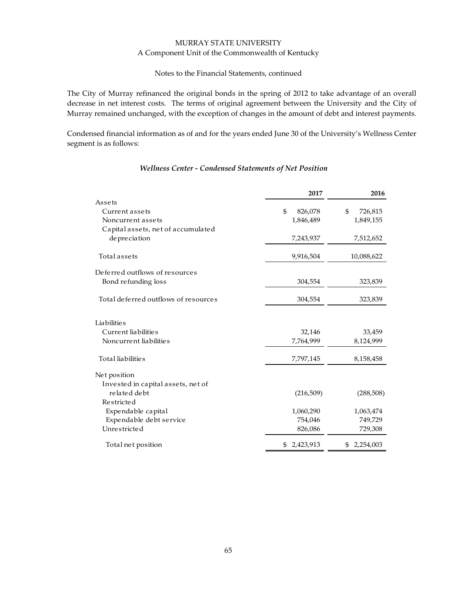#### Notes to the Financial Statements, continued

The City of Murray refinanced the original bonds in the spring of 2012 to take advantage of an overall decrease in net interest costs. The terms of original agreement between the University and the City of Murray remained unchanged, with the exception of changes in the amount of debt and interest payments.

Condensed financial information as of and for the years ended June 30 of the University's Wellness Center segment is as follows:

|                                      | 2017            | 2016            |
|--------------------------------------|-----------------|-----------------|
| Assets                               |                 |                 |
| Current assets                       | \$<br>826,078   | \$<br>726,815   |
| Noncurrent assets                    | 1,846,489       | 1,849,155       |
| Capital assets, net of accumulated   |                 |                 |
| depreciation                         | 7,243,937       | 7,512,652       |
| <b>Total</b> assets                  | 9,916,504       | 10,088,622      |
| Deferred outflows of resources       |                 |                 |
| Bond refunding loss                  | 304,554         | 323,839         |
| Total deferred outflows of resources | 304,554         | 323,839         |
| Liabilitie s                         |                 |                 |
| Current liabilities                  | 32,146          | 33,459          |
| Noncurrent liabilities               | 7,764,999       | 8,124,999       |
| Total liabilities                    | 7,797,145       | 8,158,458       |
| Net position                         |                 |                 |
| Invested in capital assets, net of   |                 |                 |
| related debt                         | (216,509)       | (288,508)       |
| Restricted                           |                 |                 |
| Expendable capital                   | 1,060,290       | 1,063,474       |
| Expendable debt service              | 754,046         | 749,729         |
| Unrestricted                         | 826,086         | 729,308         |
| Total net position                   | 2,423,913<br>\$ | 2,254,003<br>\$ |
|                                      |                 |                 |

# *Wellness Center ‐ Condensed Statements of Net Position*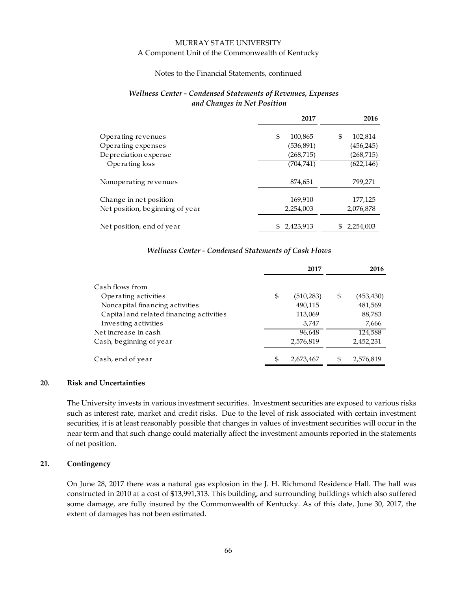#### Notes to the Financial Statements, continued

#### *Wellness Center ‐ Condensed Statements of Revenues, Expenses and Changes in Net Position*

|                                 | 2017             | 2016          |
|---------------------------------|------------------|---------------|
| Operating revenues              | \$<br>100,865    | 102,814<br>\$ |
| Operating expenses              | (536,891)        | (456, 245)    |
| De pre ciation expense          | (268, 715)       | (268, 715)    |
| Operating loss                  | (704, 741)       | (622, 146)    |
| Nonoperating revenues           | 874,651          | 799,271       |
| Change in net position          | 169,910          | 177,125       |
| Net position, beginning of year | 2,254,003        | 2,076,878     |
| Net position, end of year       | 2,423,913<br>\$. | 2,254,003     |

#### *Wellness Center ‐ Condensed Statements of Cash Flows*

|                                          |     | 2017       | 2016             |
|------------------------------------------|-----|------------|------------------|
| Cash flows from                          |     |            |                  |
| Operating activities                     | \$  | (510, 283) | \$<br>(453, 430) |
| Noncapital financing activities          |     | 490,115    | 481,569          |
| Capital and related financing activities |     | 113,069    | 88,783           |
| Investing activities                     |     | 3,747      | 7,666            |
| Net increase in cash                     |     | 96,648     | 124,588          |
| Cash, beginning of year                  |     | 2,576,819  | 2,452,231        |
| Cash, end of year                        | \$. | 2,673,467  | \$<br>2,576,819  |

# **20. Risk and Uncertainties**

The University invests in various investment securities. Investment securities are exposed to various risks such as interest rate, market and credit risks. Due to the level of risk associated with certain investment securities, it is at least reasonably possible that changes in values of investment securities will occur in the near term and that such change could materially affect the investment amounts reported in the statements of net position.

#### **21. Contingency**

On June 28, 2017 there was a natural gas explosion in the J. H. Richmond Residence Hall. The hall was constructed in 2010 at a cost of \$13,991,313. This building, and surrounding buildings which also suffered some damage, are fully insured by the Commonwealth of Kentucky. As of this date, June 30, 2017, the extent of damages has not been estimated.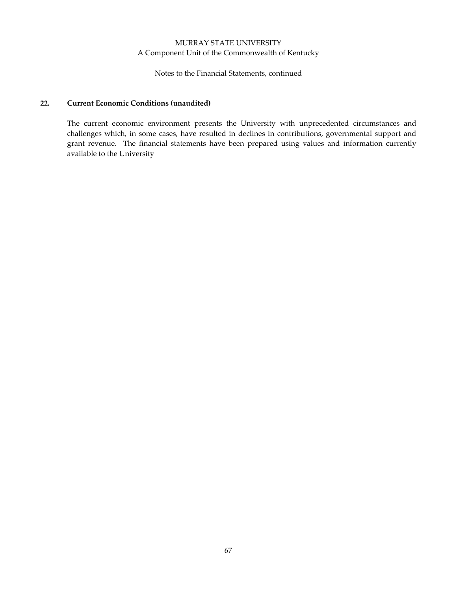Notes to the Financial Statements, continued

# **22. Current Economic Conditions (unaudited)**

The current economic environment presents the University with unprecedented circumstances and challenges which, in some cases, have resulted in declines in contributions, governmental support and grant revenue. The financial statements have been prepared using values and information currently available to the University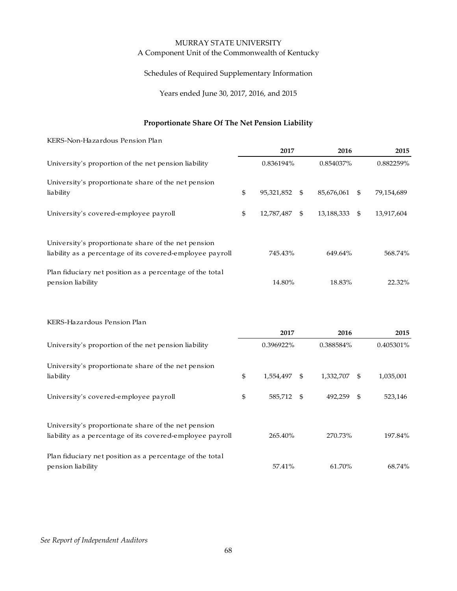Schedules of Required Supplementary Information

Years ended June 30, 2017, 2016, and 2015

# **Proportionate Share Of The Net Pension Liability**

KERS‐Non‐Hazardous Pension Plan

| University's proportion of the net pension liability                                                             |    | 2017             | 2016             | 2015<br>0.882259% |  |
|------------------------------------------------------------------------------------------------------------------|----|------------------|------------------|-------------------|--|
|                                                                                                                  |    | 0.836194%        | 0.854037%        |                   |  |
| University's proportionate share of the net pension<br>liability                                                 | \$ | 95,321,852<br>-S | 85,676,061<br>\$ | 79,154,689        |  |
| University's covered-employee payroll                                                                            | \$ | 12,787,487<br>\$ | 13,188,333<br>\$ | 13,917,604        |  |
| University's proportionate share of the net pension<br>liability as a percentage of its covered-employee payroll |    | 745.43%          | 649.64%          | 568.74%           |  |
| Plan fiduciary net position as a percentage of the total<br>pension liability                                    |    | 14.80%           | 18.83%           | 22.32%            |  |

KERS‐Hazardous Pension Plan

|                                                                                                                  | 2017             | 2016            |     | 2015      |
|------------------------------------------------------------------------------------------------------------------|------------------|-----------------|-----|-----------|
| University's proportion of the net pension liability                                                             | 0.396922%        | 0.388584%       |     | 0.405301% |
| University's proportionate share of the net pension<br>liability                                                 | \$<br>1,554,497  | \$<br>1,332,707 | \$. | 1,035,001 |
| University's covered-employee payroll                                                                            | \$<br>585,712 \$ | 492.259         | -\$ | 523,146   |
| University's proportionate share of the net pension<br>liability as a percentage of its covered-employee payroll | 265.40%          | 270.73%         |     | 197.84%   |
| Plan fiduciary net position as a percentage of the total<br>pension liability                                    | 57.41%           | 61.70%          |     | 68.74%    |

#### *See Report of Independent Auditors*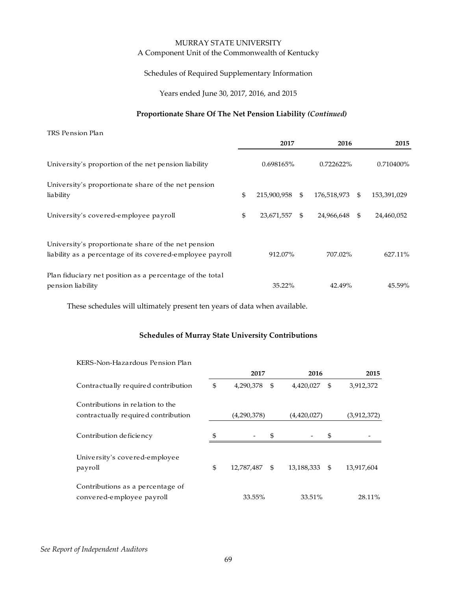Schedules of Required Supplementary Information

Years ended June 30, 2017, 2016, and 2015

#### **Proportionate Share Of The Net Pension Liability** *(Continued)*

TRS Pension Plan **2017 2016 2015** University's proportion of the net pension liability 0.698165% 0.722622% 0.710400% University's proportionate share of the net pension liability 12.15.900,958 \$ 176,518,973 \$ 153,391,029 University's covered-employee payroll  $$ 23,671,557 $ 24,966,648 $ 24,460,052$ University's proportionate share of the net pension liability as a percentage of its covered-employee payroll 912.07% 707.02% 627.11% Plan fiduciary net position as a percentage of the total pension liability 35.22% 42.49% 45.59%

These schedules will ultimately present ten years of data when available.

#### **Schedules of Murray State University Contributions**

| KERS-Non-Hazardous Pension Plan     |    |             |             |             |     |            |
|-------------------------------------|----|-------------|-------------|-------------|-----|------------|
|                                     |    | 2017        | 2016        | 2015        |     |            |
| Contractually required contribution | \$ | 4,290,378   | -\$         | 4,420,027   | -\$ | 3,912,372  |
| Contributions in relation to the    |    |             |             |             |     |            |
| contractually required contribution |    | (4,290,378) | (4,420,027) | (3,912,372) |     |            |
|                                     |    |             |             |             |     |            |
| Contribution deficiency             | \$ |             | \$          |             | \$  |            |
|                                     |    |             |             |             |     |            |
| University's covered-employee       |    |             |             |             |     |            |
| payroll                             | \$ | 12,787,487  | \$          | 13,188,333  | -S  | 13,917,604 |
|                                     |    |             |             |             |     |            |
| Contributions as a percentage of    |    |             |             |             |     |            |
| convered-employee payroll           |    | 33.55%      |             | 33.51%      |     | 28.11%     |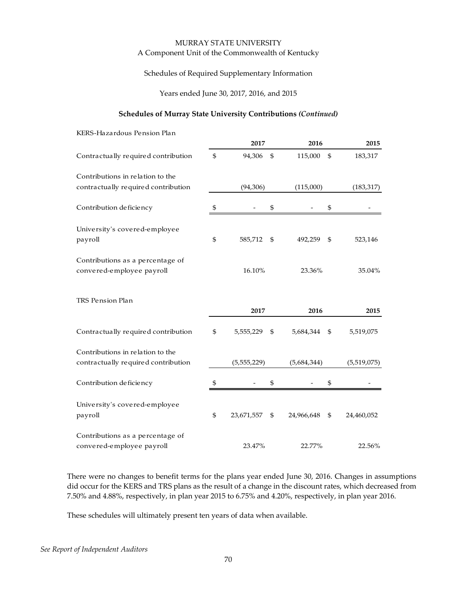#### Schedules of Required Supplementary Information

Years ended June 30, 2017, 2016, and 2015

#### **Schedules of Murray State University Contributions** *(Continued)*

| KERS-Hazardous Pension Plan                                   |                  |                  |                  |
|---------------------------------------------------------------|------------------|------------------|------------------|
|                                                               | 2017             | 2016             | 2015             |
| Contractually required contribution                           | \$<br>94,306     | \$<br>115,000    | \$<br>183,317    |
| Contributions in relation to the                              |                  |                  |                  |
| contractually required contribution                           | (94, 306)        | (115,000)        | (183, 317)       |
| Contribution deficiency                                       | \$               | \$               | \$               |
| University's covered-employee<br>payroll                      | \$<br>585,712    | \$<br>492,259    | \$<br>523,146    |
| Contributions as a percentage of<br>convered-employee payroll | 16.10%           | 23.36%           | 35.04%           |
| TRS Pension Plan                                              | 2017             | 2016             | 2015             |
| Contractually required contribution                           | \$<br>5,555,229  | \$<br>5,684,344  | \$<br>5,519,075  |
| Contributions in relation to the                              |                  |                  |                  |
| contractually required contribution                           | (5,555,229)      | (5,684,344)      | (5,519,075)      |
| Contribution deficiency                                       | \$               | \$               | \$               |
| University's covered-employee<br>payroll                      | \$<br>23,671,557 | \$<br>24,966,648 | \$<br>24,460,052 |
| Contributions as a percentage of<br>convered-employee payroll | 23.47%           | 22.77%           | 22.56%           |

There were no changes to benefit terms for the plans year ended June 30, 2016. Changes in assumptions did occur for the KERS and TRS plans as the result of a change in the discount rates, which decreased from 7.50% and 4.88%, respectively, in plan year 2015 to 6.75% and 4.20%, respectively, in plan year 2016.

These schedules will ultimately present ten years of data when available.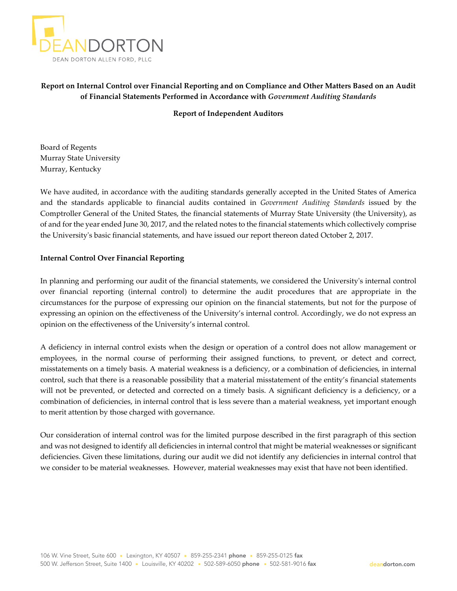

## **Report on Internal Control over Financial Reporting and on Compliance and Other Matters Based on an Audit of Financial Statements Performed in Accordance with** *Government Auditing Standards*

**Report of Independent Auditors**

Board of Regents Murray State University Murray, Kentucky

We have audited, in accordance with the auditing standards generally accepted in the United States of America and the standards applicable to financial audits contained in *Government Auditing Standards* issued by the Comptroller General of the United States, the financial statements of Murray State University (the University), as of and for the year ended June 30, 2017, and the related notes to the financial statements which collectively comprise the Universityʹs basic financial statements, and have issued our report thereon dated October 2, 2017.

## **Internal Control Over Financial Reporting**

In planning and performing our audit of the financial statements, we considered the Universityʹs internal control over financial reporting (internal control) to determine the audit procedures that are appropriate in the circumstances for the purpose of expressing our opinion on the financial statements, but not for the purpose of expressing an opinion on the effectiveness of the University's internal control. Accordingly, we do not express an opinion on the effectiveness of the University's internal control.

A deficiency in internal control exists when the design or operation of a control does not allow management or employees, in the normal course of performing their assigned functions, to prevent, or detect and correct, misstatements on a timely basis. A material weakness is a deficiency, or a combination of deficiencies, in internal control, such that there is a reasonable possibility that a material misstatement of the entity's financial statements will not be prevented, or detected and corrected on a timely basis. A significant deficiency is a deficiency, or a combination of deficiencies, in internal control that is less severe than a material weakness, yet important enough to merit attention by those charged with governance.

Our consideration of internal control was for the limited purpose described in the first paragraph of this section and was not designed to identify all deficiencies in internal control that might be material weaknesses or significant deficiencies. Given these limitations, during our audit we did not identify any deficiencies in internal control that we consider to be material weaknesses. However, material weaknesses may exist that have not been identified.